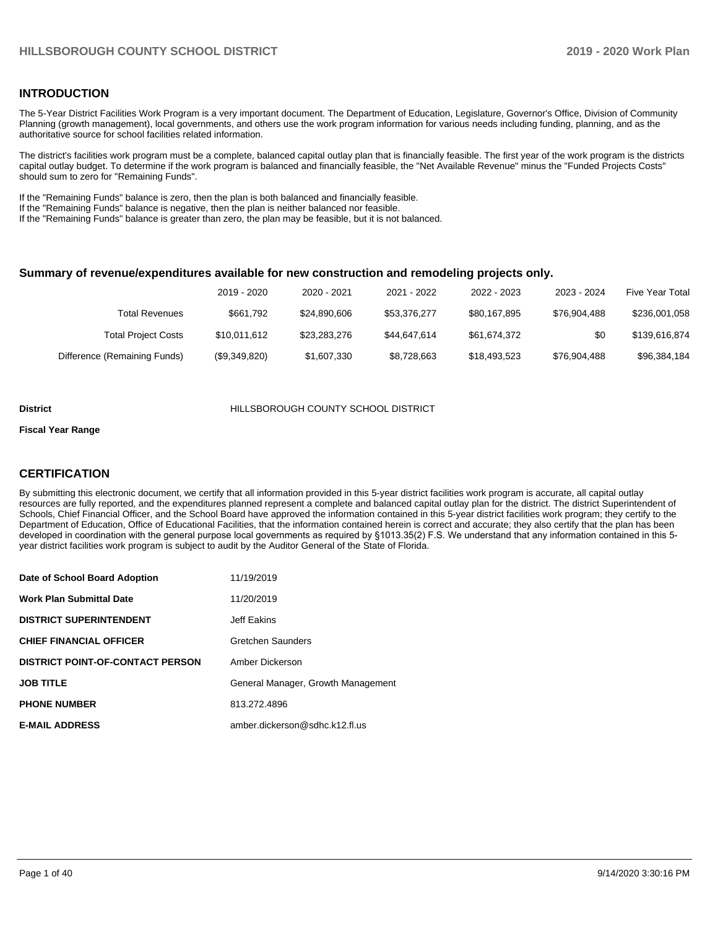### **INTRODUCTION**

The 5-Year District Facilities Work Program is a very important document. The Department of Education, Legislature, Governor's Office, Division of Community Planning (growth management), local governments, and others use the work program information for various needs including funding, planning, and as the authoritative source for school facilities related information.

The district's facilities work program must be a complete, balanced capital outlay plan that is financially feasible. The first year of the work program is the districts capital outlay budget. To determine if the work program is balanced and financially feasible, the "Net Available Revenue" minus the "Funded Projects Costs" should sum to zero for "Remaining Funds".

If the "Remaining Funds" balance is zero, then the plan is both balanced and financially feasible.

If the "Remaining Funds" balance is negative, then the plan is neither balanced nor feasible.

If the "Remaining Funds" balance is greater than zero, the plan may be feasible, but it is not balanced.

#### **Summary of revenue/expenditures available for new construction and remodeling projects only.**

| <b>Five Year Total</b> | 2023 - 2024  | 2022 - 2023  | 2021 - 2022  | 2020 - 2021  | 2019 - 2020   |                              |
|------------------------|--------------|--------------|--------------|--------------|---------------|------------------------------|
| \$236,001,058          | \$76.904.488 | \$80.167.895 | \$53,376,277 | \$24,890,606 | \$661.792     | Total Revenues               |
| \$139,616,874          | \$0          | \$61.674.372 | \$44.647.614 | \$23,283,276 | \$10,011,612  | <b>Total Project Costs</b>   |
| \$96,384,184           | \$76.904.488 | \$18.493.523 | \$8,728,663  | \$1,607,330  | (\$9,349,820) | Difference (Remaining Funds) |

#### **District** HILLSBOROUGH COUNTY SCHOOL DISTRICT

#### **Fiscal Year Range**

### **CERTIFICATION**

By submitting this electronic document, we certify that all information provided in this 5-year district facilities work program is accurate, all capital outlay resources are fully reported, and the expenditures planned represent a complete and balanced capital outlay plan for the district. The district Superintendent of Schools, Chief Financial Officer, and the School Board have approved the information contained in this 5-year district facilities work program; they certify to the Department of Education, Office of Educational Facilities, that the information contained herein is correct and accurate; they also certify that the plan has been developed in coordination with the general purpose local governments as required by §1013.35(2) F.S. We understand that any information contained in this 5 year district facilities work program is subject to audit by the Auditor General of the State of Florida.

| Date of School Board Adoption    | 11/19/2019                         |
|----------------------------------|------------------------------------|
| Work Plan Submittal Date         | 11/20/2019                         |
| <b>DISTRICT SUPERINTENDENT</b>   | Jeff Eakins                        |
| <b>CHIEF FINANCIAL OFFICER</b>   | Gretchen Saunders                  |
| DISTRICT POINT-OF-CONTACT PERSON | Amber Dickerson                    |
| JOB TITLE                        | General Manager, Growth Management |
| <b>PHONE NUMBER</b>              | 813.272.4896                       |
| <b>E-MAIL ADDRESS</b>            | amber.dickerson@sdhc.k12.fl.us     |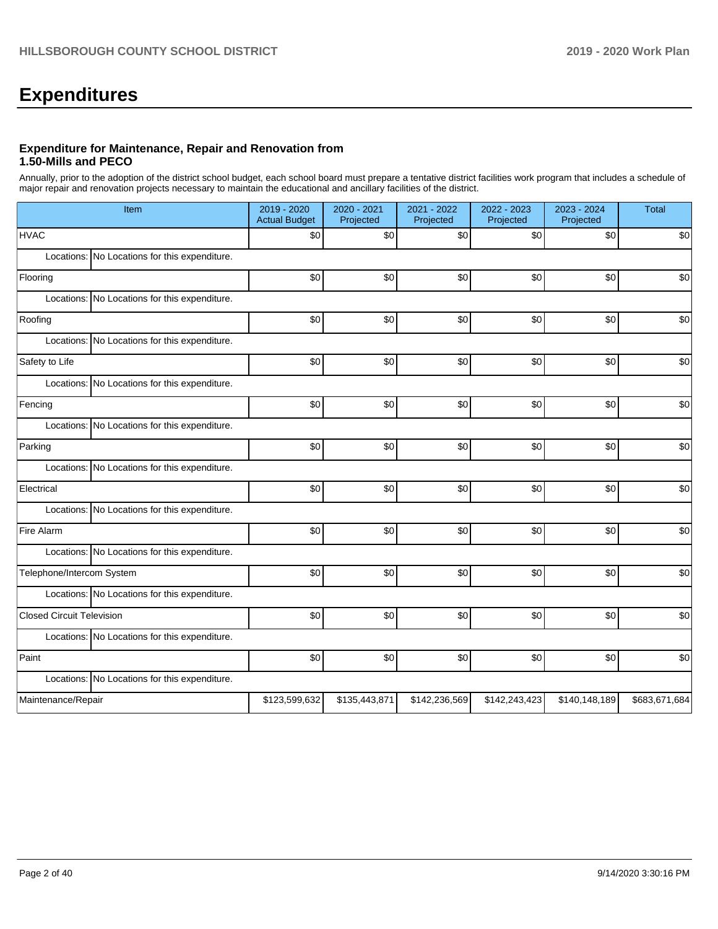# **Expenditures**

### **Expenditure for Maintenance, Repair and Renovation from 1.50-Mills and PECO**

Annually, prior to the adoption of the district school budget, each school board must prepare a tentative district facilities work program that includes a schedule of major repair and renovation projects necessary to maintain the educational and ancillary facilities of the district.

| Item                                          | 2019 - 2020<br><b>Actual Budget</b> | 2020 - 2021<br>Projected | 2021 - 2022<br>Projected | 2022 - 2023<br>Projected | 2023 - 2024<br>Projected | Total         |
|-----------------------------------------------|-------------------------------------|--------------------------|--------------------------|--------------------------|--------------------------|---------------|
| <b>HVAC</b>                                   | \$0                                 | \$0                      | \$0                      | \$0                      | \$0                      | \$0           |
| Locations: No Locations for this expenditure. |                                     |                          |                          |                          |                          |               |
| Flooring                                      | \$0                                 | \$0                      | \$0                      | \$0                      | \$0                      | \$0           |
| Locations: No Locations for this expenditure. |                                     |                          |                          |                          |                          |               |
| Roofing                                       | \$0                                 | \$0                      | \$0                      | \$0                      | \$0                      | \$0           |
| Locations: No Locations for this expenditure. |                                     |                          |                          |                          |                          |               |
| Safety to Life                                | \$0                                 | \$0                      | \$0                      | \$0                      | \$0                      | \$0           |
| Locations: No Locations for this expenditure. |                                     |                          |                          |                          |                          |               |
| Fencing                                       | \$0                                 | \$0                      | \$0                      | \$0                      | \$0                      | \$0           |
| Locations: No Locations for this expenditure. |                                     |                          |                          |                          |                          |               |
| Parking                                       | \$0                                 | \$0                      | \$0                      | \$0                      | \$0                      | \$0           |
| Locations: No Locations for this expenditure. |                                     |                          |                          |                          |                          |               |
| Electrical                                    | \$0                                 | \$0                      | \$0                      | \$0                      | \$0                      | \$0           |
| Locations: No Locations for this expenditure. |                                     |                          |                          |                          |                          |               |
| Fire Alarm                                    | \$0                                 | \$0                      | \$0                      | \$0                      | \$0                      | \$0           |
| Locations: No Locations for this expenditure. |                                     |                          |                          |                          |                          |               |
| Telephone/Intercom System                     | \$0                                 | \$0                      | \$0                      | \$0                      | \$0                      | \$0           |
| Locations: No Locations for this expenditure. |                                     |                          |                          |                          |                          |               |
| <b>Closed Circuit Television</b>              | \$0                                 | \$0                      | \$0                      | \$0                      | \$0                      | \$0           |
| Locations: No Locations for this expenditure. |                                     |                          |                          |                          |                          |               |
| Paint                                         | \$0                                 | \$0                      | \$0                      | \$0                      | \$0                      | \$0           |
| Locations: No Locations for this expenditure. |                                     |                          |                          |                          |                          |               |
| Maintenance/Repair                            | \$123,599,632                       | \$135,443,871            | \$142,236,569            | \$142,243,423            | \$140,148,189            | \$683,671,684 |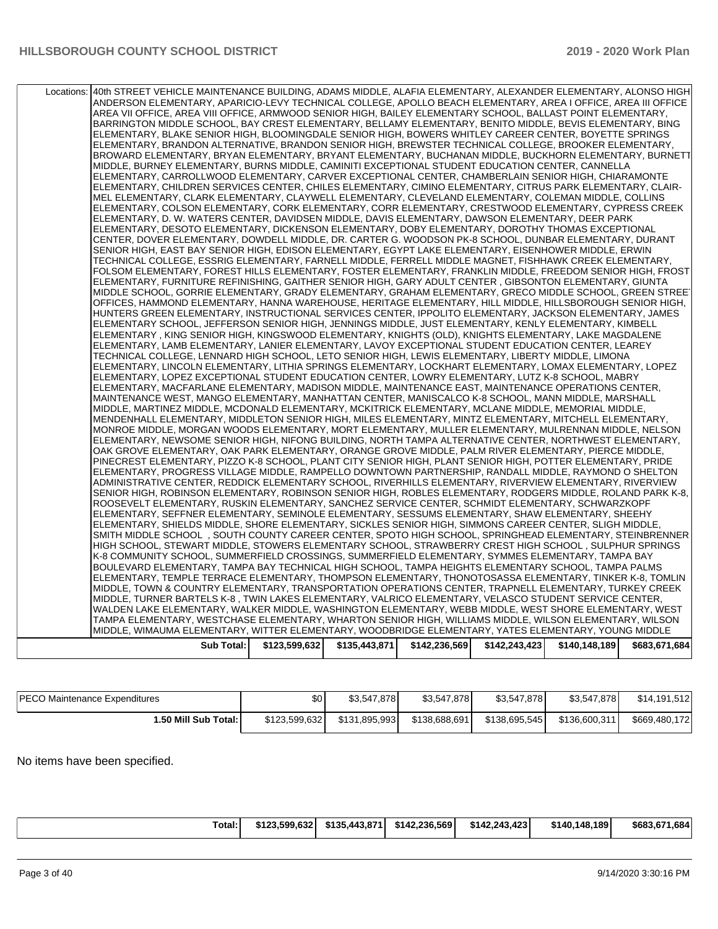| Locations: | 40th STREET VEHICLE MAINTENANCE BUILDING, ADAMS MIDDLE, ALAFIA ELEMENTARY, ALEXANDER ELEMENTARY, ALONSO HIGH                                                                                                        |               |               |               |               |               |               |
|------------|---------------------------------------------------------------------------------------------------------------------------------------------------------------------------------------------------------------------|---------------|---------------|---------------|---------------|---------------|---------------|
|            | ANDERSON ELEMENTARY, APARICIO-LEVY TECHNICAL COLLEGE, APOLLO BEACH ELEMENTARY, AREA I OFFICE, AREA III OFFICE                                                                                                       |               |               |               |               |               |               |
|            | AREA VII OFFICE, AREA VIII OFFICE, ARMWOOD SENIOR HIGH, BAILEY ELEMENTARY SCHOOL, BALLAST POINT ELEMENTARY,                                                                                                         |               |               |               |               |               |               |
|            | BARRINGTON MIDDLE SCHOOL, BAY CREST ELEMENTARY, BELLAMY ELEMENTARY, BENITO MIDDLE, BEVIS ELEMENTARY, BING<br>ELEMENTARY, BLAKE SENIOR HIGH, BLOOMINGDALE SENIOR HIGH, BOWERS WHITLEY CAREER CENTER, BOYETTE SPRINGS |               |               |               |               |               |               |
|            | ELEMENTARY, BRANDON ALTERNATIVE, BRANDON SENIOR HIGH, BREWSTER TECHNICAL COLLEGE, BROOKER ELEMENTARY,                                                                                                               |               |               |               |               |               |               |
|            | BROWARD ELEMENTARY, BRYAN ELEMENTARY, BRYANT ELEMENTARY, BUCHANAN MIDDLE, BUCKHORN ELEMENTARY, BURNETT                                                                                                              |               |               |               |               |               |               |
|            | MIDDLE, BURNEY ELEMENTARY, BURNS MIDDLE, CAMINITI EXCEPTIONAL STUDENT EDUCATION CENTER, CANNELLA                                                                                                                    |               |               |               |               |               |               |
|            | ELEMENTARY, CARROLLWOOD ELEMENTARY, CARVER EXCEPTIONAL CENTER, CHAMBERLAIN SENIOR HIGH, CHIARAMONTE                                                                                                                 |               |               |               |               |               |               |
|            | ELEMENTARY, CHILDREN SERVICES CENTER, CHILES ELEMENTARY, CIMINO ELEMENTARY, CITRUS PARK ELEMENTARY, CLAIR-                                                                                                          |               |               |               |               |               |               |
|            | MEL ELEMENTARY, CLARK ELEMENTARY, CLAYWELL ELEMENTARY, CLEVELAND ELEMENTARY, COLEMAN MIDDLE, COLLINS                                                                                                                |               |               |               |               |               |               |
|            | ELEMENTARY, COLSON ELEMENTARY, CORK ELEMENTARY, CORR ELEMENTARY, CRESTWOOD ELEMENTARY, CYPRESS CREEK                                                                                                                |               |               |               |               |               |               |
|            | ELEMENTARY, D. W. WATERS CENTER, DAVIDSEN MIDDLE, DAVIS ELEMENTARY, DAWSON ELEMENTARY, DEER PARK<br>ELEMENTARY, DESOTO ELEMENTARY, DICKENSON ELEMENTARY, DOBY ELEMENTARY, DOROTHY THOMAS EXCEPTIONAL                |               |               |               |               |               |               |
|            | CENTER, DOVER ELEMENTARY, DOWDELL MIDDLE, DR. CARTER G. WOODSON PK-8 SCHOOL, DUNBAR ELEMENTARY, DURANT                                                                                                              |               |               |               |               |               |               |
|            | SENIOR HIGH, EAST BAY SENIOR HIGH, EDISON ELEMENTARY, EGYPT LAKE ELEMENTARY, EISENHOWER MIDDLE, ERWIN                                                                                                               |               |               |               |               |               |               |
|            | TECHNICAL COLLEGE, ESSRIG ELEMENTARY, FARNELL MIDDLE, FERRELL MIDDLE MAGNET, FISHHAWK CREEK ELEMENTARY,                                                                                                             |               |               |               |               |               |               |
|            | FOLSOM ELEMENTARY, FOREST HILLS ELEMENTARY, FOSTER ELEMENTARY, FRANKLIN MIDDLE, FREEDOM SENIOR HIGH, FROST                                                                                                          |               |               |               |               |               |               |
|            | ELEMENTARY, FURNITURE REFINISHING, GAITHER SENIOR HIGH, GARY ADULT CENTER, GIBSONTON ELEMENTARY, GIUNTA                                                                                                             |               |               |               |               |               |               |
|            | MIDDLE SCHOOL, GORRIE ELEMENTARY, GRADY ELEMENTARY, GRAHAM ELEMENTARY, GRECO MIDDLE SCHOOL, GREEN STREE'                                                                                                            |               |               |               |               |               |               |
|            | OFFICES, HAMMOND ELEMENTARY, HANNA WAREHOUSE, HERITAGE ELEMENTARY, HILL MIDDLE, HILLSBOROUGH SENIOR HIGH,                                                                                                           |               |               |               |               |               |               |
|            | HUNTERS GREEN ELEMENTARY, INSTRUCTIONAL SERVICES CENTER, IPPOLITO ELEMENTARY, JACKSON ELEMENTARY, JAMES                                                                                                             |               |               |               |               |               |               |
|            | ELEMENTARY SCHOOL, JEFFERSON SENIOR HIGH, JENNINGS MIDDLE, JUST ELEMENTARY, KENLY ELEMENTARY, KIMBELL<br>ELEMENTARY , KING SENIOR HIGH, KINGSWOOD ELEMENTARY, KNIGHTS (OLD), KNIGHTS ELEMENTARY, LAKE MAGDALENE     |               |               |               |               |               |               |
|            | ELEMENTARY, LAMB ELEMENTARY, LANIER ELEMENTARY, LAVOY EXCEPTIONAL STUDENT EDUCATION CENTER, LEAREY                                                                                                                  |               |               |               |               |               |               |
|            | TECHNICAL COLLEGE, LENNARD HIGH SCHOOL, LETO SENIOR HIGH, LEWIS ELEMENTARY, LIBERTY MIDDLE, LIMONA                                                                                                                  |               |               |               |               |               |               |
|            | ELEMENTARY, LINCOLN ELEMENTARY, LITHIA SPRINGS ELEMENTARY, LOCKHART ELEMENTARY, LOMAX ELEMENTARY, LOPEZ                                                                                                             |               |               |               |               |               |               |
|            | ELEMENTARY, LOPEZ EXCEPTIONAL STUDENT EDUCATION CENTER, LOWRY ELEMENTARY, LUTZ K-8 SCHOOL, MABRY                                                                                                                    |               |               |               |               |               |               |
|            | ELEMENTARY, MACFARLANE ELEMENTARY, MADISON MIDDLE, MAINTENANCE EAST, MAINTENANCE OPERATIONS CENTER,                                                                                                                 |               |               |               |               |               |               |
|            | MAINTENANCE WEST, MANGO ELEMENTARY, MANHATTAN CENTER, MANISCALCO K-8 SCHOOL, MANN MIDDLE, MARSHALL                                                                                                                  |               |               |               |               |               |               |
|            | MIDDLE, MARTINEZ MIDDLE, MCDONALD ELEMENTARY, MCKITRICK ELEMENTARY, MCLANE MIDDLE, MEMORIAL MIDDLE,<br>MENDENHALL ELEMENTARY, MIDDLETON SENIOR HIGH, MILES ELEMENTARY, MINTZ ELEMENTARY, MITCHELL ELEMENTARY,       |               |               |               |               |               |               |
|            | MONROE MIDDLE, MORGAN WOODS ELEMENTARY, MORT ELEMENTARY, MULLER ELEMENTARY, MULRENNAN MIDDLE, NELSON                                                                                                                |               |               |               |               |               |               |
|            | ELEMENTARY, NEWSOME SENIOR HIGH, NIFONG BUILDING, NORTH TAMPA ALTERNATIVE CENTER, NORTHWEST ELEMENTARY,                                                                                                             |               |               |               |               |               |               |
|            | OAK GROVE ELEMENTARY, OAK PARK ELEMENTARY, ORANGE GROVE MIDDLE, PALM RIVER ELEMENTARY, PIERCE MIDDLE,                                                                                                               |               |               |               |               |               |               |
|            | PINECREST ELEMENTARY, PIZZO K-8 SCHOOL, PLANT CITY SENIOR HIGH, PLANT SENIOR HIGH, POTTER ELEMENTARY, PRIDE                                                                                                         |               |               |               |               |               |               |
|            | ELEMENTARY, PROGRESS VILLAGE MIDDLE, RAMPELLO DOWNTOWN PARTNERSHIP, RANDALL MIDDLE, RAYMOND O SHELTON                                                                                                               |               |               |               |               |               |               |
|            | ADMINISTRATIVE CENTER, REDDICK ELEMENTARY SCHOOL, RIVERHILLS ELEMENTARY, RIVERVIEW ELEMENTARY, RIVERVIEW                                                                                                            |               |               |               |               |               |               |
|            | SENIOR HIGH, ROBINSON ELEMENTARY, ROBINSON SENIOR HIGH, ROBLES ELEMENTARY, RODGERS MIDDLE, ROLAND PARK K-8,<br>ROOSEVELT ELEMENTARY, RUSKIN ELEMENTARY, SANCHEZ SERVICE CENTER, SCHMIDT ELEMENTARY, SCHWARZKOPF     |               |               |               |               |               |               |
|            | ELEMENTARY, SEFFNER ELEMENTARY, SEMINOLE ELEMENTARY, SESSUMS ELEMENTARY, SHAW ELEMENTARY, SHEEHY                                                                                                                    |               |               |               |               |               |               |
|            | ELEMENTARY, SHIELDS MIDDLE, SHORE ELEMENTARY, SICKLES SENIOR HIGH, SIMMONS CAREER CENTER, SLIGH MIDDLE,                                                                                                             |               |               |               |               |               |               |
|            | SMITH MIDDLE SCHOOL, SOUTH COUNTY CAREER CENTER, SPOTO HIGH SCHOOL, SPRINGHEAD ELEMENTARY, STEINBRENNER                                                                                                             |               |               |               |               |               |               |
|            | HIGH SCHOOL, STEWART MIDDLE, STOWERS ELEMENTARY SCHOOL, STRAWBERRY CREST HIGH SCHOOL, SULPHUR SPRINGS                                                                                                               |               |               |               |               |               |               |
|            | K-8 COMMUNITY SCHOOL, SUMMERFIELD CROSSINGS, SUMMERFIELD ELEMENTARY, SYMMES ELEMENTARY, TAMPA BAY                                                                                                                   |               |               |               |               |               |               |
|            | BOULEVARD ELEMENTARY, TAMPA BAY TECHNICAL HIGH SCHOOL, TAMPA HEIGHTS ELEMENTARY SCHOOL, TAMPA PALMS                                                                                                                 |               |               |               |               |               |               |
|            | ELEMENTARY, TEMPLE TERRACE ELEMENTARY, THOMPSON ELEMENTARY, THONOTOSASSA ELEMENTARY, TINKER K-8, TOMLIN<br>MIDDLE, TOWN & COUNTRY ELEMENTARY, TRANSPORTATION OPERATIONS CENTER, TRAPNELL ELEMENTARY, TURKEY CREEK   |               |               |               |               |               |               |
|            | MIDDLE, TURNER BARTELS K-8, TWIN LAKES ELEMENTARY, VALRICO ELEMENTARY, VELASCO STUDENT SERVICE CENTER,                                                                                                              |               |               |               |               |               |               |
|            | WALDEN LAKE ELEMENTARY, WALKER MIDDLE, WASHINGTON ELEMENTARY, WEBB MIDDLE, WEST SHORE ELEMENTARY, WEST                                                                                                              |               |               |               |               |               |               |
|            | TAMPA ELEMENTARY, WESTCHASE ELEMENTARY, WHARTON SENIOR HIGH, WILLIAMS MIDDLE, WILSON ELEMENTARY, WILSON                                                                                                             |               |               |               |               |               |               |
|            | MIDDLE, WIMAUMA ELEMENTARY, WITTER ELEMENTARY, WOODBRIDGE ELEMENTARY, YATES ELEMENTARY, YOUNG MIDDLE                                                                                                                |               |               |               |               |               |               |
|            | Sub Total:                                                                                                                                                                                                          | \$123,599,632 | \$135,443,871 | \$142,236,569 | \$142,243,423 | \$140,148,189 | \$683,671,684 |
|            |                                                                                                                                                                                                                     |               |               |               |               |               |               |

| <b>PECO Maintenance Expenditures</b> | \$0           | \$3,547,878   | \$3.547.878   | \$3.547.878   | \$3,547,878   | \$14,191,512  |
|--------------------------------------|---------------|---------------|---------------|---------------|---------------|---------------|
| ا :50 Mill Sub Total.                | \$123.599.632 | \$131,895,993 | \$138,688,691 | \$138,695,545 | \$136,600.311 | \$669,480,172 |

No items have been specified.

|--|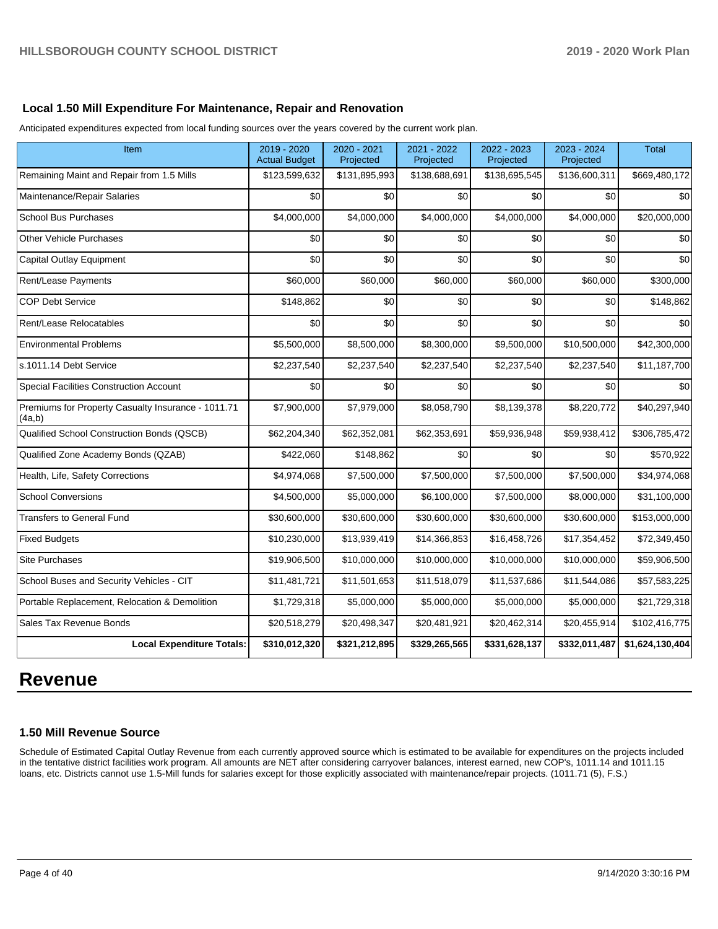### **Local 1.50 Mill Expenditure For Maintenance, Repair and Renovation**

Anticipated expenditures expected from local funding sources over the years covered by the current work plan.

| Item                                                         | 2019 - 2020<br><b>Actual Budget</b> | 2020 - 2021<br>Projected | 2021 - 2022<br>Projected | 2022 - 2023<br>Projected | 2023 - 2024<br>Projected | <b>Total</b>    |
|--------------------------------------------------------------|-------------------------------------|--------------------------|--------------------------|--------------------------|--------------------------|-----------------|
| Remaining Maint and Repair from 1.5 Mills                    | \$123,599,632                       | \$131,895,993            | \$138,688,691            | \$138,695,545            | \$136,600,311            | \$669,480,172   |
| Maintenance/Repair Salaries                                  | \$0                                 | \$0                      | \$0                      | \$0                      | \$0                      | \$0             |
| <b>School Bus Purchases</b>                                  | \$4,000,000                         | \$4,000,000              | \$4,000,000              | \$4,000,000              | \$4,000,000              | \$20,000,000    |
| <b>Other Vehicle Purchases</b>                               | \$0                                 | \$0                      | \$0                      | \$0                      | \$0                      | \$0             |
| <b>Capital Outlay Equipment</b>                              | \$0                                 | \$0                      | \$0                      | \$0                      | \$0                      | \$0             |
| Rent/Lease Payments                                          | \$60,000                            | \$60,000                 | \$60,000                 | \$60,000                 | \$60,000                 | \$300,000       |
| <b>COP Debt Service</b>                                      | \$148,862                           | \$0                      | \$0                      | \$0                      | \$0                      | \$148,862       |
| Rent/Lease Relocatables                                      | \$0                                 | \$0                      | \$0                      | \$0                      | \$0                      | \$0             |
| <b>Environmental Problems</b>                                | \$5,500,000                         | \$8,500,000              | \$8,300,000              | \$9,500,000              | \$10,500,000             | \$42,300,000    |
| s.1011.14 Debt Service                                       | \$2,237,540                         | \$2,237,540              | \$2,237,540              | \$2,237,540              | \$2,237,540              | \$11,187,700    |
| Special Facilities Construction Account                      | \$0                                 | \$0                      | \$0                      | \$0                      | \$0                      | \$0             |
| Premiums for Property Casualty Insurance - 1011.71<br>(4a,b) | \$7,900,000                         | \$7,979,000              | \$8,058,790              | \$8,139,378              | \$8,220,772              | \$40,297,940    |
| Qualified School Construction Bonds (QSCB)                   | \$62,204,340                        | \$62,352,081             | \$62,353,691             | \$59,936,948             | \$59,938,412             | \$306,785,472   |
| Qualified Zone Academy Bonds (QZAB)                          | \$422,060                           | \$148,862                | \$0                      | \$0                      | \$0                      | \$570,922       |
| Health, Life, Safety Corrections                             | \$4,974,068                         | \$7,500,000              | \$7,500,000              | \$7,500,000              | \$7,500,000              | \$34,974,068    |
| <b>School Conversions</b>                                    | \$4,500,000                         | \$5,000,000              | \$6,100,000              | \$7,500,000              | \$8,000,000              | \$31,100,000    |
| <b>Transfers to General Fund</b>                             | \$30,600,000                        | \$30,600,000             | \$30,600,000             | \$30,600,000             | \$30,600,000             | \$153,000,000   |
| <b>Fixed Budgets</b>                                         | \$10,230,000                        | \$13,939,419             | \$14,366,853             | \$16,458,726             | \$17,354,452             | \$72,349,450    |
| <b>Site Purchases</b>                                        | \$19,906,500                        | \$10,000,000             | \$10,000,000             | \$10,000,000             | \$10,000,000             | \$59,906,500    |
| School Buses and Security Vehicles - CIT                     | \$11,481,721                        | \$11,501,653             | \$11,518,079             | \$11,537,686             | \$11,544,086             | \$57,583,225    |
| Portable Replacement, Relocation & Demolition                | \$1,729,318                         | \$5,000,000              | \$5,000,000              | \$5,000,000              | \$5,000,000              | \$21,729,318    |
| Sales Tax Revenue Bonds                                      | \$20,518,279                        | \$20,498,347             | \$20,481,921             | \$20,462,314             | \$20,455,914             | \$102,416,775   |
| <b>Local Expenditure Totals:</b>                             | \$310,012,320                       | \$321,212,895            | \$329,265,565            | \$331,628,137            | \$332,011,487            | \$1,624,130,404 |

# **Revenue**

### **1.50 Mill Revenue Source**

Schedule of Estimated Capital Outlay Revenue from each currently approved source which is estimated to be available for expenditures on the projects included in the tentative district facilities work program. All amounts are NET after considering carryover balances, interest earned, new COP's, 1011.14 and 1011.15 loans, etc. Districts cannot use 1.5-Mill funds for salaries except for those explicitly associated with maintenance/repair projects. (1011.71 (5), F.S.)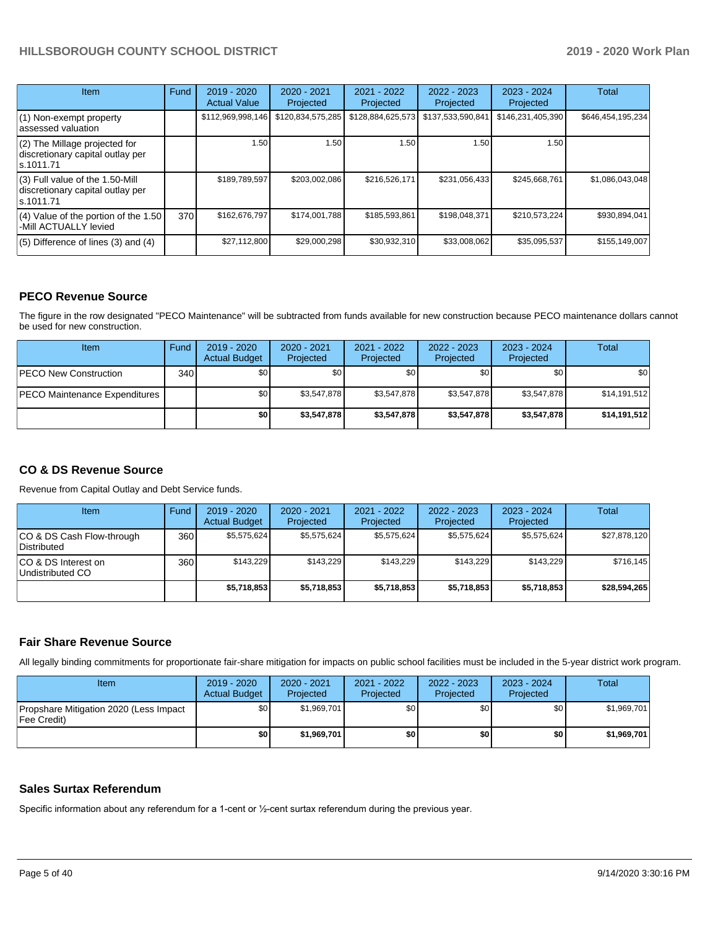| <b>Item</b>                                                                         | Fund | $2019 - 2020$<br><b>Actual Value</b> | 2020 - 2021<br>Projected | 2021 - 2022<br>Projected | $2022 - 2023$<br>Projected | $2023 - 2024$<br>Projected | Total             |
|-------------------------------------------------------------------------------------|------|--------------------------------------|--------------------------|--------------------------|----------------------------|----------------------------|-------------------|
| (1) Non-exempt property<br>lassessed valuation                                      |      | \$112,969,998,146                    | \$120,834,575,285        | \$128,884,625,573        | \$137,533,590,841          | \$146,231,405,390          | \$646,454,195,234 |
| (2) The Millage projected for<br>discretionary capital outlay per<br>ls.1011.71     |      | 1.50                                 | 1.50                     | 1.50                     | 1.50                       | 1.50                       |                   |
| $(3)$ Full value of the 1.50-Mill<br>discretionary capital outlay per<br>ls.1011.71 |      | \$189,789,597                        | \$203.002.086            | \$216,526,171            | \$231,056,433              | \$245.668.761              | \$1,086,043,048   |
| $(4)$ Value of the portion of the 1.50<br>-Mill ACTUALLY levied                     | 370  | \$162,676,797                        | \$174.001.788            | \$185,593,861            | \$198,048,371              | \$210,573,224              | \$930,894,041     |
| $(5)$ Difference of lines $(3)$ and $(4)$                                           |      | \$27,112,800                         | \$29,000,298             | \$30,932,310             | \$33,008,062               | \$35,095,537               | \$155,149,007     |

### **PECO Revenue Source**

The figure in the row designated "PECO Maintenance" will be subtracted from funds available for new construction because PECO maintenance dollars cannot be used for new construction.

| <b>Item</b>                          | Fund         | $2019 - 2020$<br><b>Actual Budget</b> | 2020 - 2021<br>Projected | 2021 - 2022<br>Projected | 2022 - 2023<br>Projected | $2023 - 2024$<br>Projected | Total        |
|--------------------------------------|--------------|---------------------------------------|--------------------------|--------------------------|--------------------------|----------------------------|--------------|
| <b>PECO New Construction</b>         | 340 <b>I</b> | \$0                                   | \$0 <sub>1</sub>         | \$0                      | \$0 <sub>1</sub>         | \$0                        | \$0          |
| <b>PECO Maintenance Expenditures</b> |              | \$0 <sub>1</sub>                      | \$3,547,878              | \$3,547,878              | \$3,547,878              | \$3,547,878                | \$14,191,512 |
|                                      |              | \$0                                   | \$3,547,878              | \$3,547,878              | \$3,547.878              | \$3,547,878                | \$14,191,512 |

### **CO & DS Revenue Source**

Revenue from Capital Outlay and Debt Service funds.

| <b>Item</b>                               | Fund | $2019 - 2020$<br><b>Actual Budget</b> | $2020 - 2021$<br>Projected | $2021 - 2022$<br>Projected | $2022 - 2023$<br>Projected | $2023 - 2024$<br>Projected | Total        |
|-------------------------------------------|------|---------------------------------------|----------------------------|----------------------------|----------------------------|----------------------------|--------------|
| ICO & DS Cash Flow-through<br>Distributed | 360  | \$5.575.624                           | \$5,575,624                | \$5.575.624                | \$5.575.624                | \$5,575,624                | \$27,878,120 |
| ICO & DS Interest on<br>Undistributed CO  | 360  | \$143.229                             | \$143.229                  | \$143.229                  | \$143.229                  | \$143.229                  | \$716.145    |
|                                           |      | \$5,718,853                           | \$5,718,853                | \$5,718,853                | \$5,718,853                | \$5,718,853                | \$28,594,265 |

### **Fair Share Revenue Source**

All legally binding commitments for proportionate fair-share mitigation for impacts on public school facilities must be included in the 5-year district work program.

| Item                                                          | 2019 - 2020<br><b>Actual Budget</b> | 2020 - 2021<br>Projected | $2021 - 2022$<br>Projected | 2022 - 2023<br>Projected | 2023 - 2024<br>Projected | Total       |
|---------------------------------------------------------------|-------------------------------------|--------------------------|----------------------------|--------------------------|--------------------------|-------------|
| Propshare Mitigation 2020 (Less Impact<br><b>IFee Credit)</b> | \$0                                 | \$1,969,701              | \$0                        | \$0                      | \$0 <sub>1</sub>         | \$1,969,701 |
|                                                               | \$0                                 | \$1,969,701              | \$0                        | \$0                      | \$0                      | \$1,969,701 |

### **Sales Surtax Referendum**

Specific information about any referendum for a 1-cent or ½-cent surtax referendum during the previous year.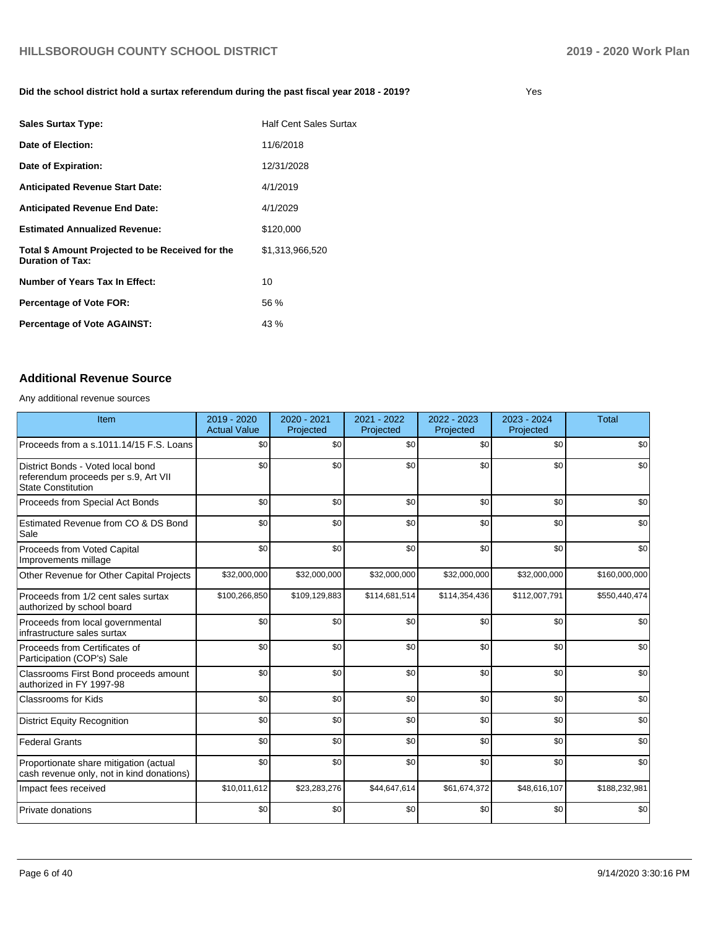### **Did the school district hold a surtax referendum during the past fiscal year 2018 - 2019?**

| <b>Sales Surtax Type:</b>                                                   | <b>Half Cent Sales Surtax</b> |
|-----------------------------------------------------------------------------|-------------------------------|
| Date of Election:                                                           | 11/6/2018                     |
| Date of Expiration:                                                         | 12/31/2028                    |
| <b>Anticipated Revenue Start Date:</b>                                      | 4/1/2019                      |
| <b>Anticipated Revenue End Date:</b>                                        | 4/1/2029                      |
| <b>Estimated Annualized Revenue:</b>                                        | \$120,000                     |
| Total \$ Amount Projected to be Received for the<br><b>Duration of Tax:</b> | \$1,313,966,520               |
| Number of Years Tax In Effect:                                              | 10                            |
| <b>Percentage of Vote FOR:</b>                                              | 56 %                          |
| <b>Percentage of Vote AGAINST:</b>                                          | 43%                           |

### **Additional Revenue Source**

Any additional revenue sources

| <b>Item</b>                                                                                            | 2019 - 2020<br><b>Actual Value</b> | 2020 - 2021<br>Projected | 2021 - 2022<br>Projected | 2022 - 2023<br>Projected | 2023 - 2024<br>Projected | <b>Total</b>  |
|--------------------------------------------------------------------------------------------------------|------------------------------------|--------------------------|--------------------------|--------------------------|--------------------------|---------------|
| Proceeds from a s.1011.14/15 F.S. Loans                                                                | \$0                                | \$0                      | \$0                      | \$0                      | \$0                      | \$0           |
| District Bonds - Voted local bond<br>referendum proceeds per s.9, Art VII<br><b>State Constitution</b> | \$0                                | \$0                      | \$0                      | \$0                      | \$0                      | \$0           |
| Proceeds from Special Act Bonds                                                                        | \$0                                | \$0                      | \$0                      | \$0                      | \$0                      | \$0           |
| Estimated Revenue from CO & DS Bond<br>Sale                                                            | \$0                                | \$0                      | \$0                      | \$0                      | \$0                      | \$0           |
| Proceeds from Voted Capital<br>Improvements millage                                                    | \$0                                | \$0                      | \$0                      | \$0                      | \$0                      | \$0           |
| Other Revenue for Other Capital Projects                                                               | \$32,000,000                       | \$32,000,000             | \$32,000,000             | \$32,000,000             | \$32,000,000             | \$160,000,000 |
| Proceeds from 1/2 cent sales surtax<br>authorized by school board                                      | \$100,266,850                      | \$109,129,883            | \$114,681,514            | \$114,354,436            | \$112,007,791            | \$550,440,474 |
| Proceeds from local governmental<br>infrastructure sales surtax                                        | \$0                                | \$0                      | \$0                      | \$0                      | \$0                      | \$0           |
| Proceeds from Certificates of<br>Participation (COP's) Sale                                            | \$0                                | \$0                      | \$0                      | \$0                      | \$0                      | \$0           |
| Classrooms First Bond proceeds amount<br>authorized in FY 1997-98                                      | \$0                                | \$0                      | \$0                      | \$0                      | \$0                      | \$0           |
| <b>Classrooms for Kids</b>                                                                             | \$0                                | \$0                      | \$0                      | \$0                      | \$0                      | \$0           |
| <b>District Equity Recognition</b>                                                                     | \$0                                | \$0                      | \$0                      | \$0                      | \$0                      | \$0           |
| <b>Federal Grants</b>                                                                                  | \$0                                | \$0                      | \$0                      | \$0                      | \$0                      | \$0           |
| Proportionate share mitigation (actual<br>cash revenue only, not in kind donations)                    | \$0                                | \$0                      | \$0                      | \$0                      | \$0                      | \$0           |
| Impact fees received                                                                                   | \$10,011,612                       | \$23,283,276             | \$44,647,614             | \$61,674,372             | \$48,616,107             | \$188,232,981 |
| Private donations                                                                                      | \$0                                | \$0                      | \$0                      | \$0                      | \$0                      | \$0           |

Yes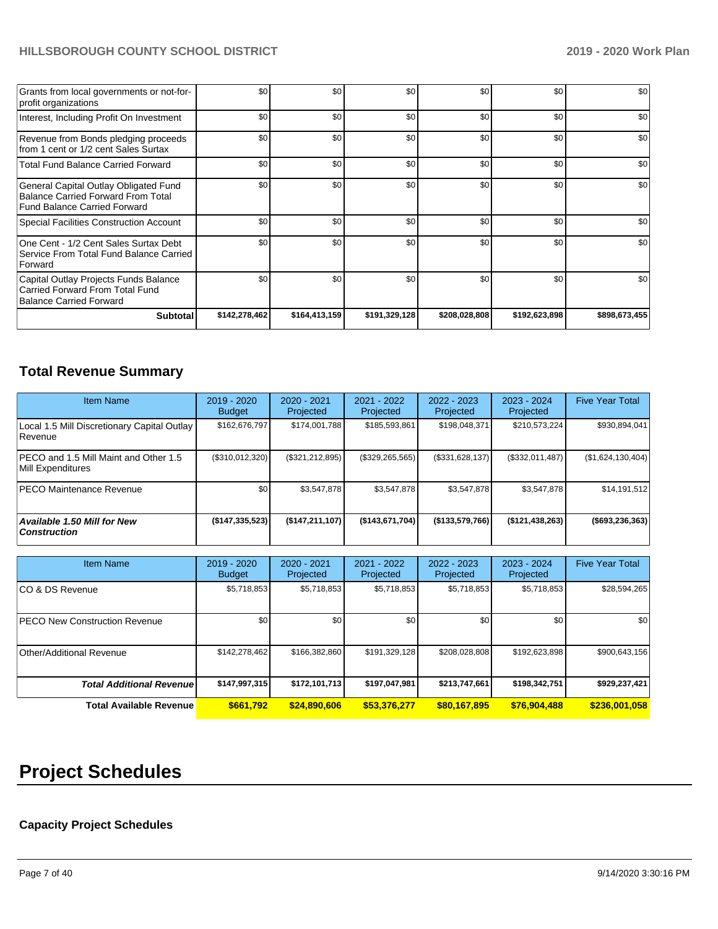| Grants from local governments or not-for-<br>profit organizations                                                         | \$0           | \$0           | \$0           | \$0           | \$0           | \$0           |
|---------------------------------------------------------------------------------------------------------------------------|---------------|---------------|---------------|---------------|---------------|---------------|
| Interest, Including Profit On Investment                                                                                  | \$0           | \$0           | \$0           | \$0           | \$0           | \$0           |
| Revenue from Bonds pledging proceeds<br>from 1 cent or 1/2 cent Sales Surtax                                              | \$0           | \$0           | \$0           | \$0           | \$0           | \$0           |
| <b>Total Fund Balance Carried Forward</b>                                                                                 | \$0           | \$0           | \$0           | \$0           | \$0           | \$0           |
| General Capital Outlay Obligated Fund<br><b>Balance Carried Forward From Total</b><br><b>Fund Balance Carried Forward</b> | \$0           | \$0           | \$0           | \$0           | \$0           | \$0           |
| Special Facilities Construction Account                                                                                   | \$0           | \$0           | \$0           | \$0           | \$0           | \$0           |
| One Cent - 1/2 Cent Sales Surtax Debt<br>Service From Total Fund Balance Carried<br>Forward                               | \$0           | \$0           | \$0           | \$0           | \$0           | \$0           |
| Capital Outlay Projects Funds Balance<br>Carried Forward From Total Fund<br><b>Balance Carried Forward</b>                | \$0           | \$0           | \$0           | \$0           | \$0           | \$0           |
| <b>Subtotal</b>                                                                                                           | \$142,278,462 | \$164,413,159 | \$191,329,128 | \$208,028,808 | \$192,623,898 | \$898,673,455 |

# **Total Revenue Summary**

| <b>Item Name</b>                                           | 2019 - 2020<br><b>Budget</b> | 2020 - 2021<br>Projected | 2021 - 2022<br>Projected | $2022 - 2023$<br>Projected | 2023 - 2024<br>Projected | <b>Five Year Total</b> |
|------------------------------------------------------------|------------------------------|--------------------------|--------------------------|----------------------------|--------------------------|------------------------|
| Local 1.5 Mill Discretionary Capital Outlay<br>l Revenue   | \$162.676.797                | \$174,001,788            | \$185,593,861            | \$198,048,371              | \$210,573,224            | \$930,894,041          |
| PECO and 1.5 Mill Maint and Other 1.5<br>Mill Expenditures | (\$310,012,320)              | (\$321, 212, 895)        | (\$329, 265, 565)        | (\$331,628,137)            | (\$332,011,487)          | (\$1,624,130,404)      |
| <b>PECO Maintenance Revenue</b>                            | \$0 <sub>1</sub>             | \$3,547,878              | \$3,547,878              | \$3,547,878                | \$3,547,878              | \$14,191,512           |
| <b>Available 1.50 Mill for New</b><br><b>Construction</b>  | (\$147,335,523)              | (\$147, 211, 107)        | (\$143,671,704)          | (\$133,579,766)            | ( \$121, 438, 263)       | (\$693, 236, 363)      |

| <b>Item Name</b>                      | 2019 - 2020<br><b>Budget</b> | 2020 - 2021<br>Projected | 2021 - 2022<br>Projected | 2022 - 2023<br>Projected | 2023 - 2024<br>Projected | <b>Five Year Total</b> |
|---------------------------------------|------------------------------|--------------------------|--------------------------|--------------------------|--------------------------|------------------------|
| ICO & DS Revenue                      | \$5,718,853                  | \$5,718,853              | \$5,718,853              | \$5,718,853              | \$5,718,853              | \$28,594,265           |
| <b>IPECO New Construction Revenue</b> | \$0                          | \$0                      | \$0                      | \$0                      | \$0                      | \$0                    |
| Other/Additional Revenue              | \$142,278,462                | \$166,382,860            | \$191,329,128            | \$208,028,808            | \$192,623,898            | \$900,643,156          |
| <b>Total Additional Revenue</b>       | \$147,997,315                | \$172,101,713            | \$197,047,981            | \$213,747,661            | \$198,342,751            | \$929,237,421          |
| <b>Total Available Revenue</b>        | \$661,792                    | \$24,890,606             | \$53,376,277             | \$80,167,895             | \$76.904.488             | \$236,001,058          |

# **Project Schedules**

## **Capacity Project Schedules**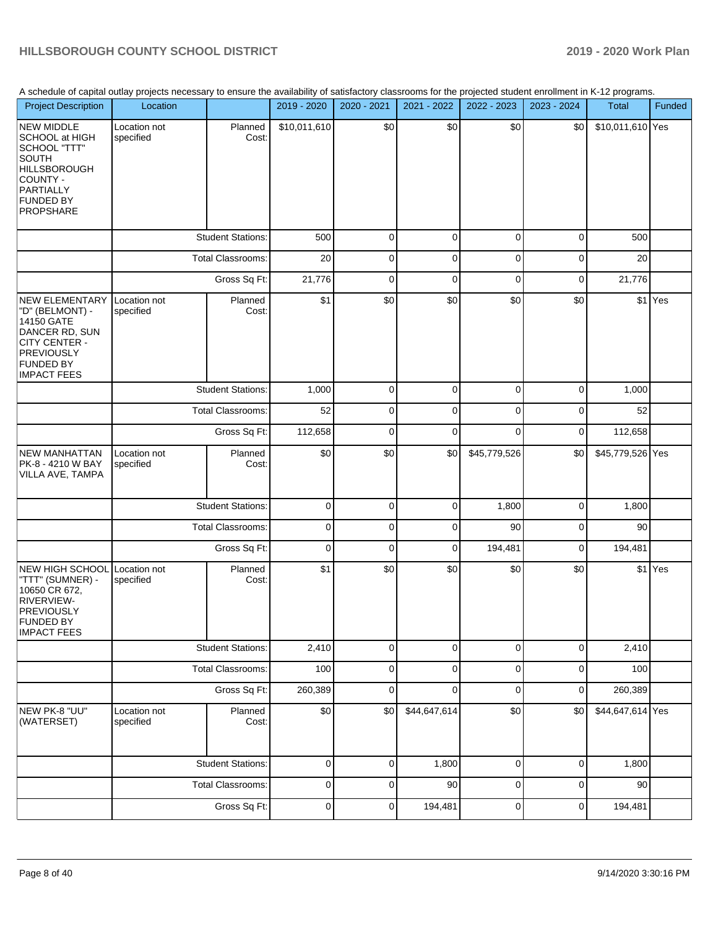A schedule of capital outlay projects necessary to ensure the availability of satisfactory classrooms for the projected student enrollment in K-12 programs.

|                                                                                                                                                             | A Scriedule of capital outlay projects riecessary to ensure the availability of satisfactory classrooms for the projected student emolifient in K-12 programs. |                          |              |             |              |              |             |                  |         |
|-------------------------------------------------------------------------------------------------------------------------------------------------------------|----------------------------------------------------------------------------------------------------------------------------------------------------------------|--------------------------|--------------|-------------|--------------|--------------|-------------|------------------|---------|
| <b>Project Description</b>                                                                                                                                  | Location                                                                                                                                                       |                          | 2019 - 2020  | 2020 - 2021 | 2021 - 2022  | 2022 - 2023  | 2023 - 2024 | Total            | Funded  |
| NEW MIDDLE<br>SCHOOL at HIGH<br>SCHOOL "TTT"<br><b>SOUTH</b><br><b>HILLSBOROUGH</b><br>COUNTY -<br><b>PARTIALLY</b><br><b>FUNDED BY</b><br><b>PROPSHARE</b> | Location not<br>specified                                                                                                                                      | Planned<br>Cost:         | \$10,011,610 | \$0         | \$0          | \$0          | \$0         | \$10,011,610 Yes |         |
|                                                                                                                                                             | <b>Student Stations:</b>                                                                                                                                       |                          | 500          | 0           | 0            | 0            | 0           | 500              |         |
|                                                                                                                                                             | Total Classrooms:                                                                                                                                              |                          | 20           | 0           | 0            | 0            | 0           | 20               |         |
|                                                                                                                                                             |                                                                                                                                                                | Gross Sq Ft:             | 21,776       | 0           | 0            | 0            | $\pmb{0}$   | 21,776           |         |
| <b>NEW ELEMENTARY</b><br>"D" (BELMONT) -<br>14150 GATE<br>DANCER RD, SUN<br>CITY CENTER -<br><b>PREVIOUSLY</b><br><b>FUNDED BY</b><br><b>IMPACT FEES</b>    | Location not<br>specified                                                                                                                                      | Planned<br>Cost:         | \$1          | \$0         | \$0          | \$0          | \$0         |                  | \$1 Yes |
|                                                                                                                                                             |                                                                                                                                                                | <b>Student Stations:</b> | 1,000        | $\mathbf 0$ | 0            | 0            | 0           | 1,000            |         |
|                                                                                                                                                             |                                                                                                                                                                | Total Classrooms:        | 52           | 0           | 0            | 0            | 0           | 52               |         |
|                                                                                                                                                             |                                                                                                                                                                | Gross Sq Ft:             | 112,658      | 0           | 0            | 0            | 0           | 112,658          |         |
| <b>NEW MANHATTAN</b><br>PK-8 - 4210 W BAY<br>VILLA AVE, TAMPA                                                                                               | Location not<br>specified                                                                                                                                      | Planned<br>Cost:         | \$0          | \$0         | \$0          | \$45,779,526 | \$0         | \$45,779,526 Yes |         |
|                                                                                                                                                             |                                                                                                                                                                | <b>Student Stations:</b> | $\mathbf 0$  | 0           | $\mathbf 0$  | 1,800        | $\mathbf 0$ | 1,800            |         |
|                                                                                                                                                             |                                                                                                                                                                | Total Classrooms:        | $\mathbf 0$  | 0           | 0            | 90           | $\pmb{0}$   | 90               |         |
|                                                                                                                                                             |                                                                                                                                                                | Gross Sq Ft:             | $\mathbf 0$  | 0           | 0            | 194,481      | $\mathbf 0$ | 194,481          |         |
| <b>NEW HIGH SCHOOL</b><br>"TTT" (SUMNER) -<br>10650 CR 672,<br>RIVERVIEW-<br><b>PREVIOUSLY</b><br><b>FUNDED BY</b><br><b>IMPACT FEES</b>                    | Location not<br>specified                                                                                                                                      | Planned<br>Cost:         | \$1          | \$0         | \$0          | \$0          | \$0         |                  | \$1 Yes |
|                                                                                                                                                             |                                                                                                                                                                | <b>Student Stations:</b> | 2,410        | 0           | 0            | $\mathbf 0$  | $\mathbf 0$ | 2,410            |         |
|                                                                                                                                                             |                                                                                                                                                                | <b>Total Classrooms:</b> | 100          | 0           | 0            | 0            | $\pmb{0}$   | 100              |         |
|                                                                                                                                                             |                                                                                                                                                                | Gross Sq Ft:             | 260,389      | 0           | 0            | $\mathsf 0$  | $\pmb{0}$   | 260,389          |         |
| NEW PK-8 "UU"<br>(WATERSET)                                                                                                                                 | Location not<br>specified                                                                                                                                      | Planned<br>Cost:         | \$0          | \$0         | \$44,647,614 | \$0          | \$0         | \$44,647,614 Yes |         |
|                                                                                                                                                             |                                                                                                                                                                | <b>Student Stations:</b> | 0            | 0           | 1,800        | 0            | 0           | 1,800            |         |
|                                                                                                                                                             |                                                                                                                                                                | Total Classrooms:        | $\pmb{0}$    | 0           | 90           | 0            | 0           | 90               |         |
|                                                                                                                                                             |                                                                                                                                                                | Gross Sq Ft:             | 0            | 0           | 194,481      | 0            | $\mathbf 0$ | 194,481          |         |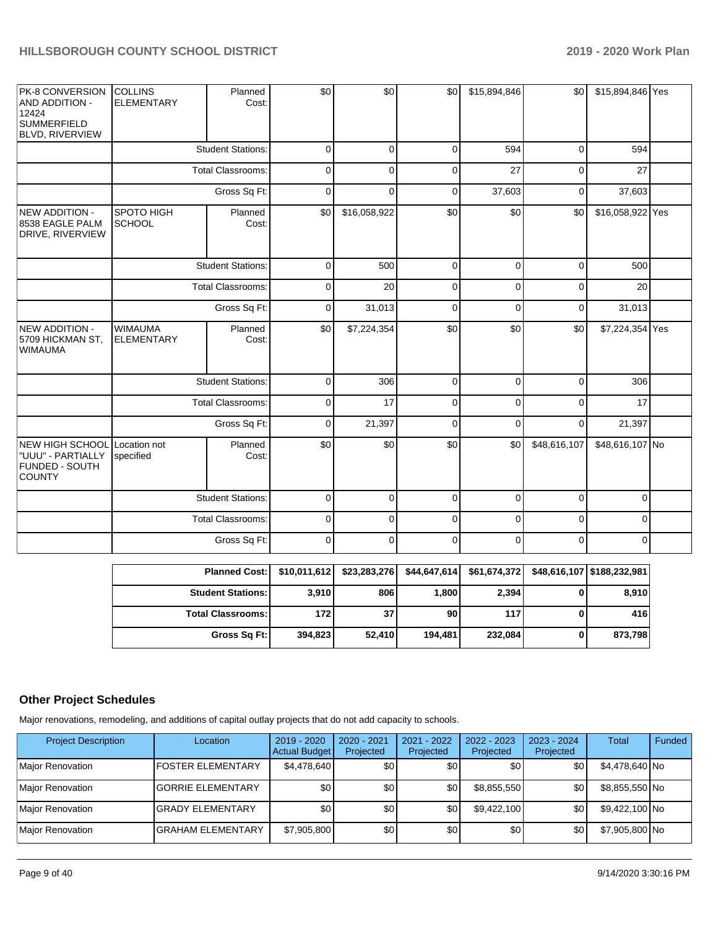| PK-8 CONVERSION<br><b>AND ADDITION -</b><br>12424<br><b>SUMMERFIELD</b><br><b>BLVD, RIVERVIEW</b> | <b>COLLINS</b><br><b>ELEMENTARY</b>           | Planned<br>Cost:         | \$0         | \$0            | \$0         | \$15,894,846 | \$0          | \$15,894,846 Yes |  |
|---------------------------------------------------------------------------------------------------|-----------------------------------------------|--------------------------|-------------|----------------|-------------|--------------|--------------|------------------|--|
|                                                                                                   |                                               | <b>Student Stations:</b> | $\mathbf 0$ | $\overline{0}$ | $\mathbf 0$ | 594          | $\pmb{0}$    | 594              |  |
|                                                                                                   | <b>Total Classrooms:</b>                      |                          | $\mathbf 0$ | 0              | $\mathbf 0$ | 27           | $\mathbf 0$  | 27               |  |
|                                                                                                   |                                               | Gross Sq Ft:             | $\mathbf 0$ | $\mathbf 0$    | $\mathbf 0$ | 37,603       | $\mathbf 0$  | 37,603           |  |
| <b>NEW ADDITION -</b><br>8538 EAGLE PALM<br>DRIVE, RIVERVIEW                                      | SPOTO HIGH<br><b>SCHOOL</b>                   | Planned<br>Cost:         | \$0         | \$16,058,922   | \$0         | \$0          | \$0          | \$16,058,922 Yes |  |
|                                                                                                   |                                               | <b>Student Stations:</b> | $\mathbf 0$ | 500            | $\mathbf 0$ | $\mathbf 0$  | $\mathbf 0$  | 500              |  |
|                                                                                                   | <b>Total Classrooms:</b>                      |                          | $\pmb{0}$   | 20             | $\pmb{0}$   | $\mathbf 0$  | $\pmb{0}$    | 20               |  |
|                                                                                                   |                                               | Gross Sq Ft:             | $\mathbf 0$ | 31,013         | $\mathbf 0$ | $\mathbf 0$  | $\mathbf 0$  | 31,013           |  |
| NEW ADDITION -<br>5709 HICKMAN ST,<br><b>WIMAUMA</b>                                              | <b>WIMAUMA</b><br><b>ELEMENTARY</b>           | Planned<br>Cost:         | \$0         | \$7,224,354    | \$0         | \$0          | \$0          | \$7,224,354 Yes  |  |
|                                                                                                   |                                               | <b>Student Stations:</b> | $\pmb{0}$   | 306            | $\mathbf 0$ | $\mathbf 0$  | $\mathbf 0$  | 306              |  |
|                                                                                                   |                                               | <b>Total Classrooms:</b> | $\mathbf 0$ | 17             | $\mathbf 0$ | $\mathbf 0$  | 0            | 17               |  |
|                                                                                                   |                                               | Gross Sq Ft:             | $\mathsf 0$ | 21,397         | $\mathbf 0$ | $\mathbf 0$  | $\mathbf 0$  | 21,397           |  |
| NEW HIGH SCHOOL<br>"UUU" - PARTIALLY<br>FUNDED - SOUTH<br><b>COUNTY</b>                           | Location not<br>Planned<br>Cost:<br>specified |                          | \$0         | \$0            | \$0         | \$0          | \$48,616,107 | \$48,616,107 No  |  |
|                                                                                                   |                                               | <b>Student Stations:</b> | $\pmb{0}$   | $\mathbf{0}$   | $\mathbf 0$ | $\mathbf{0}$ | $\mathbf 0$  | $\mathbf{0}$     |  |
|                                                                                                   |                                               | <b>Total Classrooms:</b> | $\pmb{0}$   | 0              | $\pmb{0}$   | 0            | $\mathbf 0$  | $\mathbf{0}$     |  |
|                                                                                                   |                                               | Gross Sq Ft:             | 0           | $\mathbf 0$    | 0           | $\mathbf 0$  | $\mathbf 0$  | $\overline{0}$   |  |

| Planned Cost:   \$10,011,612 |         | \$23,283,276 |         | \$44,647,614 \$61,674,372 \$48,616,107 \$188,232,981 |         |
|------------------------------|---------|--------------|---------|------------------------------------------------------|---------|
| <b>Student Stations: I</b>   | 3,910   | 806          | 1,800   | 2,394                                                | 8,910   |
| <b>Total Classrooms: I</b>   | 1721    | 37           | 90      | 117                                                  | 416     |
| Gross Sq Ft:                 | 394,823 | 52,410       | 194.481 | 232,084                                              | 873,798 |

## **Other Project Schedules**

Major renovations, remodeling, and additions of capital outlay projects that do not add capacity to schools.

| <b>Project Description</b> | Location                  | $2019 - 2020$<br><b>Actual Budget</b> | 2020 - 2021<br>Projected | 2021 - 2022<br>Projected | $2022 - 2023$<br>Projected | 2023 - 2024<br>Projected | <b>Total</b>   | Funded |
|----------------------------|---------------------------|---------------------------------------|--------------------------|--------------------------|----------------------------|--------------------------|----------------|--------|
| Major Renovation           | <b>IFOSTER ELEMENTARY</b> | \$4,478,640                           | \$0                      | \$0                      | \$0                        | \$0                      | \$4,478,640 No |        |
| Major Renovation           | <b>IGORRIE ELEMENTARY</b> | \$0                                   | \$0                      | \$0                      | \$8,855,550                | \$0                      | \$8,855,550 No |        |
| Major Renovation           | <b>IGRADY ELEMENTARY</b>  | \$0                                   | \$0                      | \$0                      | \$9.422.100                | \$0                      | \$9,422,100 No |        |
| Major Renovation           | <b>IGRAHAM ELEMENTARY</b> | \$7,905,800                           | \$0                      | \$0                      | \$0 <sub>1</sub>           | \$0                      | \$7,905,800 No |        |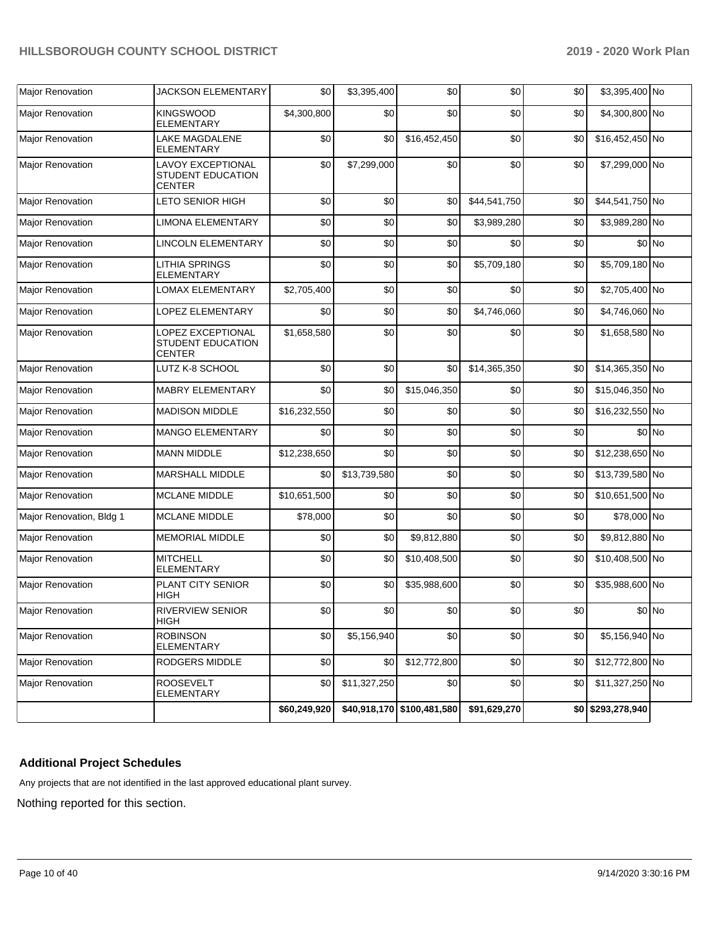| <b>Major Renovation</b>  | JACKSON ELEMENTARY                                      | \$0          | \$3,395,400  | \$0                        | \$0          | \$0 | \$3,395,400 No     |         |
|--------------------------|---------------------------------------------------------|--------------|--------------|----------------------------|--------------|-----|--------------------|---------|
| <b>Major Renovation</b>  | <b>KINGSWOOD</b><br>ELEMENTARY                          | \$4,300,800  | \$0          | \$0                        | \$0          | \$0 | \$4,300,800 No     |         |
| Major Renovation         | LAKE MAGDALENE<br>ELEMENTARY                            | \$0          | \$0          | \$16,452,450               | \$0          | \$0 | \$16,452,450 No    |         |
| <b>Major Renovation</b>  | LAVOY EXCEPTIONAL<br>STUDENT EDUCATION<br><b>CENTER</b> | \$0          | \$7,299,000  | \$0                        | \$0          | \$0 | \$7,299,000 No     |         |
| <b>Major Renovation</b>  | LETO SENIOR HIGH                                        | \$0          | \$0          | \$0                        | \$44,541,750 | \$0 | \$44,541,750 No    |         |
| <b>Major Renovation</b>  | <b>LIMONA ELEMENTARY</b>                                | \$0          | \$0          | \$0                        | \$3,989,280  | \$0 | \$3,989,280 No     |         |
| <b>Major Renovation</b>  | LINCOLN ELEMENTARY                                      | \$0          | \$0          | \$0                        | \$0          | \$0 |                    | \$0 No  |
| <b>Major Renovation</b>  | LITHIA SPRINGS<br>ELEMENTARY                            | \$0          | \$0          | \$0                        | \$5,709,180  | \$0 | \$5,709,180 No     |         |
| Major Renovation         | LOMAX ELEMENTARY                                        | \$2,705,400  | \$0          | \$0                        | \$0          | \$0 | \$2,705,400 No     |         |
| Major Renovation         | LOPEZ ELEMENTARY                                        | \$0          | \$0          | \$0                        | \$4,746,060  | \$0 | \$4,746,060 No     |         |
| Major Renovation         | LOPEZ EXCEPTIONAL<br>STUDENT EDUCATION<br><b>CENTER</b> | \$1,658,580  | \$0          | \$0                        | \$0          | \$0 | \$1,658,580 No     |         |
| <b>Major Renovation</b>  | LUTZ K-8 SCHOOL                                         | \$0          | \$0          | \$0                        | \$14,365,350 | \$0 | \$14,365,350 No    |         |
| <b>Major Renovation</b>  | <b>MABRY ELEMENTARY</b>                                 | \$0          | \$0          | \$15,046,350               | \$0          | \$0 | \$15,046,350 No    |         |
| <b>Major Renovation</b>  | <b>MADISON MIDDLE</b>                                   | \$16,232,550 | \$0          | \$0                        | \$0          | \$0 | \$16,232,550 No    |         |
| <b>Major Renovation</b>  | <b>MANGO ELEMENTARY</b>                                 | \$0          | \$0          | \$0                        | \$0          | \$0 |                    | \$0 No  |
| <b>Major Renovation</b>  | <b>MANN MIDDLE</b>                                      | \$12,238,650 | \$0          | \$0                        | \$0          | \$0 | \$12,238,650 No    |         |
| <b>Major Renovation</b>  | <b>MARSHALL MIDDLE</b>                                  | \$0          | \$13,739,580 | \$0                        | \$0          | \$0 | \$13,739,580 No    |         |
| <b>Major Renovation</b>  | <b>MCLANE MIDDLE</b>                                    | \$10,651,500 | \$0          | \$0                        | \$0          | \$0 | \$10,651,500 No    |         |
| Major Renovation, Bldg 1 | <b>MCLANE MIDDLE</b>                                    | \$78,000     | \$0          | \$0                        | \$0          | \$0 | \$78,000 No        |         |
| <b>Major Renovation</b>  | <b>MEMORIAL MIDDLE</b>                                  | \$0          | \$0          | \$9,812,880                | \$0          | \$0 | \$9,812,880 No     |         |
| <b>Major Renovation</b>  | <b>MITCHELL</b><br><b>ELEMENTARY</b>                    | \$0          | \$0          | \$10,408,500               | \$0          | \$0 | \$10,408,500 No    |         |
| <b>Major Renovation</b>  | PLANT CITY SENIOR<br>HIGH                               | \$0          | \$0          | \$35,988,600               | \$0          | \$0 | \$35,988,600 No    |         |
| Major Renovation         | RIVERVIEW SENIOR<br>HIGH                                | \$0          | \$0          | \$0                        | \$0          | \$0 |                    | $$0$ No |
| Major Renovation         | <b>ROBINSON</b><br><b>ELEMENTARY</b>                    | \$0          | \$5,156,940  | \$0                        | \$0          | \$0 | \$5,156,940 No     |         |
| Major Renovation         | RODGERS MIDDLE                                          | \$0          | \$0          | \$12,772,800               | \$0          | \$0 | \$12,772,800 No    |         |
| <b>Major Renovation</b>  | <b>ROOSEVELT</b><br>ELEMENTARY                          | \$0          | \$11,327,250 | \$0                        | \$0          | \$0 | \$11,327,250 No    |         |
|                          |                                                         | \$60,249,920 |              | \$40,918,170 \$100,481,580 | \$91,629,270 |     | $$0$ \$293,278,940 |         |

## **Additional Project Schedules**

Any projects that are not identified in the last approved educational plant survey.

Nothing reported for this section.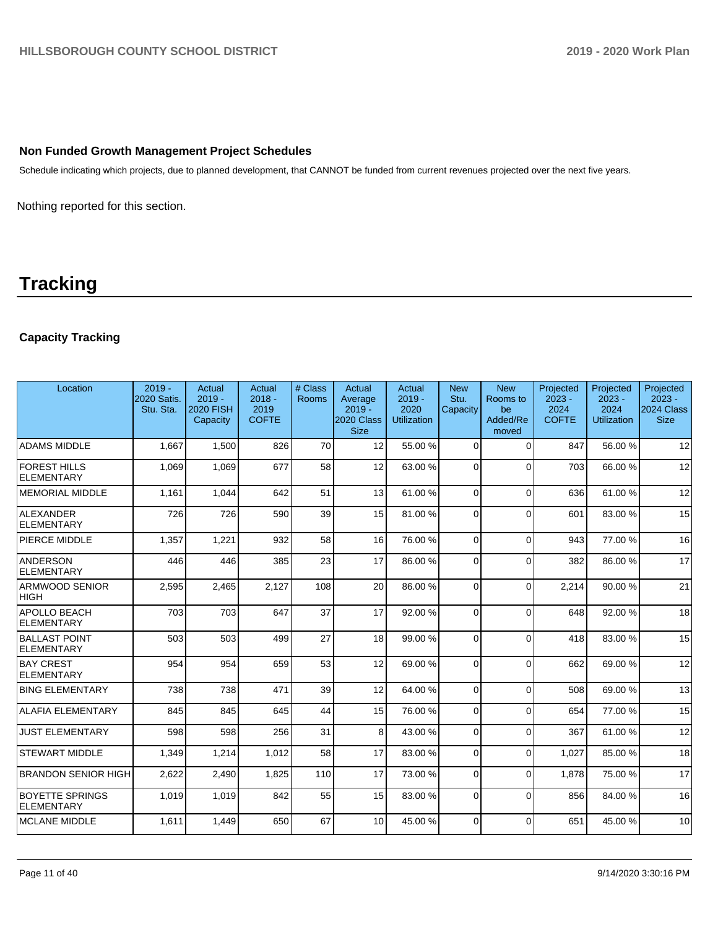### **Non Funded Growth Management Project Schedules**

Schedule indicating which projects, due to planned development, that CANNOT be funded from current revenues projected over the next five years.

Nothing reported for this section.

# **Tracking**

# **Capacity Tracking**

| Location                             | $2019 -$<br>2020 Satis.<br>Stu. Sta. | Actual<br>$2019 -$<br><b>2020 FISH</b><br>Capacity | Actual<br>$2018 -$<br>2019<br><b>COFTE</b> | # Class<br>Rooms | Actual<br>Average<br>$2019 -$<br>2020 Class<br><b>Size</b> | Actual<br>$2019 -$<br>2020<br><b>Utilization</b> | <b>New</b><br>Stu.<br>Capacity | <b>New</b><br>Rooms to<br>be<br>Added/Re<br>moved | Projected<br>$2023 -$<br>2024<br><b>COFTE</b> | Projected<br>$2023 -$<br>2024<br><b>Utilization</b> | Projected<br>$2023 -$<br>2024 Class<br><b>Size</b> |
|--------------------------------------|--------------------------------------|----------------------------------------------------|--------------------------------------------|------------------|------------------------------------------------------------|--------------------------------------------------|--------------------------------|---------------------------------------------------|-----------------------------------------------|-----------------------------------------------------|----------------------------------------------------|
| <b>ADAMS MIDDLE</b>                  | 1.667                                | 1,500                                              | 826                                        | 70               | 12                                                         | 55.00 %                                          | $\Omega$                       | $\Omega$                                          | 847                                           | 56.00 %                                             | 12                                                 |
| <b>FOREST HILLS</b><br>ELEMENTARY    | 1,069                                | 1,069                                              | 677                                        | 58               | 12                                                         | 63.00 %                                          | $\Omega$                       | $\Omega$                                          | 703                                           | 66.00 %                                             | 12                                                 |
| <b>MEMORIAL MIDDLE</b>               | 1,161                                | 1,044                                              | 642                                        | 51               | 13                                                         | 61.00%                                           | $\Omega$                       | $\Omega$                                          | 636                                           | 61.00%                                              | 12                                                 |
| ALEXANDER<br>ELEMENTARY              | 726                                  | 726                                                | 590                                        | 39               | 15                                                         | 81.00%                                           | $\Omega$                       | $\Omega$                                          | 601                                           | 83.00 %                                             | 15                                                 |
| <b>PIERCE MIDDLE</b>                 | 1,357                                | 1,221                                              | 932                                        | 58               | 16                                                         | 76.00 %                                          | $\Omega$                       | $\Omega$                                          | 943                                           | 77.00 %                                             | 16                                                 |
| ANDERSON<br>ELEMENTARY               | 446                                  | 446                                                | 385                                        | 23               | 17                                                         | 86.00 %                                          | $\Omega$                       | $\Omega$                                          | 382                                           | 86.00 %                                             | 17                                                 |
| <b>ARMWOOD SENIOR</b><br><b>HIGH</b> | 2,595                                | 2,465                                              | 2,127                                      | 108              | 20                                                         | 86.00 %                                          | $\Omega$                       | $\Omega$                                          | 2,214                                         | 90.00 %                                             | 21                                                 |
| APOLLO BEACH<br>ELEMENTARY           | 703                                  | 703                                                | 647                                        | 37               | 17                                                         | 92.00%                                           | $\Omega$                       | $\Omega$                                          | 648                                           | 92.00 %                                             | 18                                                 |
| <b>BALLAST POINT</b><br>ELEMENTARY   | 503                                  | 503                                                | 499                                        | 27               | 18                                                         | 99.00 %                                          | $\Omega$                       | $\Omega$                                          | 418                                           | 83.00 %                                             | 15                                                 |
| <b>BAY CREST</b><br>ELEMENTARY       | 954                                  | 954                                                | 659                                        | 53               | 12                                                         | 69.00 %                                          | $\Omega$                       | $\Omega$                                          | 662                                           | 69.00 %                                             | 12                                                 |
| <b>BING ELEMENTARY</b>               | 738                                  | 738                                                | 471                                        | 39               | 12                                                         | 64.00%                                           | $\Omega$                       | $\Omega$                                          | 508                                           | 69.00 %                                             | 13                                                 |
| <b>ALAFIA ELEMENTARY</b>             | 845                                  | 845                                                | 645                                        | 44               | 15                                                         | 76.00 %                                          | $\Omega$                       | $\Omega$                                          | 654                                           | 77.00 %                                             | 15                                                 |
| <b>JUST ELEMENTARY</b>               | 598                                  | 598                                                | 256                                        | 31               | 8                                                          | 43.00 %                                          | $\Omega$                       | $\Omega$                                          | 367                                           | 61.00%                                              | 12                                                 |
| <b>STEWART MIDDLE</b>                | 1,349                                | 1,214                                              | 1,012                                      | 58               | 17                                                         | 83.00 %                                          | $\Omega$                       | $\Omega$                                          | 1.027                                         | 85.00 %                                             | 18                                                 |
| <b>BRANDON SENIOR HIGH</b>           | 2,622                                | 2,490                                              | 1,825                                      | 110              | 17                                                         | 73.00 %                                          | $\Omega$                       | $\Omega$                                          | 1,878                                         | 75.00 %                                             | 17                                                 |
| <b>BOYETTE SPRINGS</b><br>ELEMENTARY | 1,019                                | 1,019                                              | 842                                        | 55               | 15                                                         | 83.00 %                                          | $\Omega$                       | $\Omega$                                          | 856                                           | 84.00 %                                             | 16                                                 |
| <b>MCLANE MIDDLE</b>                 | 1,611                                | 1,449                                              | 650                                        | 67               | 10                                                         | 45.00 %                                          | $\Omega$                       | $\Omega$                                          | 651                                           | 45.00 %                                             | 10                                                 |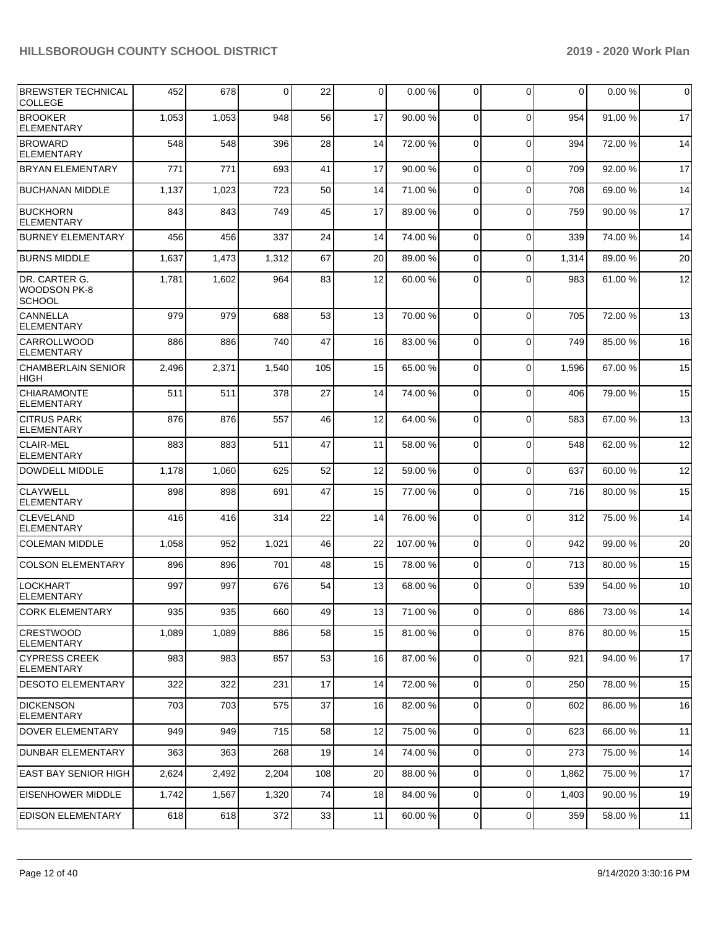| <b>BREWSTER TECHNICAL</b><br><b>COLLEGE</b>    | 452   | 678   | 0     | 22  | 0  | 0.00%   | 0              | $\Omega$     | $\mathbf 0$ | 0.00%   | $\mathbf 0$ |
|------------------------------------------------|-------|-------|-------|-----|----|---------|----------------|--------------|-------------|---------|-------------|
| <b>BROOKER</b><br><b>ELEMENTARY</b>            | 1,053 | 1,053 | 948   | 56  | 17 | 90.00 % | 0              | $\Omega$     | 954         | 91.00 % | 17          |
| BROWARD<br><b>ELEMENTARY</b>                   | 548   | 548   | 396   | 28  | 14 | 72.00%  | $\mathbf 0$    | $\Omega$     | 394         | 72.00 % | 14          |
| <b>BRYAN ELEMENTARY</b>                        | 771   | 771   | 693   | 41  | 17 | 90.00 % | $\mathbf 0$    | $\Omega$     | 709         | 92.00 % | 17          |
| <b>BUCHANAN MIDDLE</b>                         | 1,137 | 1,023 | 723   | 50  | 14 | 71.00 % | 0              | $\Omega$     | 708         | 69.00 % | 14          |
| <b>BUCKHORN</b><br><b>ELEMENTARY</b>           | 843   | 843   | 749   | 45  | 17 | 89.00 % | 0              | $\Omega$     | 759         | 90.00 % | 17          |
| <b>BURNEY ELEMENTARY</b>                       | 456   | 456   | 337   | 24  | 14 | 74.00 % | $\mathbf 0$    | $\mathbf 0$  | 339         | 74.00 % | 14          |
| <b>BURNS MIDDLE</b>                            | 1,637 | 1,473 | 1,312 | 67  | 20 | 89.00 % | 0              | $\Omega$     | 1,314       | 89.00 % | 20          |
| DR. CARTER G.<br>WOODSON PK-8<br><b>SCHOOL</b> | 1,781 | 1,602 | 964   | 83  | 12 | 60.00 % | 0              | $\Omega$     | 983         | 61.00 % | 12          |
| CANNELLA<br><b>ELEMENTARY</b>                  | 979   | 979   | 688   | 53  | 13 | 70.00 % | $\mathbf 0$    | $\Omega$     | 705         | 72.00 % | 13          |
| <b>CARROLLWOOD</b><br><b>ELEMENTARY</b>        | 886   | 886   | 740   | 47  | 16 | 83.00 % | $\mathbf 0$    | $\Omega$     | 749         | 85.00 % | 16          |
| <b>CHAMBERLAIN SENIOR</b><br><b>HIGH</b>       | 2,496 | 2,371 | 1,540 | 105 | 15 | 65.00 % | 0              | $\Omega$     | 1,596       | 67.00 % | 15          |
| <b>CHIARAMONTE</b><br><b>ELEMENTARY</b>        | 511   | 511   | 378   | 27  | 14 | 74.00 % | 0              | $\Omega$     | 406         | 79.00 % | 15          |
| <b>CITRUS PARK</b><br><b>ELEMENTARY</b>        | 876   | 876   | 557   | 46  | 12 | 64.00 % | $\mathbf 0$    | $\Omega$     | 583         | 67.00 % | 13          |
| <b>CLAIR-MEL</b><br><b>ELEMENTARY</b>          | 883   | 883   | 511   | 47  | 11 | 58.00 % | 0              | $\Omega$     | 548         | 62.00 % | 12          |
| DOWDELL MIDDLE                                 | 1,178 | 1,060 | 625   | 52  | 12 | 59.00 % | $\mathbf 0$    | $\Omega$     | 637         | 60.00 % | 12          |
| <b>CLAYWELL</b><br><b>ELEMENTARY</b>           | 898   | 898   | 691   | 47  | 15 | 77.00 % | 0              | $\Omega$     | 716         | 80.00%  | 15          |
| <b>CLEVELAND</b><br><b>ELEMENTARY</b>          | 416   | 416   | 314   | 22  | 14 | 76.00 % | 0              | $\Omega$     | 312         | 75.00 % | 14          |
| <b>COLEMAN MIDDLE</b>                          | 1,058 | 952   | 1,021 | 46  | 22 | 107.00% | $\mathbf 0$    | $\Omega$     | 942         | 99.00 % | 20          |
| <b>COLSON ELEMENTARY</b>                       | 896   | 896   | 701   | 48  | 15 | 78.00 % | 0              | $\Omega$     | 713         | 80.00 % | 15          |
| <b>LOCKHART</b><br><b>ELEMENTARY</b>           | 997   | 997   | 676   | 54  | 13 | 68.00 % | 0              | $\Omega$     | 539         | 54.00 % | 10          |
| <b>CORK ELEMENTARY</b>                         | 935   | 935   | 660   | 49  | 13 | 71.00%  | υı             | <sup>0</sup> | 686         | 73.00 % | 14          |
| CRESTWOOD<br><b>ELEMENTARY</b>                 | 1,089 | 1,089 | 886   | 58  | 15 | 81.00 % | $\overline{0}$ | $\Omega$     | 876         | 80.00 % | 15          |
| <b>CYPRESS CREEK</b><br><b>ELEMENTARY</b>      | 983   | 983   | 857   | 53  | 16 | 87.00 % | $\overline{0}$ | $\mathbf 0$  | 921         | 94.00 % | 17          |
| <b>DESOTO ELEMENTARY</b>                       | 322   | 322   | 231   | 17  | 14 | 72.00 % | $\mathbf 0$    | $\Omega$     | 250         | 78.00 % | 15          |
| <b>DICKENSON</b><br>ELEMENTARY                 | 703   | 703   | 575   | 37  | 16 | 82.00 % | 0              | $\Omega$     | 602         | 86.00 % | 16          |
| DOVER ELEMENTARY                               | 949   | 949   | 715   | 58  | 12 | 75.00 % | $\mathbf{0}$   | $\mathbf 0$  | 623         | 66.00 % | 11          |
| <b>DUNBAR ELEMENTARY</b>                       | 363   | 363   | 268   | 19  | 14 | 74.00 % | $\mathbf{0}$   | $\mathbf 0$  | 273         | 75.00 % | 14          |
| <b>EAST BAY SENIOR HIGH</b>                    | 2,624 | 2,492 | 2,204 | 108 | 20 | 88.00 % | $\overline{0}$ | $\Omega$     | 1,862       | 75.00 % | 17          |
| <b>EISENHOWER MIDDLE</b>                       | 1,742 | 1,567 | 1,320 | 74  | 18 | 84.00 % | $\overline{0}$ | $\Omega$     | 1,403       | 90.00 % | 19          |
| <b>EDISON ELEMENTARY</b>                       | 618   | 618   | 372   | 33  | 11 | 60.00 % | $\mathbf 0$    | $\mathbf 0$  | 359         | 58.00 % | 11          |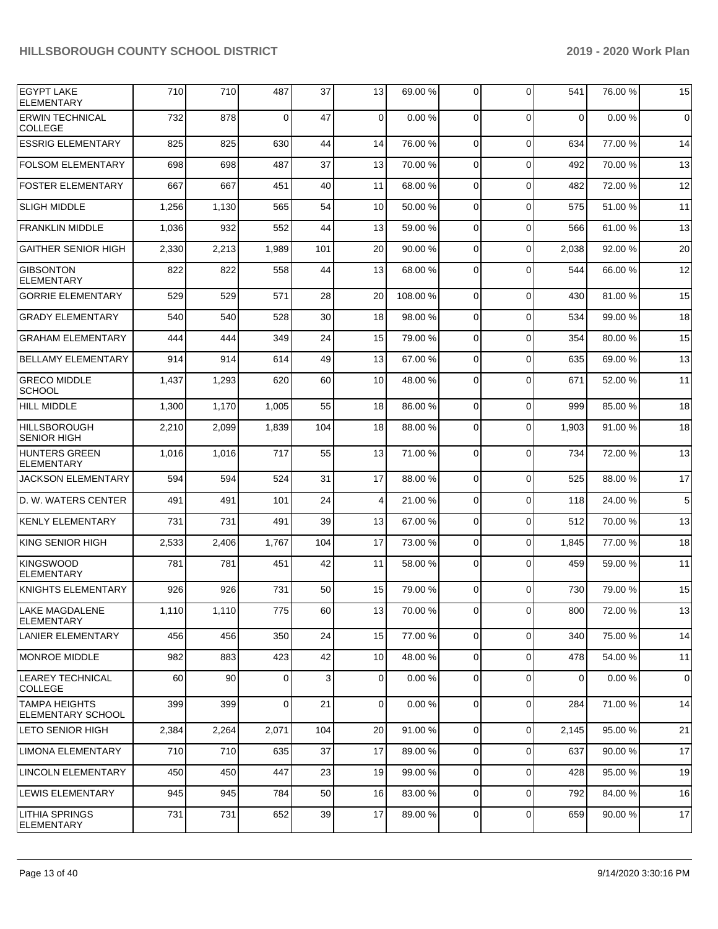| <b>EGYPT LAKE</b><br><b>ELEMENTARY</b>           | 710   | 710   | 487   | 37  | 13          | 69.00 % | 0              | $\Omega$    | 541         | 76.00 % | 15          |
|--------------------------------------------------|-------|-------|-------|-----|-------------|---------|----------------|-------------|-------------|---------|-------------|
| <b>ERWIN TECHNICAL</b><br>COLLEGE                | 732   | 878   | 0     | 47  | $\mathbf 0$ | 0.00%   | $\Omega$       | $\Omega$    | $\mathbf 0$ | 0.00%   | $\mathbf 0$ |
| <b>ESSRIG ELEMENTARY</b>                         | 825   | 825   | 630   | 44  | 14          | 76.00 % | $\Omega$       | $\Omega$    | 634         | 77.00 % | 14          |
| <b>FOLSOM ELEMENTARY</b>                         | 698   | 698   | 487   | 37  | 13          | 70.00%  | $\Omega$       | $\Omega$    | 492         | 70.00 % | 13          |
| <b>FOSTER ELEMENTARY</b>                         | 667   | 667   | 451   | 40  | 11          | 68.00 % | $\Omega$       | $\Omega$    | 482         | 72.00 % | 12          |
| <b>SLIGH MIDDLE</b>                              | 1,256 | 1,130 | 565   | 54  | 10          | 50.00 % | $\mathbf 0$    | $\Omega$    | 575         | 51.00 % | 11          |
| <b>FRANKLIN MIDDLE</b>                           | 1,036 | 932   | 552   | 44  | 13          | 59.00 % | 0              | $\Omega$    | 566         | 61.00%  | 13          |
| <b>GAITHER SENIOR HIGH</b>                       | 2,330 | 2,213 | 1,989 | 101 | 20          | 90.00 % | $\mathbf 0$    | $\Omega$    | 2,038       | 92.00 % | 20          |
| <b>GIBSONTON</b><br><b>ELEMENTARY</b>            | 822   | 822   | 558   | 44  | 13          | 68.00 % | 0              | $\Omega$    | 544         | 66.00 % | 12          |
| <b>GORRIE ELEMENTARY</b>                         | 529   | 529   | 571   | 28  | 20          | 108.00% | 0              | $\Omega$    | 430         | 81.00 % | 15          |
| <b>GRADY ELEMENTARY</b>                          | 540   | 540   | 528   | 30  | 18          | 98.00 % | 0              | $\Omega$    | 534         | 99.00 % | 18          |
| <b>GRAHAM ELEMENTARY</b>                         | 444   | 444   | 349   | 24  | 15          | 79.00 % | 0              | $\Omega$    | 354         | 80.00 % | 15          |
| <b>BELLAMY ELEMENTARY</b>                        | 914   | 914   | 614   | 49  | 13          | 67.00 % | 0              | $\Omega$    | 635         | 69.00 % | 13          |
| <b>GRECO MIDDLE</b><br><b>SCHOOL</b>             | 1,437 | 1,293 | 620   | 60  | 10          | 48.00 % | 0              | $\Omega$    | 671         | 52.00 % | 11          |
| <b>HILL MIDDLE</b>                               | 1,300 | 1,170 | 1,005 | 55  | 18          | 86.00 % | $\mathbf 0$    | $\Omega$    | 999         | 85.00 % | 18          |
| <b>HILLSBOROUGH</b><br><b>SENIOR HIGH</b>        | 2,210 | 2,099 | 1,839 | 104 | 18          | 88.00 % | 0              | $\Omega$    | 1,903       | 91.00 % | 18          |
| <b>HUNTERS GREEN</b><br>ELEMENTARY               | 1,016 | 1,016 | 717   | 55  | 13          | 71.00 % | $\mathbf 0$    | $\Omega$    | 734         | 72.00 % | 13          |
| <b>JACKSON ELEMENTARY</b>                        | 594   | 594   | 524   | 31  | 17          | 88.00 % | 0              | $\Omega$    | 525         | 88.00 % | 17          |
| D. W. WATERS CENTER                              | 491   | 491   | 101   | 24  | 4           | 21.00 % | 0              | $\Omega$    | 118         | 24.00 % | 5           |
| <b>KENLY ELEMENTARY</b>                          | 731   | 731   | 491   | 39  | 13          | 67.00 % | 0              | $\Omega$    | 512         | 70.00 % | 13          |
| <b>KING SENIOR HIGH</b>                          | 2,533 | 2,406 | 1,767 | 104 | 17          | 73.00 % | 0              | $\Omega$    | 1,845       | 77.00 % | 18          |
| <b>KINGSWOOD</b><br><b>ELEMENTARY</b>            | 781   | 781   | 451   | 42  | 11          | 58.00 % | 0              | $\Omega$    | 459         | 59.00 % | 11          |
| KNIGHTS ELEMENTARY                               | 926   | 926   | 731   | 50  | 15          | 79.00 % | 0              | $\Omega$    | 730         | 79.00 % | 15          |
| LAKE MAGDALENE<br><b>ELEMENTARY</b>              | 1,110 | 1,110 | 775   | 60  | 13          | 70.00 % | $\overline{0}$ | $\circ$     | 800         | 72.00 % | 13          |
| LANIER ELEMENTARY                                | 456   | 456   | 350   | 24  | 15          | 77.00 % | $\overline{0}$ | $\Omega$    | 340         | 75.00 % | 14          |
| MONROE MIDDLE                                    | 982   | 883   | 423   | 42  | 10          | 48.00 % | $\mathbf 0$    | $\Omega$    | 478         | 54.00 % | 11          |
| <b>LEAREY TECHNICAL</b><br><b>COLLEGE</b>        | 60    | 90    | 0     | 3   | 0           | 0.00%   | $\mathbf 0$    | $\Omega$    | $\mathbf 0$ | 0.00%   | $\mathbf 0$ |
| <b>TAMPA HEIGHTS</b><br><b>ELEMENTARY SCHOOL</b> | 399   | 399   | 0     | 21  | 0           | 0.00%   | 0              | $\mathbf 0$ | 284         | 71.00 % | 14          |
| LETO SENIOR HIGH                                 | 2,384 | 2,264 | 2,071 | 104 | 20          | 91.00%  | 0              | $\mathbf 0$ | 2,145       | 95.00 % | 21          |
| LIMONA ELEMENTARY                                | 710   | 710   | 635   | 37  | 17          | 89.00 % | 0              | $\mathbf 0$ | 637         | 90.00 % | 17          |
| <b>LINCOLN ELEMENTARY</b>                        | 450   | 450   | 447   | 23  | 19          | 99.00 % | 0              | $\mathbf 0$ | 428         | 95.00 % | 19          |
| <b>LEWIS ELEMENTARY</b>                          | 945   | 945   | 784   | 50  | 16          | 83.00 % | 0              | $\mathbf 0$ | 792         | 84.00 % | 16          |
| <b>LITHIA SPRINGS</b><br><b>ELEMENTARY</b>       | 731   | 731   | 652   | 39  | 17          | 89.00 % | 0              | $\mathbf 0$ | 659         | 90.00 % | 17          |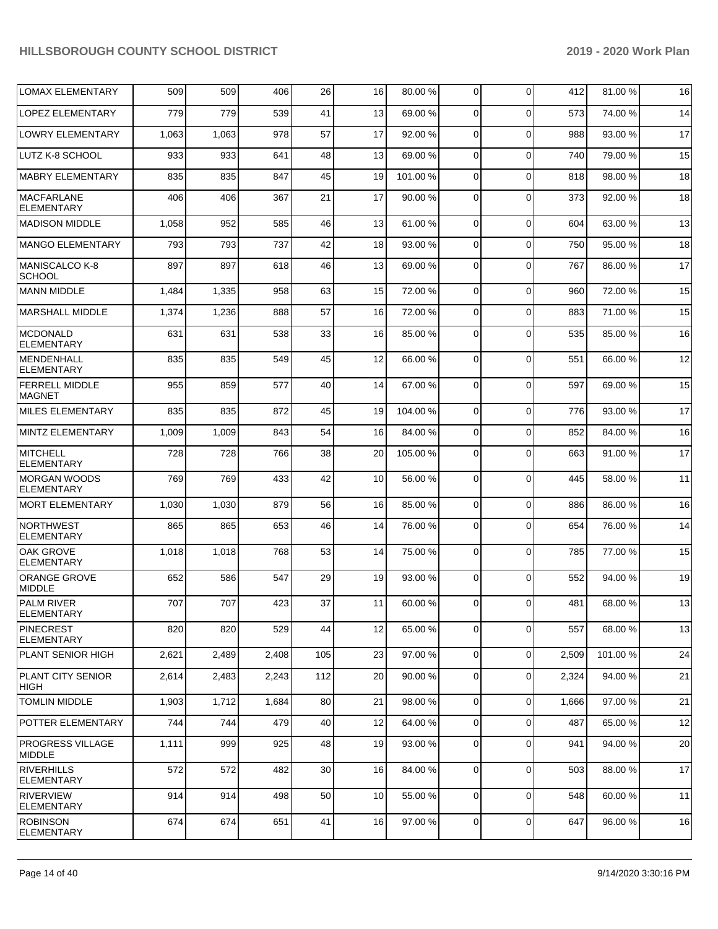| <b>LOMAX ELEMENTARY</b>                  | 509   | 509   | 406   | 26  | 16 | 80.00 %  | 0              | $\mathbf 0$ | 412   | 81.00%   | 16 |
|------------------------------------------|-------|-------|-------|-----|----|----------|----------------|-------------|-------|----------|----|
| <b>LOPEZ ELEMENTARY</b>                  | 779   | 779   | 539   | 41  | 13 | 69.00 %  | $\overline{0}$ | $\Omega$    | 573   | 74.00 %  | 14 |
| <b>LOWRY ELEMENTARY</b>                  | 1,063 | 1,063 | 978   | 57  | 17 | 92.00 %  | $\overline{0}$ | $\Omega$    | 988   | 93.00 %  | 17 |
| LUTZ K-8 SCHOOL                          | 933   | 933   | 641   | 48  | 13 | 69.00 %  | $\overline{0}$ | $\Omega$    | 740   | 79.00 %  | 15 |
| MABRY ELEMENTARY                         | 835   | 835   | 847   | 45  | 19 | 101.00 % | $\overline{0}$ | $\Omega$    | 818   | 98.00 %  | 18 |
| MACFARLANE<br><b>ELEMENTARY</b>          | 406   | 406   | 367   | 21  | 17 | 90.00 %  | 0              | $\Omega$    | 373   | 92.00 %  | 18 |
| <b>MADISON MIDDLE</b>                    | 1,058 | 952   | 585   | 46  | 13 | 61.00%   | 0              | $\Omega$    | 604   | 63.00 %  | 13 |
| <b>MANGO ELEMENTARY</b>                  | 793   | 793   | 737   | 42  | 18 | 93.00 %  | 0              | $\Omega$    | 750   | 95.00 %  | 18 |
| <b>MANISCALCO K-8</b><br><b>SCHOOL</b>   | 897   | 897   | 618   | 46  | 13 | 69.00 %  | $\Omega$       | $\Omega$    | 767   | 86.00 %  | 17 |
| MANN MIDDLE                              | 1,484 | 1,335 | 958   | 63  | 15 | 72.00 %  | 0              | $\Omega$    | 960   | 72.00 %  | 15 |
| <b>MARSHALL MIDDLE</b>                   | 1,374 | 1,236 | 888   | 57  | 16 | 72.00 %  | 0              | $\Omega$    | 883   | 71.00 %  | 15 |
| <b>MCDONALD</b><br><b>ELEMENTARY</b>     | 631   | 631   | 538   | 33  | 16 | 85.00 %  | 0              | $\Omega$    | 535   | 85.00 %  | 16 |
| <b>MENDENHALL</b><br><b>ELEMENTARY</b>   | 835   | 835   | 549   | 45  | 12 | 66.00 %  | 0              | $\Omega$    | 551   | 66.00 %  | 12 |
| <b>FERRELL MIDDLE</b><br><b>MAGNET</b>   | 955   | 859   | 577   | 40  | 14 | 67.00 %  | 0              | $\Omega$    | 597   | 69.00 %  | 15 |
| <b>MILES ELEMENTARY</b>                  | 835   | 835   | 872   | 45  | 19 | 104.00%  | $\Omega$       | $\Omega$    | 776   | 93.00 %  | 17 |
| <b>MINTZ ELEMENTARY</b>                  | 1,009 | 1,009 | 843   | 54  | 16 | 84.00 %  | 0              | $\Omega$    | 852   | 84.00%   | 16 |
| MITCHELL<br><b>ELEMENTARY</b>            | 728   | 728   | 766   | 38  | 20 | 105.00 % | 0              | $\Omega$    | 663   | 91.00 %  | 17 |
| <b>MORGAN WOODS</b><br><b>ELEMENTARY</b> | 769   | 769   | 433   | 42  | 10 | 56.00 %  | 0              | $\Omega$    | 445   | 58.00 %  | 11 |
| MORT ELEMENTARY                          | 1,030 | 1,030 | 879   | 56  | 16 | 85.00 %  | $\mathbf 0$    | $\Omega$    | 886   | 86.00 %  | 16 |
| <b>NORTHWEST</b><br><b>ELEMENTARY</b>    | 865   | 865   | 653   | 46  | 14 | 76.00 %  | 0              | $\Omega$    | 654   | 76.00 %  | 14 |
| OAK GROVE<br><b>ELEMENTARY</b>           | 1,018 | 1,018 | 768   | 53  | 14 | 75.00 %  | $\mathbf 0$    | $\Omega$    | 785   | 77.00 %  | 15 |
| <b>ORANGE GROVE</b><br><b>MIDDLE</b>     | 652   | 586   | 547   | 29  | 19 | 93.00 %  | $\Omega$       | $\Omega$    | 552   | 94.00 %  | 19 |
| <b>PALM RIVER</b><br><b>ELEMENTARY</b>   | 707   | 707   | 423   | 37  | 11 | 60.00%   | $\overline{0}$ | $\Omega$    | 481   | 68.00 %  | 13 |
| <b>PINECREST</b><br><b>ELEMENTARY</b>    | 820   | 820   | 529   | 44  | 12 | 65.00 %  | 0              | $\Omega$    | 557   | 68.00 %  | 13 |
| PLANT SENIOR HIGH                        | 2,621 | 2,489 | 2,408 | 105 | 23 | 97.00 %  | $\overline{0}$ | $\Omega$    | 2,509 | 101.00 % | 24 |
| <b>PLANT CITY SENIOR</b><br>HIGH         | 2,614 | 2,483 | 2,243 | 112 | 20 | 90.00 %  | 0              | $\mathbf 0$ | 2,324 | 94.00 %  | 21 |
| <b>TOMLIN MIDDLE</b>                     | 1,903 | 1,712 | 1,684 | 80  | 21 | 98.00%   | 0              | $\mathbf 0$ | 1,666 | 97.00 %  | 21 |
| <b>POTTER ELEMENTARY</b>                 | 744   | 744   | 479   | 40  | 12 | 64.00 %  | 0              | $\Omega$    | 487   | 65.00 %  | 12 |
| <b>PROGRESS VILLAGE</b><br><b>MIDDLE</b> | 1,111 | 999   | 925   | 48  | 19 | 93.00 %  | 0              | $\Omega$    | 941   | 94.00 %  | 20 |
| <b>RIVERHILLS</b><br><b>ELEMENTARY</b>   | 572   | 572   | 482   | 30  | 16 | 84.00 %  | $\overline{0}$ | $\Omega$    | 503   | 88.00 %  | 17 |
| <b>RIVERVIEW</b><br>ELEMENTARY           | 914   | 914   | 498   | 50  | 10 | 55.00 %  | 0              | $\mathbf 0$ | 548   | 60.00 %  | 11 |
| <b>ROBINSON</b><br>ELEMENTARY            | 674   | 674   | 651   | 41  | 16 | 97.00 %  | 0              | $\mathbf 0$ | 647   | 96.00 %  | 16 |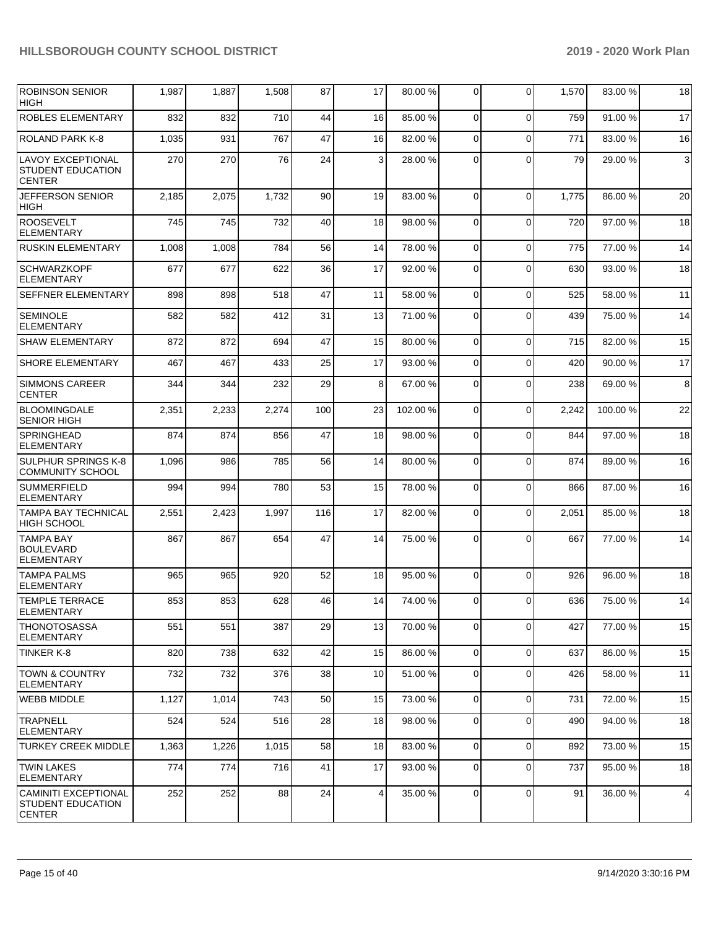| <b>ROBINSON SENIOR</b><br><b>HIGH</b>                                    | 1,987 | 1,887 | 1,508 | 87  | 17 | 80.00 % | $\Omega$    | $\Omega$    | 1,570 | 83.00 %  | 18 |
|--------------------------------------------------------------------------|-------|-------|-------|-----|----|---------|-------------|-------------|-------|----------|----|
| ROBLES ELEMENTARY                                                        | 832   | 832   | 710   | 44  | 16 | 85.00 % | 0           | $\Omega$    | 759   | 91.00%   | 17 |
| <b>ROLAND PARK K-8</b>                                                   | 1,035 | 931   | 767   | 47  | 16 | 82.00 % | 0           | $\Omega$    | 771   | 83.00 %  | 16 |
| <b>LAVOY EXCEPTIONAL</b><br><b>STUDENT EDUCATION</b><br><b>CENTER</b>    | 270   | 270   | 76    | 24  | 3  | 28.00 % | $\Omega$    | $\Omega$    | 79    | 29.00 %  | 3  |
| JEFFERSON SENIOR<br><b>HIGH</b>                                          | 2,185 | 2,075 | 1,732 | 90  | 19 | 83.00 % | $\Omega$    | $\Omega$    | 1,775 | 86.00 %  | 20 |
| <b>ROOSEVELT</b><br><b>ELEMENTARY</b>                                    | 745   | 745   | 732   | 40  | 18 | 98.00 % | $\Omega$    | $\Omega$    | 720   | 97.00 %  | 18 |
| <b>RUSKIN ELEMENTARY</b>                                                 | 1,008 | 1,008 | 784   | 56  | 14 | 78.00 % | 0           | $\Omega$    | 775   | 77.00 %  | 14 |
| <b>SCHWARZKOPF</b><br><b>ELEMENTARY</b>                                  | 677   | 677   | 622   | 36  | 17 | 92.00 % | $\Omega$    | $\Omega$    | 630   | 93.00 %  | 18 |
| <b>SEFFNER ELEMENTARY</b>                                                | 898   | 898   | 518   | 47  | 11 | 58.00 % | 0           | $\Omega$    | 525   | 58.00 %  | 11 |
| <b>SEMINOLE</b><br><b>ELEMENTARY</b>                                     | 582   | 582   | 412   | 31  | 13 | 71.00%  | $\Omega$    | $\Omega$    | 439   | 75.00 %  | 14 |
| <b>SHAW ELEMENTARY</b>                                                   | 872   | 872   | 694   | 47  | 15 | 80.00 % | $\Omega$    | $\Omega$    | 715   | 82.00 %  | 15 |
| <b>SHORE ELEMENTARY</b>                                                  | 467   | 467   | 433   | 25  | 17 | 93.00 % | $\Omega$    | $\Omega$    | 420   | 90.00 %  | 17 |
| <b>SIMMONS CAREER</b><br><b>CENTER</b>                                   | 344   | 344   | 232   | 29  | 8  | 67.00 % | $\Omega$    | $\Omega$    | 238   | 69.00 %  | 8  |
| <b>BLOOMINGDALE</b><br><b>SENIOR HIGH</b>                                | 2,351 | 2,233 | 2,274 | 100 | 23 | 102.00% | 0           | $\Omega$    | 2,242 | 100.00 % | 22 |
| <b>SPRINGHEAD</b><br><b>ELEMENTARY</b>                                   | 874   | 874   | 856   | 47  | 18 | 98.00 % | $\Omega$    | $\Omega$    | 844   | 97.00 %  | 18 |
| <b>SULPHUR SPRINGS K-8</b><br><b>COMMUNITY SCHOOL</b>                    | 1,096 | 986   | 785   | 56  | 14 | 80.00 % | $\Omega$    | $\Omega$    | 874   | 89.00 %  | 16 |
| <b>SUMMERFIELD</b><br><b>ELEMENTARY</b>                                  | 994   | 994   | 780   | 53  | 15 | 78.00 % | $\Omega$    | $\Omega$    | 866   | 87.00 %  | 16 |
| <b>TAMPA BAY TECHNICAL</b><br>HIGH SCHOOL                                | 2,551 | 2,423 | 1,997 | 116 | 17 | 82.00 % | $\Omega$    | $\Omega$    | 2,051 | 85.00 %  | 18 |
| <b>TAMPA BAY</b><br><b>BOULEVARD</b><br><b>ELEMENTARY</b>                | 867   | 867   | 654   | 47  | 14 | 75.00 % | $\Omega$    | $\Omega$    | 667   | 77.00 %  | 14 |
| <b>TAMPA PALMS</b><br><b>ELEMENTARY</b>                                  | 965   | 965   | 920   | 52  | 18 | 95.00 % | 0           | $\Omega$    | 926   | 96.00 %  | 18 |
| <b>TEMPLE TERRACE</b><br>ELEMENTARY                                      | 853   | 853   | 628   | 46  | 14 | 74.00%  | $\Omega$    | $\Omega$    | 636   | 75.00 %  | 14 |
| <b>THONOTOSASSA</b><br><b>ELEMENTARY</b>                                 | 551   | 551   | 387   | 29  | 13 | 70.00 % | $\Omega$    | $\Omega$    | 427   | 77.00 %  | 15 |
| TINKER K-8                                                               | 820   | 738   | 632   | 42  | 15 | 86.00 % | $\mathbf 0$ | $\Omega$    | 637   | 86.00 %  | 15 |
| TOWN & COUNTRY<br><b>ELEMENTARY</b>                                      | 732   | 732   | 376   | 38  | 10 | 51.00 % | 0           | $\mathbf 0$ | 426   | 58.00 %  | 11 |
| <b>WEBB MIDDLE</b>                                                       | 1,127 | 1,014 | 743   | 50  | 15 | 73.00 % | 0           | $\Omega$    | 731   | 72.00 %  | 15 |
| <b>TRAPNELL</b><br><b>ELEMENTARY</b>                                     | 524   | 524   | 516   | 28  | 18 | 98.00 % | 0           | $\Omega$    | 490   | 94.00 %  | 18 |
| <b>TURKEY CREEK MIDDLE</b>                                               | 1,363 | 1,226 | 1,015 | 58  | 18 | 83.00 % | $\mathbf 0$ | $\Omega$    | 892   | 73.00 %  | 15 |
| <b>TWIN LAKES</b><br><b>ELEMENTARY</b>                                   | 774   | 774   | 716   | 41  | 17 | 93.00 % | $\Omega$    | $\Omega$    | 737   | 95.00 %  | 18 |
| <b>CAMINITI EXCEPTIONAL</b><br><b>STUDENT EDUCATION</b><br><b>CENTER</b> | 252   | 252   | 88    | 24  | 4  | 35.00 % | 0           | $\mathbf 0$ | 91    | 36.00 %  | 4  |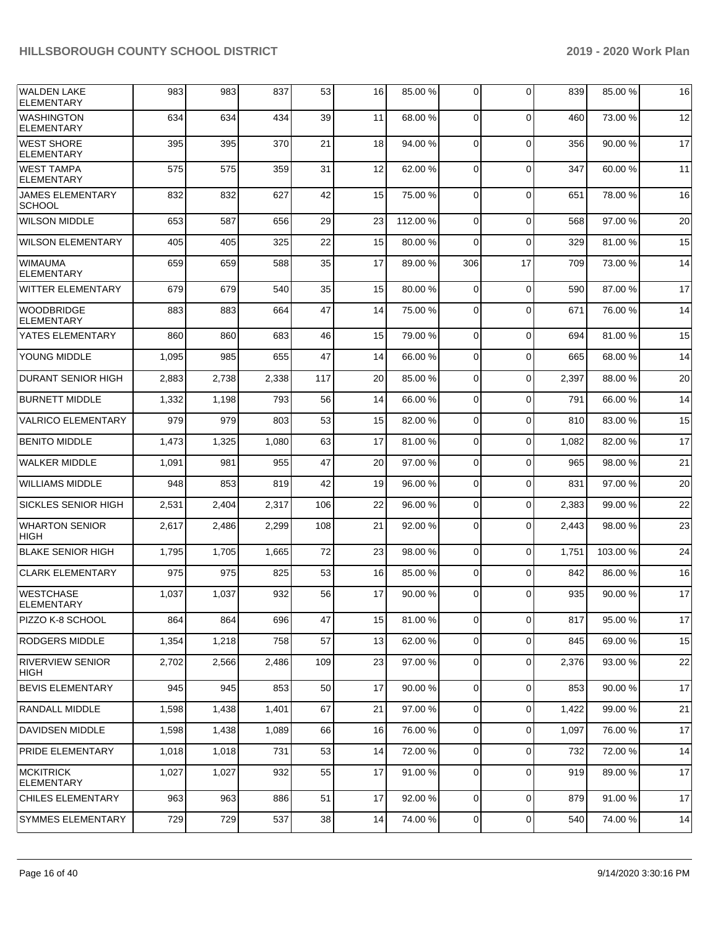| <b>WALDEN LAKE</b><br><b>ELEMENTARY</b>  | 983   | 983   | 837   | 53     | 16 | 85.00 %  | 0              | $\Omega$    | 839   | 85.00 % | 16 |
|------------------------------------------|-------|-------|-------|--------|----|----------|----------------|-------------|-------|---------|----|
| <b>WASHINGTON</b><br><b>ELEMENTARY</b>   | 634   | 634   | 434   | 39     | 11 | 68.00 %  | $\mathbf 0$    | $\Omega$    | 460   | 73.00 % | 12 |
| <b>WEST SHORE</b><br><b>ELEMENTARY</b>   | 395   | 395   | 370   | 21     | 18 | 94.00 %  | $\overline{0}$ | $\Omega$    | 356   | 90.00 % | 17 |
| <b>WEST TAMPA</b><br><b>ELEMENTARY</b>   | 575   | 575   | 359   | 31     | 12 | 62.00 %  | 0              | $\Omega$    | 347   | 60.00 % | 11 |
| <b>JAMES ELEMENTARY</b><br><b>SCHOOL</b> | 832   | 832   | 627   | 42     | 15 | 75.00 %  | $\Omega$       | $\Omega$    | 651   | 78.00%  | 16 |
| <b>WILSON MIDDLE</b>                     | 653   | 587   | 656   | 29     | 23 | 112.00 % | $\Omega$       | $\Omega$    | 568   | 97.00 % | 20 |
| <b>WILSON ELEMENTARY</b>                 | 405   | 405   | 325   | 22     | 15 | 80.00 %  | $\Omega$       | $\Omega$    | 329   | 81.00 % | 15 |
| <b>WIMAUMA</b><br><b>ELEMENTARY</b>      | 659   | 659   | 588   | 35     | 17 | 89.00 %  | 306            | 17          | 709   | 73.00 % | 14 |
| WITTER ELEMENTARY                        | 679   | 679   | 540   | 35     | 15 | 80.00 %  | 0              | $\Omega$    | 590   | 87.00 % | 17 |
| <b>WOODBRIDGE</b><br><b>ELEMENTARY</b>   | 883   | 883   | 664   | 47     | 14 | 75.00 %  | 0              | $\Omega$    | 671   | 76.00 % | 14 |
| YATES ELEMENTARY                         | 860   | 860   | 683   | 46     | 15 | 79.00 %  | $\overline{0}$ | $\Omega$    | 694   | 81.00%  | 15 |
| YOUNG MIDDLE                             | 1,095 | 985   | 655   | 47     | 14 | 66.00 %  | 0              | $\Omega$    | 665   | 68.00 % | 14 |
| <b>DURANT SENIOR HIGH</b>                | 2,883 | 2,738 | 2,338 | 117    | 20 | 85.00 %  | 0              | $\Omega$    | 2,397 | 88.00 % | 20 |
| <b>BURNETT MIDDLE</b>                    | 1,332 | 1,198 | 793   | 56     | 14 | 66.00 %  | 0              | $\Omega$    | 791   | 66.00 % | 14 |
| <b>VALRICO ELEMENTARY</b>                | 979   | 979   | 803   | 53     | 15 | 82.00 %  | $\overline{0}$ | $\Omega$    | 810   | 83.00 % | 15 |
| <b>BENITO MIDDLE</b>                     | 1,473 | 1,325 | 1,080 | 63     | 17 | 81.00%   | 0              | $\Omega$    | 1,082 | 82.00%  | 17 |
| <b>WALKER MIDDLE</b>                     | 1,091 | 981   | 955   | 47     | 20 | 97.00 %  | $\overline{0}$ | $\Omega$    | 965   | 98.00 % | 21 |
| <b>WILLIAMS MIDDLE</b>                   | 948   | 853   | 819   | 42     | 19 | 96.00 %  | 0              | $\Omega$    | 831   | 97.00 % | 20 |
| <b>SICKLES SENIOR HIGH</b>               | 2,531 | 2,404 | 2,317 | 106    | 22 | 96.00 %  | $\overline{0}$ | $\Omega$    | 2,383 | 99.00 % | 22 |
| <b>WHARTON SENIOR</b><br><b>HIGH</b>     | 2,617 | 2,486 | 2,299 | 108    | 21 | 92.00 %  | 0              | $\Omega$    | 2,443 | 98.00 % | 23 |
| <b>BLAKE SENIOR HIGH</b>                 | 1,795 | 1,705 | 1,665 | 72     | 23 | 98.00 %  | $\Omega$       | $\Omega$    | 1,751 | 103.00% | 24 |
| <b>CLARK ELEMENTARY</b>                  | 975   | 975   | 825   | 53     | 16 | 85.00 %  | $\overline{0}$ | $\Omega$    | 842   | 86.00 % | 16 |
| <b>WESTCHASE</b><br><b>ELEMENTARY</b>    | 1,037 | 1,037 | 932   | 56     | 17 | 90.00 %  | 0              | $\Omega$    | 935   | 90.00 % | 17 |
| PIZZO K-8 SCHOOL                         | 864   | 864   | 696   | 47     | 15 | 81.00 %  | $\overline{0}$ | $\Omega$    | 817   | 95.00 % | 17 |
| <b>RODGERS MIDDLE</b>                    | 1,354 | 1,218 | 758   | 57     | 13 | 62.00 %  | $\overline{0}$ | $\Omega$    | 845   | 69.00 % | 15 |
| <b>RIVERVIEW SENIOR</b><br><b>HIGH</b>   | 2,702 | 2,566 | 2,486 | 109    | 23 | 97.00 %  | 0              | 0           | 2,376 | 93.00 % | 22 |
| <b>BEVIS ELEMENTARY</b>                  | 945   | 945   | 853   | 50     | 17 | 90.00 %  | $\overline{0}$ | $\mathbf 0$ | 853   | 90.00 % | 17 |
| RANDALL MIDDLE                           | 1,598 | 1,438 | 1,401 | 67     | 21 | 97.00 %  | $\overline{0}$ | $\mathbf 0$ | 1,422 | 99.00 % | 21 |
| DAVIDSEN MIDDLE                          | 1,598 | 1,438 | 1,089 | 66     | 16 | 76.00 %  | $\overline{0}$ | $\mathbf 0$ | 1,097 | 76.00%  | 17 |
| <b>PRIDE ELEMENTARY</b>                  | 1,018 | 1,018 | 731   | 53     | 14 | 72.00 %  | $\overline{0}$ | $\Omega$    | 732   | 72.00 % | 14 |
| <b>MCKITRICK</b><br><b>ELEMENTARY</b>    | 1,027 | 1,027 | 932   | 55     | 17 | 91.00 %  | $\overline{0}$ | $\Omega$    | 919   | 89.00 % | 17 |
| CHILES ELEMENTARY                        | 963   | 963   | 886   | 51     | 17 | 92.00%   | $\mathbf 0$    | $\Omega$    | 879   | 91.00%  | 17 |
| SYMMES ELEMENTARY                        | 729   | 729   | 537   | $38\,$ | 14 | 74.00 %  | $\overline{0}$ | 0           | 540   | 74.00 % | 14 |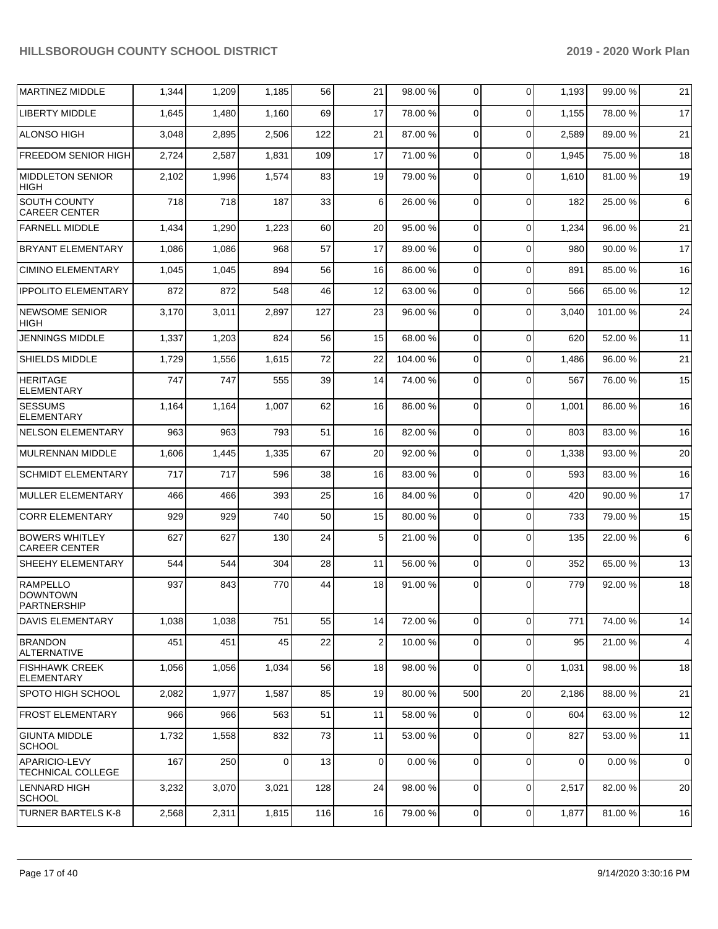| <b>MARTINEZ MIDDLE</b>                            | 1,344 | 1,209 | 1,185 | 56  | 21             | 98.00 % | 0              | $\Omega$    | 1,193       | 99.00 %  | 21          |
|---------------------------------------------------|-------|-------|-------|-----|----------------|---------|----------------|-------------|-------------|----------|-------------|
| <b>LIBERTY MIDDLE</b>                             | 1,645 | 1,480 | 1,160 | 69  | 17             | 78.00 % | 0              | $\Omega$    | 1.155       | 78.00 %  | 17          |
| <b>ALONSO HIGH</b>                                | 3,048 | 2,895 | 2,506 | 122 | 21             | 87.00 % | 0              | $\Omega$    | 2,589       | 89.00 %  | 21          |
| <b>FREEDOM SENIOR HIGH</b>                        | 2,724 | 2,587 | 1,831 | 109 | 17             | 71.00 % | 0              | $\Omega$    | 1,945       | 75.00 %  | 18          |
| <b>MIDDLETON SENIOR</b><br><b>HIGH</b>            | 2,102 | 1,996 | 1,574 | 83  | 19             | 79.00 % | $\Omega$       | $\Omega$    | 1,610       | 81.00 %  | 19          |
| SOUTH COUNTY<br><b>CAREER CENTER</b>              | 718   | 718   | 187   | 33  | 6              | 26.00 % | 0              | $\Omega$    | 182         | 25.00 %  | 6           |
| <b>FARNELL MIDDLE</b>                             | 1,434 | 1,290 | 1,223 | 60  | 20             | 95.00 % | $\Omega$       | $\Omega$    | 1,234       | 96.00 %  | 21          |
| <b>BRYANT ELEMENTARY</b>                          | 1,086 | 1,086 | 968   | 57  | 17             | 89.00 % | $\Omega$       | $\Omega$    | 980         | 90.00%   | 17          |
| <b>CIMINO ELEMENTARY</b>                          | 1,045 | 1,045 | 894   | 56  | 16             | 86.00 % | $\Omega$       | $\Omega$    | 891         | 85.00 %  | 16          |
| <b>IPPOLITO ELEMENTARY</b>                        | 872   | 872   | 548   | 46  | 12             | 63.00 % | $\overline{0}$ | $\Omega$    | 566         | 65.00 %  | 12          |
| <b>NEWSOME SENIOR</b><br><b>HIGH</b>              | 3,170 | 3,011 | 2,897 | 127 | 23             | 96.00 % | 0              | $\Omega$    | 3,040       | 101.00 % | 24          |
| JENNINGS MIDDLE                                   | 1,337 | 1,203 | 824   | 56  | 15             | 68.00 % | 0              | $\Omega$    | 620         | 52.00 %  | 11          |
| SHIELDS MIDDLE                                    | 1,729 | 1,556 | 1,615 | 72  | 22             | 104.00% | 0              | $\Omega$    | 1,486       | 96.00 %  | 21          |
| <b>HERITAGE</b><br><b>ELEMENTARY</b>              | 747   | 747   | 555   | 39  | 14             | 74.00 % | 0              | $\Omega$    | 567         | 76.00 %  | 15          |
| <b>SESSUMS</b><br><b>ELEMENTARY</b>               | 1,164 | 1,164 | 1,007 | 62  | 16             | 86.00 % | $\Omega$       | $\Omega$    | 1,001       | 86.00 %  | 16          |
| <b>NELSON ELEMENTARY</b>                          | 963   | 963   | 793   | 51  | 16             | 82.00 % | $\Omega$       | $\Omega$    | 803         | 83.00 %  | 16          |
| <b>MULRENNAN MIDDLE</b>                           | 1,606 | 1,445 | 1,335 | 67  | 20             | 92.00%  | $\Omega$       | $\Omega$    | 1,338       | 93.00 %  | 20          |
| <b>SCHMIDT ELEMENTARY</b>                         | 717   | 717   | 596   | 38  | 16             | 83.00 % | $\Omega$       | $\Omega$    | 593         | 83.00 %  | 16          |
| <b>MULLER ELEMENTARY</b>                          | 466   | 466   | 393   | 25  | 16             | 84.00 % | 0              | $\Omega$    | 420         | 90.00 %  | 17          |
| <b>CORR ELEMENTARY</b>                            | 929   | 929   | 740   | 50  | 15             | 80.00 % | $\Omega$       | $\Omega$    | 733         | 79.00 %  | 15          |
| <b>BOWERS WHITLEY</b><br><b>CAREER CENTER</b>     | 627   | 627   | 130   | 24  | 5 <sub>5</sub> | 21.00 % | $\overline{0}$ | $\Omega$    | 135         | 22.00 %  | 6           |
| SHEEHY ELEMENTARY                                 | 544   | 544   | 304   | 28  | 11             | 56.00 % | $\overline{0}$ | $\Omega$    | 352         | 65.00 %  | 13          |
| <b>RAMPELLO</b><br><b>DOWNTOWN</b><br>PARTNERSHIP | 937   | 843   | 770   | 44  | 18             | 91.00 % | 0              | $\Omega$    | 779         | 92.00 %  | 18          |
| DAVIS ELEMENTARY                                  | 1,038 | 1,038 | 751   | 55  | 14             | 72.00 % | 0              | $\Omega$    | 771         | 74.00 %  | 14          |
| <b>BRANDON</b><br><b>ALTERNATIVE</b>              | 451   | 451   | 45    | 22  | $\overline{a}$ | 10.00 % | 0              | $\Omega$    | 95          | 21.00 %  | 4           |
| <b>FISHHAWK CREEK</b><br><b>ELEMENTARY</b>        | 1,056 | 1,056 | 1,034 | 56  | 18             | 98.00 % | $\Omega$       | $\Omega$    | 1,031       | 98.00 %  | 18          |
| SPOTO HIGH SCHOOL                                 | 2,082 | 1,977 | 1,587 | 85  | 19             | 80.00 % | 500            | 20          | 2,186       | 88.00 %  | 21          |
| <b>FROST ELEMENTARY</b>                           | 966   | 966   | 563   | 51  | 11             | 58.00 % | $\overline{0}$ | $\mathbf 0$ | 604         | 63.00 %  | 12          |
| <b>GIUNTA MIDDLE</b><br><b>SCHOOL</b>             | 1,732 | 1,558 | 832   | 73  | 11             | 53.00 % | $\overline{0}$ | $\mathbf 0$ | 827         | 53.00 %  | 11          |
| APARICIO-LEVY<br>TECHNICAL COLLEGE                | 167   | 250   | 0     | 13  | 0              | 0.00%   | 0              | $\Omega$    | $\mathbf 0$ | 0.00%    | $\mathbf 0$ |
| <b>LENNARD HIGH</b><br><b>SCHOOL</b>              | 3,232 | 3,070 | 3,021 | 128 | 24             | 98.00 % | $\overline{0}$ | $\Omega$    | 2,517       | 82.00 %  | 20          |
| <b>TURNER BARTELS K-8</b>                         | 2,568 | 2,311 | 1,815 | 116 | 16             | 79.00 % | $\overline{0}$ | 0           | 1,877       | 81.00%   | 16          |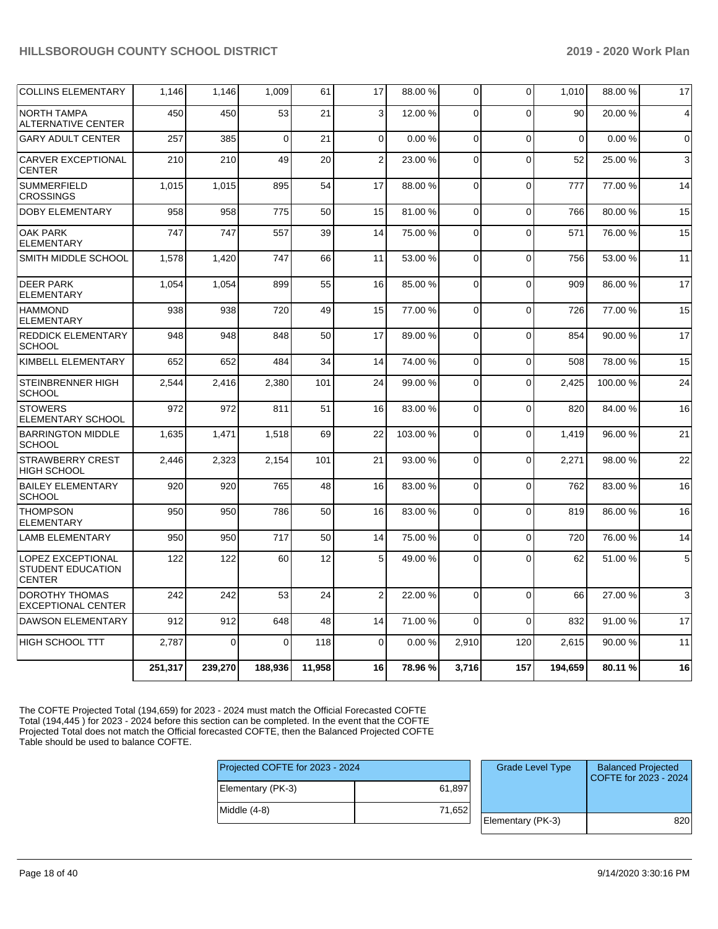| <b>COLLINS ELEMENTARY</b>                                             | 1,146   | 1,146    | 1,009    | 61     | 17             | 88.00 % | $\mathbf 0$  | $\Omega$    | 1,010    | 88.00 % | 17             |
|-----------------------------------------------------------------------|---------|----------|----------|--------|----------------|---------|--------------|-------------|----------|---------|----------------|
| <b>NORTH TAMPA</b><br><b>ALTERNATIVE CENTER</b>                       | 450     | 450      | 53       | 21     | 3              | 12.00 % | $\Omega$     | $\Omega$    | 90       | 20.00 % | $\overline{4}$ |
| <b>GARY ADULT CENTER</b>                                              | 257     | 385      | $\Omega$ | 21     | $\Omega$       | 0.00%   | $\Omega$     | $\Omega$    | $\Omega$ | 0.00%   | $\Omega$       |
| <b>CARVER EXCEPTIONAL</b><br><b>CENTER</b>                            | 210     | 210      | 49       | 20     | $\overline{2}$ | 23.00 % | $\mathbf 0$  | $\Omega$    | 52       | 25.00 % | 3              |
| <b>SUMMERFIELD</b><br><b>CROSSINGS</b>                                | 1,015   | 1,015    | 895      | 54     | 17             | 88.00 % | 0            | $\Omega$    | 777      | 77.00 % | 14             |
| <b>DOBY ELEMENTARY</b>                                                | 958     | 958      | 775      | 50     | 15             | 81.00%  | $\mathbf 0$  | $\Omega$    | 766      | 80.00 % | 15             |
| <b>OAK PARK</b><br><b>ELEMENTARY</b>                                  | 747     | 747      | 557      | 39     | 14             | 75.00 % | $\Omega$     | $\Omega$    | 571      | 76.00 % | 15             |
| SMITH MIDDLE SCHOOL                                                   | 1,578   | 1,420    | 747      | 66     | 11             | 53.00 % | 0            | $\mathbf 0$ | 756      | 53.00 % | 11             |
| <b>DEER PARK</b><br><b>ELEMENTARY</b>                                 | 1,054   | 1,054    | 899      | 55     | 16             | 85.00 % | $\mathbf{0}$ | $\mathbf 0$ | 909      | 86.00 % | 17             |
| <b>HAMMOND</b><br><b>ELEMENTARY</b>                                   | 938     | 938      | 720      | 49     | 15             | 77.00 % | $\Omega$     | $\Omega$    | 726      | 77.00 % | 15             |
| <b>REDDICK ELEMENTARY</b><br><b>SCHOOL</b>                            | 948     | 948      | 848      | 50     | 17             | 89.00 % | $\Omega$     | $\Omega$    | 854      | 90.00 % | 17             |
| KIMBELL ELEMENTARY                                                    | 652     | 652      | 484      | 34     | 14             | 74.00 % | $\Omega$     | $\Omega$    | 508      | 78.00 % | 15             |
| <b>STEINBRENNER HIGH</b><br><b>SCHOOL</b>                             | 2,544   | 2,416    | 2,380    | 101    | 24             | 99.00 % | $\Omega$     | $\Omega$    | 2,425    | 100.00% | 24             |
| <b>STOWERS</b><br>ELEMENTARY SCHOOL                                   | 972     | 972      | 811      | 51     | 16             | 83.00 % | $\Omega$     | $\Omega$    | 820      | 84.00 % | 16             |
| <b>BARRINGTON MIDDLE</b><br><b>SCHOOL</b>                             | 1,635   | 1,471    | 1,518    | 69     | 22             | 103.00% | $\Omega$     | $\Omega$    | 1,419    | 96.00 % | 21             |
| <b>STRAWBERRY CREST</b><br><b>HIGH SCHOOL</b>                         | 2,446   | 2,323    | 2,154    | 101    | 21             | 93.00 % | $\Omega$     | $\Omega$    | 2,271    | 98.00 % | 22             |
| <b>BAILEY ELEMENTARY</b><br><b>SCHOOL</b>                             | 920     | 920      | 765      | 48     | 16             | 83.00 % | $\Omega$     | $\Omega$    | 762      | 83.00 % | 16             |
| <b>THOMPSON</b><br><b>ELEMENTARY</b>                                  | 950     | 950      | 786      | 50     | 16             | 83.00 % | $\mathbf 0$  | $\mathbf 0$ | 819      | 86.00 % | 16             |
| <b>LAMB ELEMENTARY</b>                                                | 950     | 950      | 717      | 50     | 14             | 75.00 % | 0            | $\Omega$    | 720      | 76.00 % | 14             |
| <b>LOPEZ EXCEPTIONAL</b><br><b>STUDENT EDUCATION</b><br><b>CENTER</b> | 122     | 122      | 60       | 12     | 5              | 49.00 % | $\Omega$     | $\Omega$    | 62       | 51.00 % | 5              |
| <b>DOROTHY THOMAS</b><br><b>EXCEPTIONAL CENTER</b>                    | 242     | 242      | 53       | 24     | $\overline{2}$ | 22.00 % | $\mathbf{0}$ | $\Omega$    | 66       | 27.00 % | 3              |
| <b>DAWSON ELEMENTARY</b>                                              | 912     | 912      | 648      | 48     | 14             | 71.00 % | $\Omega$     | $\Omega$    | 832      | 91.00 % | 17             |
| <b>HIGH SCHOOL TTT</b>                                                | 2,787   | $\Omega$ | $\Omega$ | 118    | $\mathbf 0$    | 0.00%   | 2,910        | 120         | 2,615    | 90.00 % | 11             |
|                                                                       | 251,317 | 239,270  | 188,936  | 11.958 | 16             | 78.96 % | 3,716        | 157         | 194,659  | 80.11 % | 16             |

The COFTE Projected Total (194,659) for 2023 - 2024 must match the Official Forecasted COFTE Total (194,445 ) for 2023 - 2024 before this section can be completed. In the event that the COFTE Projected Total does not match the Official forecasted COFTE, then the Balanced Projected COFTE Table should be used to balance COFTE.

| Projected COFTE for 2023 - 2024 |        | <b>Grade Level Type</b> | <b>Balanced Projected</b><br>COFTE for 2023 - 2024 |
|---------------------------------|--------|-------------------------|----------------------------------------------------|
| Elementary (PK-3)               | 61,897 |                         |                                                    |
| $ $ Middle $(4-8)$              | 71,652 |                         |                                                    |
|                                 |        | Elementary (PK-3)       | 820                                                |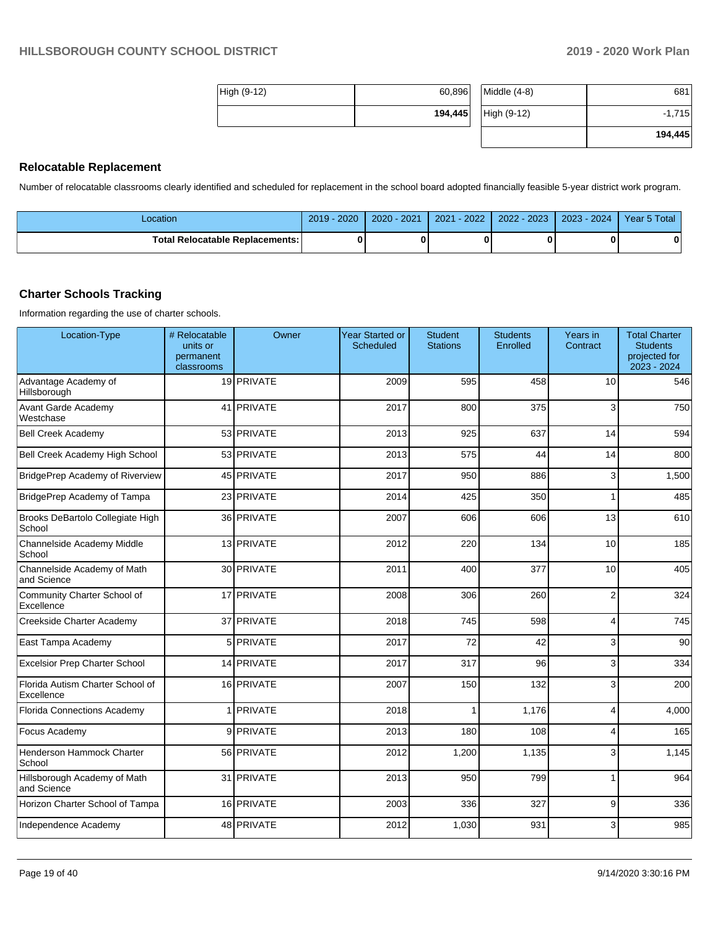$-1,715$ **194,445**

| $ High (9-12) $ | 60,896  | $Middle (4-8)$ | 681      |
|-----------------|---------|----------------|----------|
|                 | 194,445 | High (9-12)    | $-1,715$ |
|                 |         |                | _____    |

### **Relocatable Replacement**

Number of relocatable classrooms clearly identified and scheduled for replacement in the school board adopted financially feasible 5-year district work program.

| _ocation                          | $-2020$<br>2019 | $J - 2021$<br>$2020 \times$ | $-2022$<br>2021 | 2022 - 2023 | 2023 - 2024 | Year 5 Total |
|-----------------------------------|-----------------|-----------------------------|-----------------|-------------|-------------|--------------|
| Total Relocatable Replacements: I |                 |                             |                 |             |             | 0            |

### **Charter Schools Tracking**

Information regarding the use of charter schools.

| Location-Type                                  | # Relocatable<br>units or<br>permanent<br>classrooms | Owner          | Year Started or<br><b>Scheduled</b> | <b>Student</b><br><b>Stations</b> | <b>Students</b><br>Enrolled | Years in<br>Contract    | <b>Total Charter</b><br><b>Students</b><br>projected for<br>2023 - 2024 |
|------------------------------------------------|------------------------------------------------------|----------------|-------------------------------------|-----------------------------------|-----------------------------|-------------------------|-------------------------------------------------------------------------|
| Advantage Academy of<br>Hillsborough           |                                                      | 19 PRIVATE     | 2009                                | 595                               | 458                         | 10                      | 546                                                                     |
| Avant Garde Academy<br>Westchase               |                                                      | 41 PRIVATE     | 2017                                | 800                               | 375                         | 3                       | 750                                                                     |
| <b>Bell Creek Academy</b>                      |                                                      | 53 PRIVATE     | 2013                                | 925                               | 637                         | 14                      | 594                                                                     |
| Bell Creek Academy High School                 |                                                      | 53 PRIVATE     | 2013                                | 575                               | 44                          | 14                      | 800                                                                     |
| BridgePrep Academy of Riverview                |                                                      | 45 PRIVATE     | 2017                                | 950                               | 886                         | 3                       | 1,500                                                                   |
| BridgePrep Academy of Tampa                    |                                                      | 23 PRIVATE     | 2014                                | 425                               | 350                         |                         | 485                                                                     |
| Brooks DeBartolo Collegiate High<br>School     |                                                      | 36 PRIVATE     | 2007                                | 606                               | 606                         | 13                      | 610                                                                     |
| Channelside Academy Middle<br>School           |                                                      | 13 PRIVATE     | 2012                                | 220                               | 134                         | 10                      | 185                                                                     |
| Channelside Academy of Math<br>and Science     |                                                      | 30 PRIVATE     | 2011                                | 400                               | 377                         | 10                      | 405                                                                     |
| Community Charter School of<br>Excellence      |                                                      | 17 PRIVATE     | 2008                                | 306                               | 260                         | $\overline{2}$          | 324                                                                     |
| Creekside Charter Academy                      |                                                      | 37 PRIVATE     | 2018                                | 745                               | 598                         | $\overline{\mathbf{4}}$ | 745                                                                     |
| East Tampa Academy                             | 5                                                    | <b>PRIVATE</b> | 2017                                | 72                                | 42                          | 3                       | 90                                                                      |
| <b>Excelsior Prep Charter School</b>           |                                                      | 14 PRIVATE     | 2017                                | 317                               | 96                          | 3                       | 334                                                                     |
| Florida Autism Charter School of<br>Excellence |                                                      | 16 PRIVATE     | 2007                                | 150                               | 132                         | 3                       | 200                                                                     |
| <b>Florida Connections Academy</b>             | 1                                                    | <b>PRIVATE</b> | 2018                                | 1                                 | 1,176                       | 4                       | 4,000                                                                   |
| Focus Academy                                  | 9                                                    | PRIVATE        | 2013                                | 180                               | 108                         | $\overline{\mathbf{4}}$ | 165                                                                     |
| Henderson Hammock Charter<br>School            |                                                      | 56 PRIVATE     | 2012                                | 1,200                             | 1,135                       | 3                       | 1,145                                                                   |
| Hillsborough Academy of Math<br>and Science    |                                                      | 31 PRIVATE     | 2013                                | 950                               | 799                         |                         | 964                                                                     |
| Horizon Charter School of Tampa                |                                                      | 16 PRIVATE     | 2003                                | 336                               | 327                         | 9                       | 336                                                                     |
| Independence Academy                           |                                                      | 48 PRIVATE     | 2012                                | 1,030                             | 931                         | 3                       | 985                                                                     |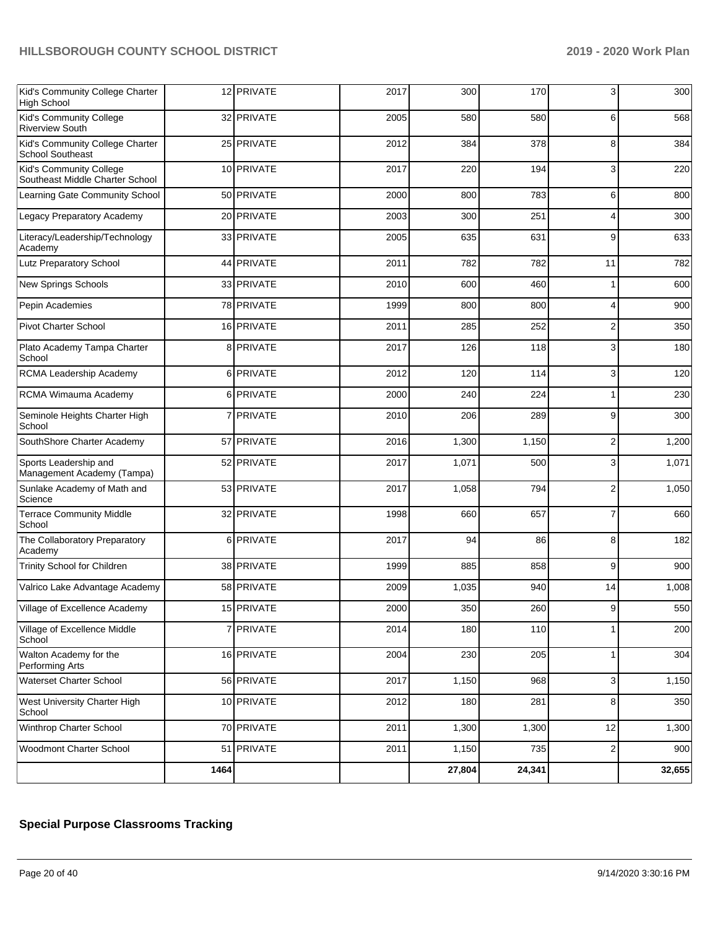| Kid's Community College Charter<br>High School             |      | 12 PRIVATE     | 2017 | 300    | 170    | 3              | 300    |
|------------------------------------------------------------|------|----------------|------|--------|--------|----------------|--------|
| Kid's Community College<br><b>Riverview South</b>          |      | 32 PRIVATE     | 2005 | 580    | 580    | 6              | 568    |
| Kid's Community College Charter<br><b>School Southeast</b> |      | 25 PRIVATE     | 2012 | 384    | 378    | 8              | 384    |
| Kid's Community College<br>Southeast Middle Charter School |      | 10 PRIVATE     | 2017 | 220    | 194    | 3              | 220    |
| Learning Gate Community School                             |      | 50 PRIVATE     | 2000 | 800    | 783    | 6              | 800    |
| Legacy Preparatory Academy                                 |      | 20 PRIVATE     | 2003 | 300    | 251    | 4              | 300    |
| Literacy/Leadership/Technology<br>Academy                  |      | 33 PRIVATE     | 2005 | 635    | 631    | 9              | 633    |
| Lutz Preparatory School                                    |      | 44 PRIVATE     | 2011 | 782    | 782    | 11             | 782    |
| New Springs Schools                                        |      | 33 PRIVATE     | 2010 | 600    | 460    | 1              | 600    |
| Pepin Academies                                            |      | 78 PRIVATE     | 1999 | 800    | 800    | 4              | 900    |
| <b>Pivot Charter School</b>                                |      | 16 PRIVATE     | 2011 | 285    | 252    | $\overline{2}$ | 350    |
| Plato Academy Tampa Charter<br>School                      | 8    | PRIVATE        | 2017 | 126    | 118    | 3              | 180    |
| RCMA Leadership Academy                                    | 6    | PRIVATE        | 2012 | 120    | 114    | 3              | 120    |
| RCMA Wimauma Academy                                       |      | 6 PRIVATE      | 2000 | 240    | 224    | 1              | 230    |
| Seminole Heights Charter High<br>School                    | 7    | PRIVATE        | 2010 | 206    | 289    | 9              | 300    |
| SouthShore Charter Academy                                 |      | 57 PRIVATE     | 2016 | 1,300  | 1,150  | 2              | 1,200  |
| Sports Leadership and<br>Management Academy (Tampa)        |      | 52 PRIVATE     | 2017 | 1,071  | 500    | 3              | 1,071  |
| Sunlake Academy of Math and<br>Science                     |      | 53 PRIVATE     | 2017 | 1,058  | 794    | 2              | 1,050  |
| <b>Terrace Community Middle</b><br>School                  |      | 32 PRIVATE     | 1998 | 660    | 657    | $\overline{7}$ | 660    |
| The Collaboratory Preparatory<br>Academy                   |      | 6 PRIVATE      | 2017 | 94     | 86     | 8              | 182    |
| Trinity School for Children                                |      | 38 PRIVATE     | 1999 | 885    | 858    | 9              | 900    |
| Valrico Lake Advantage Academy                             |      | 58 PRIVATE     | 2009 | 1,035  | 940    | 14             | 1,008  |
| Village of Excellence Academy                              |      | 15 PRIVATE     | 2000 | 350    | 260    | 9              | 550    |
| Village of Excellence Middle<br>School                     | 7    | <b>PRIVATE</b> | 2014 | 180    | 110    | 1              | 200    |
| Walton Academy for the<br>Performing Arts                  |      | 16 PRIVATE     | 2004 | 230    | 205    | 1              | 304    |
| Waterset Charter School                                    |      | 56 PRIVATE     | 2017 | 1,150  | 968    | 3              | 1,150  |
| West University Charter High<br>School                     |      | 10 PRIVATE     | 2012 | 180    | 281    | 8              | 350    |
| Winthrop Charter School                                    |      | 70 PRIVATE     | 2011 | 1,300  | 1,300  | 12             | 1,300  |
| Woodmont Charter School                                    |      | 51 PRIVATE     | 2011 | 1,150  | 735    | 2              | 900    |
|                                                            | 1464 |                |      | 27,804 | 24,341 |                | 32,655 |

# **Special Purpose Classrooms Tracking**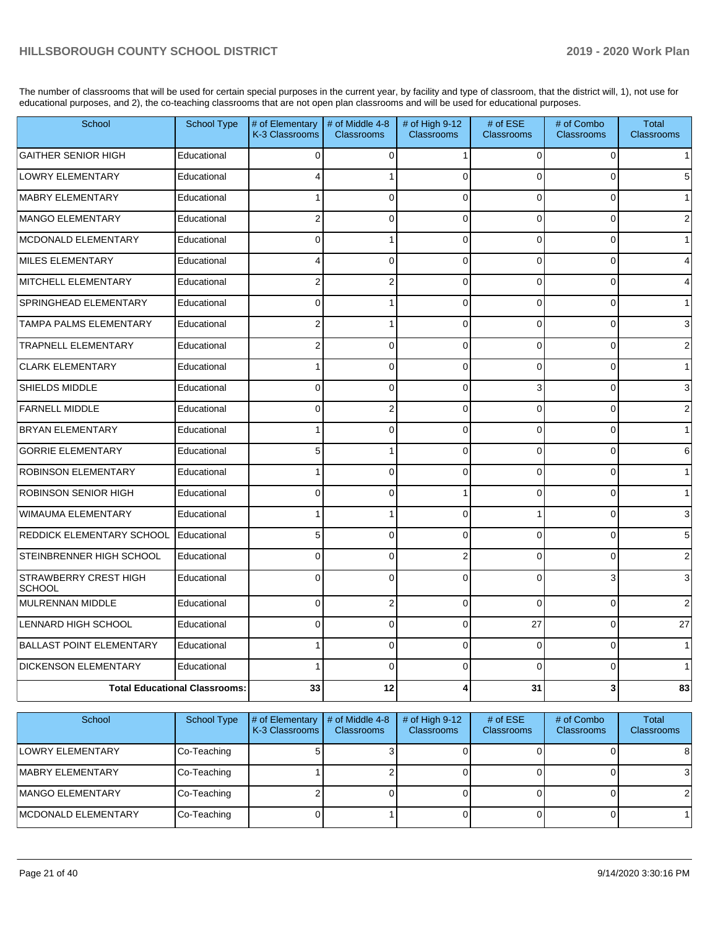The number of classrooms that will be used for certain special purposes in the current year, by facility and type of classroom, that the district will, 1), not use for educational purposes, and 2), the co-teaching classrooms that are not open plan classrooms and will be used for educational purposes.

| School                                        | <b>School Type</b>                   | # of Elementary<br>K-3 Classrooms | # of Middle 4-8<br><b>Classrooms</b> | # of High 9-12<br>Classrooms | # of ESE<br><b>Classrooms</b> | # of Combo<br>Classrooms | <b>Total</b><br><b>Classrooms</b> |
|-----------------------------------------------|--------------------------------------|-----------------------------------|--------------------------------------|------------------------------|-------------------------------|--------------------------|-----------------------------------|
| <b>GAITHER SENIOR HIGH</b>                    | Educational                          | 0                                 | 0                                    | 1                            | 0                             | 0                        |                                   |
| <b>LOWRY ELEMENTARY</b>                       | Educational                          | 4                                 | 1                                    | $\Omega$                     | $\Omega$                      | $\Omega$                 |                                   |
| MABRY ELEMENTARY                              | Educational                          | $\mathbf{1}$                      | $\Omega$                             | $\Omega$                     | $\Omega$                      | $\Omega$                 |                                   |
| MANGO ELEMENTARY                              | Educational                          | $\overline{\mathbf{c}}$           | 0                                    | $\mathbf{0}$                 | $\Omega$                      | $\Omega$                 |                                   |
| MCDONALD ELEMENTARY                           | Educational                          | $\Omega$                          | 1                                    | $\Omega$                     | $\Omega$                      | $\Omega$                 |                                   |
| MILES ELEMENTARY                              | Educational                          | $\overline{\mathbf{4}}$           | $\Omega$                             | $\mathbf{0}$                 | $\Omega$                      | $\Omega$                 |                                   |
| MITCHELL ELEMENTARY                           | Educational                          | $\overline{\mathbf{c}}$           | $\overline{2}$                       | $\Omega$                     | $\Omega$                      | $\Omega$                 |                                   |
| <b>SPRINGHEAD ELEMENTARY</b>                  | Educational                          | $\Omega$                          | 1                                    | $\Omega$                     | $\Omega$                      | $\Omega$                 |                                   |
| <b>TAMPA PALMS ELEMENTARY</b>                 | Educational                          | $\mathbf 2$                       | 1                                    | $\overline{0}$               | $\Omega$                      | $\overline{0}$           |                                   |
| <b>TRAPNELL ELEMENTARY</b>                    | Educational                          | 2                                 | $\mathbf 0$                          | $\Omega$                     | $\Omega$                      | $\Omega$                 |                                   |
| <b>CLARK ELEMENTARY</b>                       | Educational                          | 1                                 | 0                                    | $\Omega$                     | $\Omega$                      | $\Omega$                 |                                   |
| <b>SHIELDS MIDDLE</b>                         | Educational                          | $\mathbf 0$                       | $\overline{0}$                       | $\mathbf 0$                  | 3                             | $\overline{0}$           | 3                                 |
| <b>FARNELL MIDDLE</b>                         | Educational                          | $\mathbf 0$                       | $\overline{c}$                       | $\Omega$                     | $\Omega$                      | $\overline{0}$           |                                   |
| <b>BRYAN ELEMENTARY</b>                       | Educational                          | 1                                 | $\Omega$                             | $\Omega$                     | $\Omega$                      | $\Omega$                 |                                   |
| <b>GORRIE ELEMENTARY</b>                      | Educational                          | 5                                 | 1                                    | $\mathbf 0$                  | $\Omega$                      | 0                        | 6                                 |
| <b>ROBINSON ELEMENTARY</b>                    | Educational                          | 1                                 | $\mathbf 0$                          | $\mathbf 0$                  | $\Omega$                      | 0                        |                                   |
| <b>ROBINSON SENIOR HIGH</b>                   | Educational                          | $\Omega$                          | $\Omega$                             | 1                            | $\Omega$                      | $\Omega$                 |                                   |
| <b>WIMAUMA ELEMENTARY</b>                     | Educational                          | 1                                 | 1                                    | $\Omega$                     | 1                             | $\Omega$                 | 3                                 |
| <b>REDDICK ELEMENTARY SCHOOL</b>              | Educational                          | 5                                 | $\mathbf 0$                          | $\mathbf 0$                  | $\Omega$                      | $\Omega$                 | 5                                 |
| STEINBRENNER HIGH SCHOOL                      | Educational                          | 0                                 | $\mathbf 0$                          | $\overline{c}$               | $\Omega$                      | $\Omega$                 |                                   |
| <b>STRAWBERRY CREST HIGH</b><br><b>SCHOOL</b> | Educational                          | $\overline{0}$                    | $\mathbf 0$                          | $\mathbf{0}$                 | $\Omega$                      | 3                        | 3                                 |
| MULRENNAN MIDDLE                              | Educational                          | 0                                 | $\overline{c}$                       | $\Omega$                     | $\Omega$                      | $\Omega$                 | 2                                 |
| LENNARD HIGH SCHOOL                           | Educational                          | $\Omega$                          | $\Omega$                             | $\Omega$                     | 27                            | $\Omega$                 | 27                                |
| <b>BALLAST POINT ELEMENTARY</b>               | Educational                          | $\mathbf{1}$                      | 0                                    | $\mathbf 0$                  | $\Omega$                      | $\Omega$                 |                                   |
| <b>DICKENSON ELEMENTARY</b>                   | Educational                          | 1                                 | $\mathbf 0$                          | $\Omega$                     | $\Omega$                      | 0                        |                                   |
|                                               | <b>Total Educational Classrooms:</b> | 33                                | 12                                   | 4                            | 31                            | 3                        | 83                                |

| School                      | School Type | # of Elementary<br>K-3 Classrooms | # of Middle 4-8<br><b>Classrooms</b> | # of High $9-12$<br><b>Classrooms</b> | # of $ESE$<br>Classrooms | # of Combo<br><b>Classrooms</b> | Total<br><b>Classrooms</b> |
|-----------------------------|-------------|-----------------------------------|--------------------------------------|---------------------------------------|--------------------------|---------------------------------|----------------------------|
| <b>LOWRY ELEMENTARY</b>     | Co-Teaching |                                   |                                      |                                       |                          |                                 | 81                         |
| <b>IMABRY ELEMENTARY</b>    | Co-Teaching |                                   |                                      |                                       |                          |                                 |                            |
| <b>IMANGO ELEMENTARY</b>    | Co-Teaching |                                   |                                      |                                       |                          |                                 |                            |
| <b>IMCDONALD ELEMENTARY</b> | Co-Teaching |                                   |                                      |                                       |                          |                                 |                            |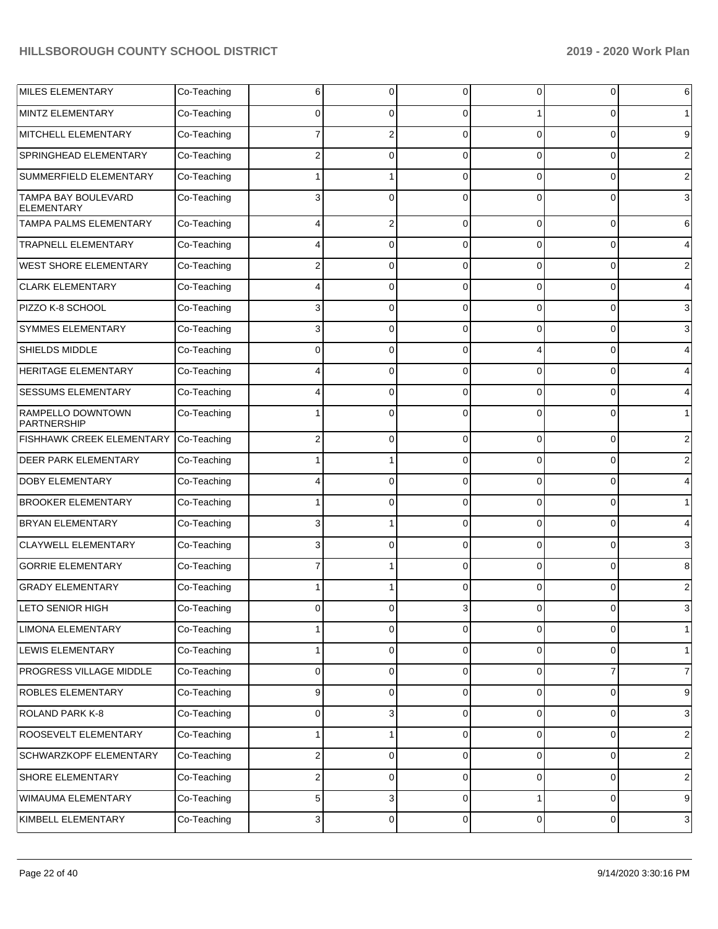| <b>MILES ELEMENTARY</b>                  | Co-Teaching | 6                       | 0           | $\Omega$       | $\mathbf 0$ | 0           | 6                |
|------------------------------------------|-------------|-------------------------|-------------|----------------|-------------|-------------|------------------|
| MINTZ ELEMENTARY                         | Co-Teaching | $\Omega$                | 0           | $\Omega$       |             | 0           |                  |
| MITCHELL ELEMENTARY                      | Co-Teaching |                         | 2           | $\Omega$       | $\mathbf 0$ | $\Omega$    | 9                |
| SPRINGHEAD ELEMENTARY                    | Co-Teaching | $\overline{2}$          | 0           | $\Omega$       | $\Omega$    | 0           | 2                |
| SUMMERFIELD ELEMENTARY                   | Co-Teaching |                         |             | $\Omega$       | $\mathbf 0$ | $\Omega$    | 2                |
| TAMPA BAY BOULEVARD<br><b>ELEMENTARY</b> | Co-Teaching | 3                       | 0           | $\Omega$       | $\Omega$    | 0           | 3                |
| TAMPA PALMS ELEMENTARY                   | Co-Teaching | 4                       | 2           | $\Omega$       | $\mathbf 0$ | 0           | 6                |
| <b>TRAPNELL ELEMENTARY</b>               | Co-Teaching | 4                       | $\Omega$    | 0              | $\mathbf 0$ | 0           | 4                |
| <b>WEST SHORE ELEMENTARY</b>             | Co-Teaching | $\overline{\mathbf{c}}$ | 0           | $\Omega$       | $\mathbf 0$ | 0           | $\overline{2}$   |
| <b>CLARK ELEMENTARY</b>                  | Co-Teaching | 4                       | 0           | 0              | $\mathbf 0$ | 0           | 4                |
| PIZZO K-8 SCHOOL                         | Co-Teaching | 3                       | 0           | $\Omega$       | $\mathbf 0$ | 0           | 3                |
| <b>SYMMES ELEMENTARY</b>                 | Co-Teaching | 3                       | 0           | 0              | $\mathbf 0$ | 0           | 3                |
| SHIELDS MIDDLE                           | Co-Teaching | $\mathbf 0$             | 0           | $\Omega$       | 4           | 0           | 4                |
| HERITAGE ELEMENTARY                      | Co-Teaching | 4                       | 0           | 0              | $\mathbf 0$ | 0           | 4                |
| SESSUMS ELEMENTARY                       | Co-Teaching | 4                       | 0           | $\Omega$       | $\mathbf 0$ | 0           | 4                |
| RAMPELLO DOWNTOWN<br>PARTNERSHIP         | Co-Teaching |                         | 0           | 0              | $\mathbf 0$ | $\Omega$    | $\mathbf{1}$     |
| FISHHAWK CREEK ELEMENTARY                | Co-Teaching | $\overline{\mathbf{c}}$ | $\mathbf 0$ | $\Omega$       | $\mathbf 0$ | $\mathbf 0$ | $\overline{2}$   |
| DEER PARK ELEMENTARY                     | Co-Teaching |                         |             | 0              | $\Omega$    | 0           | $\overline{2}$   |
| <b>DOBY ELEMENTARY</b>                   | Co-Teaching | 4                       | 0           | 0              | $\mathbf 0$ | 0           | 4                |
| <b>BROOKER ELEMENTARY</b>                | Co-Teaching |                         | 0           | 0              | $\mathbf 0$ | 0           | $\mathbf{1}$     |
| <b>BRYAN ELEMENTARY</b>                  | Co-Teaching | 3                       |             | 0              | $\mathbf 0$ | 0           | 4                |
| <b>CLAYWELL ELEMENTARY</b>               | Co-Teaching | 3                       | $\Omega$    | 0              | $\Omega$    | 0           | 3                |
| <b>GORRIE ELEMENTARY</b>                 | Co-Teaching | 7                       |             | 0              | $\mathbf 0$ | $\mathbf 0$ | 8                |
| <b>GRADY ELEMENTARY</b>                  | Co-Teaching |                         |             | 0              | $\Omega$    | $\Omega$    | $\overline{2}$   |
| <b>LETO SENIOR HIGH</b>                  | Co-Teaching | <sup>0</sup>            |             |                | U           |             | 3                |
| <b>LIMONA ELEMENTARY</b>                 | Co-Teaching | 1                       | 0           | $\Omega$       | $\mathbf 0$ | 0           | $\mathbf{1}$     |
| LEWIS ELEMENTARY                         | Co-Teaching | 1                       | $\mathbf 0$ | $\mathbf 0$    | 0           | 0           | $\mathbf{1}$     |
| PROGRESS VILLAGE MIDDLE                  | Co-Teaching | 0                       | $\mathbf 0$ | $\mathbf 0$    | $\pmb{0}$   | 7           | $\overline{7}$   |
| ROBLES ELEMENTARY                        | Co-Teaching | 9                       | 0           | $\mathbf 0$    | 0           | $\pmb{0}$   | 9                |
| ROLAND PARK K-8                          | Co-Teaching | 0                       | 3           | $\mathbf 0$    | $\pmb{0}$   | 0           | 3                |
| ROOSEVELT ELEMENTARY                     | Co-Teaching |                         | 1           | $\mathbf 0$    | 0           | 0           | $\boldsymbol{2}$ |
| <b>SCHWARZKOPF ELEMENTARY</b>            | Co-Teaching | $\overline{\mathbf{c}}$ | $\mathbf 0$ | $\overline{0}$ | 0           | 0           | $\boldsymbol{2}$ |
| SHORE ELEMENTARY                         | Co-Teaching | 2                       | 0           | $\mathbf 0$    | 0           | 0           | $\boldsymbol{2}$ |
| WIMAUMA ELEMENTARY                       | Co-Teaching | 5                       | 3           | $\mathbf 0$    | 1           | $\mathbf 0$ | 9                |
| KIMBELL ELEMENTARY                       | Co-Teaching | 3                       | 0           | $\overline{0}$ | $\pmb{0}$   | 0           | 3                |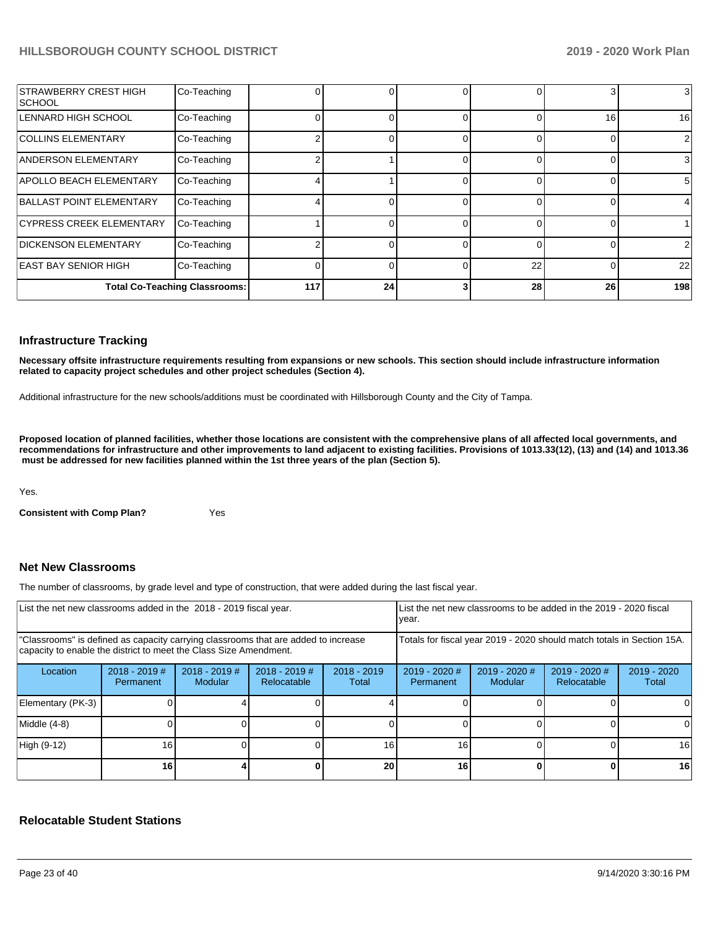| <b>STRAWBERRY CREST HIGH</b><br><b>SCHOOL</b> | Co-Teaching                          |     |    |    | 3  | 3              |
|-----------------------------------------------|--------------------------------------|-----|----|----|----|----------------|
| LENNARD HIGH SCHOOL                           | Co-Teaching                          |     |    |    | 16 | 16             |
| <b>COLLINS ELEMENTARY</b>                     | Co-Teaching                          |     |    |    | 0  | $\overline{2}$ |
| ANDERSON ELEMENTARY                           | Co-Teaching                          |     |    |    | 0  | $\mathbf{3}$   |
| <b>APOLLO BEACH ELEMENTARY</b>                | Co-Teaching                          |     |    |    | 0  | 51             |
| BALLAST POINT ELEMENTARY                      | Co-Teaching                          |     |    |    | 0  |                |
| <b>CYPRESS CREEK ELEMENTARY</b>               | Co-Teaching                          |     |    |    | 0  |                |
| <b>DICKENSON ELEMENTARY</b>                   | Co-Teaching                          |     |    |    | 0  | $\overline{2}$ |
| <b>EAST BAY SENIOR HIGH</b>                   | Co-Teaching                          |     |    | 22 | 0  | 22             |
|                                               | <b>Total Co-Teaching Classrooms:</b> | 117 | 24 | 28 | 26 | 198            |

### **Infrastructure Tracking**

**Necessary offsite infrastructure requirements resulting from expansions or new schools. This section should include infrastructure information related to capacity project schedules and other project schedules (Section 4).** 

Additional infrastructure for the new schools/additions must be coordinated with Hillsborough County and the City of Tampa.

**Proposed location of planned facilities, whether those locations are consistent with the comprehensive plans of all affected local governments, and recommendations for infrastructure and other improvements to land adjacent to existing facilities. Provisions of 1013.33(12), (13) and (14) and 1013.36** must be addressed for new facilities planned within the 1st three years of the plan (Section 5).

Yes.

**Consistent with Comp Plan?** Yes

### **Net New Classrooms**

The number of classrooms, by grade level and type of construction, that were added during the last fiscal year.

| List the net new classrooms added in the 2018 - 2019 fiscal year.                                                                                       |                              |                                   |                              | List the net new classrooms to be added in the 2019 - 2020 fiscal<br>year. |                                                                        |                          |                                |                      |
|---------------------------------------------------------------------------------------------------------------------------------------------------------|------------------------------|-----------------------------------|------------------------------|----------------------------------------------------------------------------|------------------------------------------------------------------------|--------------------------|--------------------------------|----------------------|
| "Classrooms" is defined as capacity carrying classrooms that are added to increase<br>capacity to enable the district to meet the Class Size Amendment. |                              |                                   |                              |                                                                            | Totals for fiscal year 2019 - 2020 should match totals in Section 15A. |                          |                                |                      |
| Location                                                                                                                                                | $2018 - 2019$ #<br>Permanent | $2018 - 2019$ #<br><b>Modular</b> | 2018 - 2019 #<br>Relocatable | $2018 - 2019$<br>Total                                                     | $2019 - 2020$ #<br>Permanent                                           | 2019 - 2020 #<br>Modular | $2019 - 2020$ #<br>Relocatable | 2019 - 2020<br>Total |
| Elementary (PK-3)                                                                                                                                       |                              |                                   |                              |                                                                            |                                                                        |                          |                                |                      |
| Middle (4-8)                                                                                                                                            |                              |                                   |                              |                                                                            |                                                                        |                          |                                | 0                    |
| High (9-12)                                                                                                                                             | 16                           |                                   |                              | 16                                                                         | 16                                                                     |                          |                                | 16                   |
|                                                                                                                                                         | 16                           |                                   |                              | 20                                                                         | 16                                                                     |                          |                                | 16                   |

### **Relocatable Student Stations**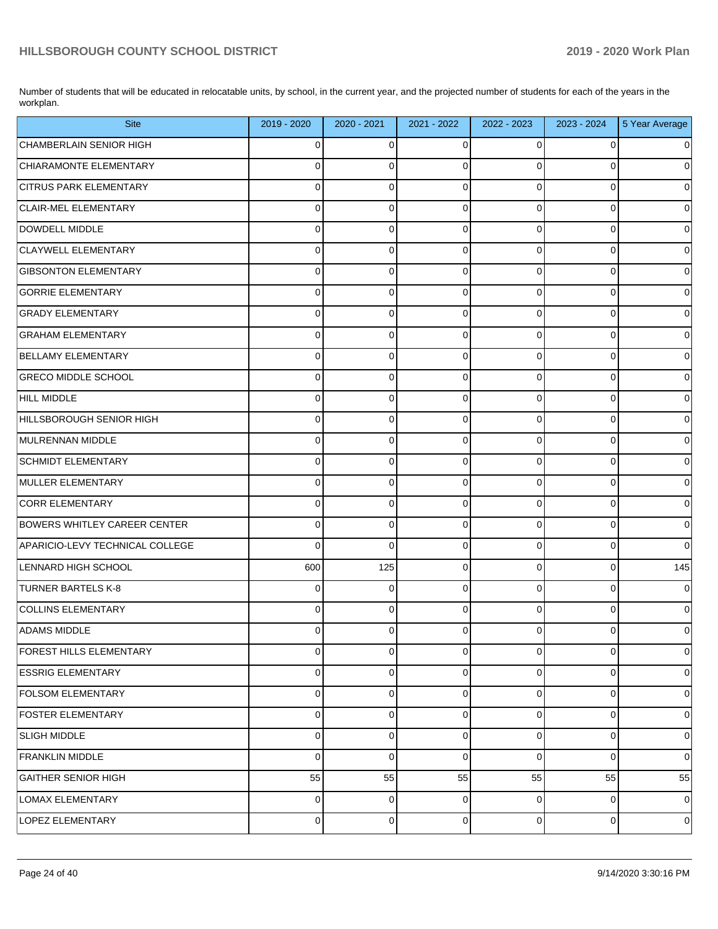Number of students that will be educated in relocatable units, by school, in the current year, and the projected number of students for each of the years in the workplan.

| <b>Site</b>                         | 2019 - 2020    | 2020 - 2021    | 2021 - 2022 | 2022 - 2023    | 2023 - 2024    | 5 Year Average      |
|-------------------------------------|----------------|----------------|-------------|----------------|----------------|---------------------|
| CHAMBERLAIN SENIOR HIGH             | 0              | $\overline{0}$ | 0           | 0              | $\mathbf 0$    | $\overline{0}$      |
| CHIARAMONTE ELEMENTARY              | $\mathbf 0$    | $\mathbf 0$    | $\Omega$    | $\Omega$       | 0              | $\pmb{0}$           |
| <b>CITRUS PARK ELEMENTARY</b>       | $\mathbf 0$    | $\mathbf 0$    | $\Omega$    | $\mathbf 0$    | $\mathbf{0}$   | $\mathsf{O}\xspace$ |
| CLAIR-MEL ELEMENTARY                | 0              | $\mathbf 0$    | $\Omega$    | $\Omega$       | $\overline{0}$ | $\pmb{0}$           |
| DOWDELL MIDDLE                      | $\mathbf 0$    | $\mathbf 0$    | $\Omega$    | $\mathbf 0$    | $\overline{0}$ | $\mathsf{O}\xspace$ |
| <b>CLAYWELL ELEMENTARY</b>          | $\mathbf 0$    | $\mathbf 0$    | $\Omega$    | $\Omega$       | $\overline{0}$ | $\pmb{0}$           |
| <b>GIBSONTON ELEMENTARY</b>         | $\mathbf 0$    | $\mathbf 0$    | $\Omega$    | $\mathbf 0$    | $\overline{0}$ | $\mathsf{O}\xspace$ |
| <b>GORRIE ELEMENTARY</b>            | 0              | $\mathbf 0$    | $\Omega$    | $\Omega$       | $\overline{0}$ | $\mathsf{O}\xspace$ |
| <b>GRADY ELEMENTARY</b>             | $\mathbf 0$    | $\mathbf 0$    | $\Omega$    | $\mathbf 0$    | $\overline{0}$ | $\mathsf{O}\xspace$ |
| <b>GRAHAM ELEMENTARY</b>            | 0              | $\mathbf 0$    | $\Omega$    | $\Omega$       | $\pmb{0}$      | $\pmb{0}$           |
| <b>BELLAMY ELEMENTARY</b>           | $\mathbf 0$    | $\mathbf 0$    | $\Omega$    | 0              | $\overline{0}$ | $\mathsf{O}\xspace$ |
| <b>GRECO MIDDLE SCHOOL</b>          | $\mathbf 0$    | $\mathbf 0$    | $\Omega$    | $\Omega$       | $\overline{0}$ | $\mathsf{O}\xspace$ |
| HILL MIDDLE                         | $\mathbf 0$    | $\mathbf 0$    | $\Omega$    | $\mathbf 0$    | $\overline{0}$ | $\mathsf{O}\xspace$ |
| HILLSBOROUGH SENIOR HIGH            | 0              | $\mathbf 0$    | $\Omega$    | $\Omega$       | $\overline{0}$ | $\mathsf{O}\xspace$ |
| MULRENNAN MIDDLE                    | $\mathbf 0$    | $\mathbf 0$    | $\Omega$    | $\mathbf 0$    | $\overline{0}$ | $\mathsf{O}\xspace$ |
| <b>SCHMIDT ELEMENTARY</b>           | $\mathbf 0$    | $\mathbf 0$    | $\Omega$    | $\Omega$       | $\pmb{0}$      | $\pmb{0}$           |
| MULLER ELEMENTARY                   | $\mathbf 0$    | $\mathbf 0$    | $\Omega$    | 0              | $\overline{0}$ | $\mathsf{O}\xspace$ |
| CORR ELEMENTARY                     | $\mathbf 0$    | $\mathbf 0$    | $\Omega$    | $\Omega$       | $\overline{0}$ | $\pmb{0}$           |
| <b>BOWERS WHITLEY CAREER CENTER</b> | $\mathbf 0$    | $\mathbf 0$    | $\Omega$    | $\mathbf 0$    | $\overline{0}$ | $\mathbf 0$         |
| APARICIO-LEVY TECHNICAL COLLEGE     | $\Omega$       | $\mathbf 0$    | $\Omega$    | $\Omega$       | $\mathbf 0$    | $\mathbf 0$         |
| LENNARD HIGH SCHOOL                 | 600            | 125            | $\Omega$    | 0              | $\overline{0}$ | 145                 |
| <b>TURNER BARTELS K-8</b>           | 0              | $\mathbf 0$    | $\Omega$    | $\Omega$       | $\overline{0}$ | $\mathbf 0$         |
| <b>COLLINS ELEMENTARY</b>           | $\mathbf 0$    | $\mathbf 0$    | $\Omega$    | $\Omega$       | $\overline{0}$ | $\pmb{0}$           |
| <b>ADAMS MIDDLE</b>                 | $\mathbf 0$    | 0              | 0           | $\mathbf 0$    | $\mathbf 0$    | $\mathsf{O}\xspace$ |
| FOREST HILLS ELEMENTARY             | 0              | $\pmb{0}$      | 0           | 0              | $\mathbf 0$    | $\mathbf 0$         |
| <b>ESSRIG ELEMENTARY</b>            | $\mathbf 0$    | $\mathbf 0$    | 0           | $\mathbf 0$    | $\overline{0}$ | $\overline{0}$      |
| <b>FOLSOM ELEMENTARY</b>            | $\mathbf 0$    | $\mathbf 0$    | $\Omega$    | 0              | $\pmb{0}$      | $\mathbf 0$         |
| <b>FOSTER ELEMENTARY</b>            | $\mathbf 0$    | $\overline{0}$ | 0           | $\mathbf 0$    | $\overline{0}$ | $\overline{0}$      |
| <b>SLIGH MIDDLE</b>                 | $\mathbf 0$    | $\mathbf 0$    | $\Omega$    | $\mathbf 0$    | $\pmb{0}$      | $\mathbf 0$         |
| FRANKLIN MIDDLE                     | $\mathbf 0$    | $\overline{0}$ | $\Omega$    | $\mathbf 0$    | $\overline{0}$ | $\mathsf{O}\xspace$ |
| <b>GAITHER SENIOR HIGH</b>          | 55             | 55             | 55          | 55             | 55             | 55                  |
| LOMAX ELEMENTARY                    | $\overline{0}$ | $\overline{0}$ | $\mathbf 0$ | $\overline{0}$ | $\overline{0}$ | $\mathbf 0$         |
| LOPEZ ELEMENTARY                    | $\overline{0}$ | $\overline{0}$ | 0           | $\overline{0}$ | $\overline{0}$ | $\pmb{0}$           |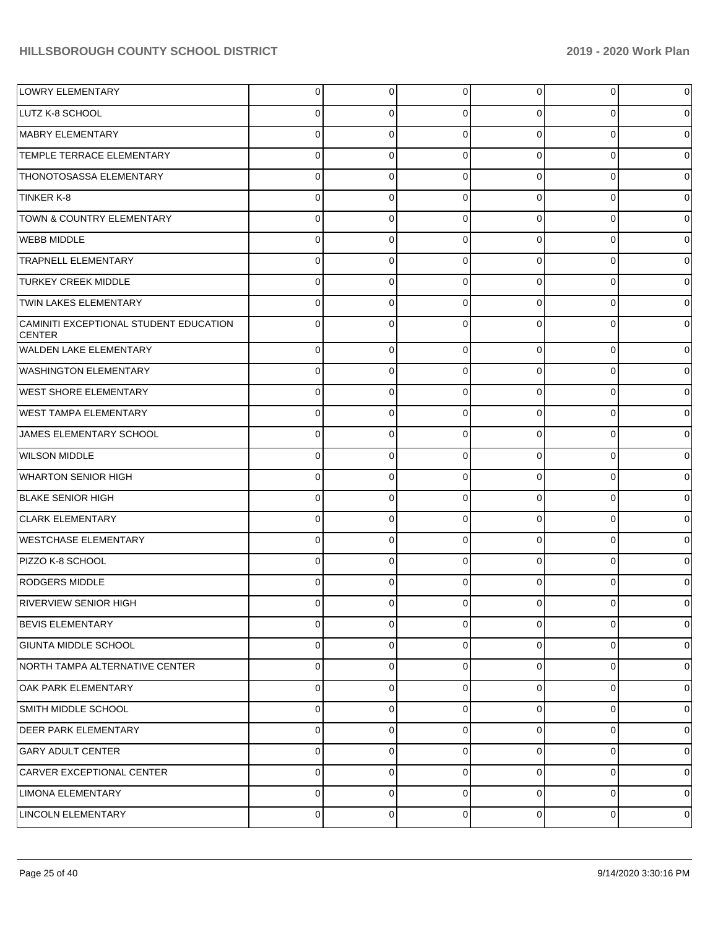| LOWRY ELEMENTARY                                        | 0           | 0           | $\mathbf 0$ | 0              | $\overline{0}$ | $\overline{0}$ |
|---------------------------------------------------------|-------------|-------------|-------------|----------------|----------------|----------------|
| LUTZ K-8 SCHOOL                                         | 0           | 0           | $\Omega$    | 0              | $\overline{0}$ | $\overline{0}$ |
| MABRY ELEMENTARY                                        | 0           | 0           | $\Omega$    | $\Omega$       | $\overline{0}$ | $\overline{0}$ |
| <b>TEMPLE TERRACE ELEMENTARY</b>                        | 0           | 0           | 0           | $\Omega$       | $\mathbf 0$    | $\overline{0}$ |
| THONOTOSASSA ELEMENTARY                                 | 0           | 0           | $\Omega$    | $\Omega$       | $\overline{0}$ | $\overline{0}$ |
| TINKER K-8                                              | 0           | 0           | 0           | $\Omega$       | $\overline{0}$ | $\overline{0}$ |
| TOWN & COUNTRY ELEMENTARY                               | 0           | 0           | $\Omega$    | $\Omega$       | $\overline{0}$ | $\overline{0}$ |
| <b>WEBB MIDDLE</b>                                      | 0           | 0           | 0           | $\Omega$       | $\overline{0}$ | $\overline{0}$ |
| <b>TRAPNELL ELEMENTARY</b>                              | 0           | 0           | $\Omega$    | $\Omega$       | $\overline{0}$ | $\overline{0}$ |
| <b>TURKEY CREEK MIDDLE</b>                              | 0           | 0           | 0           | $\Omega$       | $\mathbf 0$    | $\overline{0}$ |
| <b>TWIN LAKES ELEMENTARY</b>                            | 0           | 0           | $\Omega$    | $\Omega$       | $\overline{0}$ | $\overline{0}$ |
| CAMINITI EXCEPTIONAL STUDENT EDUCATION<br><b>CENTER</b> | 0           | 0           | $\Omega$    | 0              | $\overline{0}$ | $\overline{0}$ |
| <b>WALDEN LAKE ELEMENTARY</b>                           | 0           | 0           | $\Omega$    | $\Omega$       | $\overline{0}$ | $\overline{0}$ |
| WASHINGTON ELEMENTARY                                   | 0           | 0           | $\Omega$    | $\Omega$       | $\overline{0}$ | $\overline{0}$ |
| <b>WEST SHORE ELEMENTARY</b>                            | 0           | 0           | $\Omega$    | $\Omega$       | $\overline{0}$ | $\overline{0}$ |
| WEST TAMPA ELEMENTARY                                   | 0           | 0           | $\Omega$    | 0              | $\overline{0}$ | $\overline{0}$ |
| JAMES ELEMENTARY SCHOOL                                 | 0           | 0           | $\Omega$    | $\Omega$       | $\overline{0}$ | $\overline{0}$ |
| <b>WILSON MIDDLE</b>                                    | 0           | $\Omega$    | $\Omega$    | 0              | $\overline{0}$ | $\overline{0}$ |
| <b>WHARTON SENIOR HIGH</b>                              | 0           | 0           | $\Omega$    | 0              | $\overline{0}$ | $\overline{0}$ |
| <b>BLAKE SENIOR HIGH</b>                                | 0           | 0           | $\Omega$    | 0              | $\overline{0}$ | $\overline{0}$ |
| <b>CLARK ELEMENTARY</b>                                 | 0           | 0           | $\Omega$    | $\Omega$       | $\overline{0}$ | $\overline{0}$ |
| <b>WESTCHASE ELEMENTARY</b>                             | 0           | $\Omega$    | $\Omega$    | 0              | $\overline{0}$ | $\overline{0}$ |
| PIZZO K-8 SCHOOL                                        | 0           | 0           | $\Omega$    | $\Omega$       | $\overline{0}$ | $\overline{0}$ |
| <b>RODGERS MIDDLE</b>                                   | 0           | $\Omega$    | $\Omega$    | 0              | $\overline{0}$ | $\overline{0}$ |
| RIVERVIEW SENIOR HIGH                                   | 0           | 0           | 0           | 0              | $\overline{0}$ | $\overline{0}$ |
| <b>BEVIS ELEMENTARY</b>                                 | $\mathbf 0$ | 0           | $\Omega$    | 0              | $\overline{0}$ | $\overline{0}$ |
| <b>GIUNTA MIDDLE SCHOOL</b>                             | $\mathbf 0$ | $\mathbf 0$ | $\Omega$    | $\mathbf 0$    | $\overline{0}$ | $\overline{0}$ |
| NORTH TAMPA ALTERNATIVE CENTER                          | 0           | 0           | $\Omega$    | 0              | $\overline{0}$ | $\overline{0}$ |
| <b>OAK PARK ELEMENTARY</b>                              | 0           | 0           | $\Omega$    | 0              | $\overline{0}$ | $\overline{0}$ |
| SMITH MIDDLE SCHOOL                                     | $\mathbf 0$ | 0           | $\Omega$    | 0              | $\overline{0}$ | $\overline{0}$ |
| <b>DEER PARK ELEMENTARY</b>                             | $\mathbf 0$ | 0           | $\Omega$    | 0              | $\overline{0}$ | $\overline{0}$ |
| <b>GARY ADULT CENTER</b>                                | 0           | 0           | $\Omega$    | 0              | $\overline{0}$ | $\overline{0}$ |
| CARVER EXCEPTIONAL CENTER                               | $\mathbf 0$ | 0           | $\Omega$    | 0              | $\overline{0}$ | $\overline{0}$ |
| LIMONA ELEMENTARY                                       | $\mathbf 0$ | 0           | $\Omega$    | 0              | $\overline{0}$ | $\overline{0}$ |
| <b>LINCOLN ELEMENTARY</b>                               | 0           | 0           | 0           | $\overline{0}$ | $\overline{0}$ | $\overline{0}$ |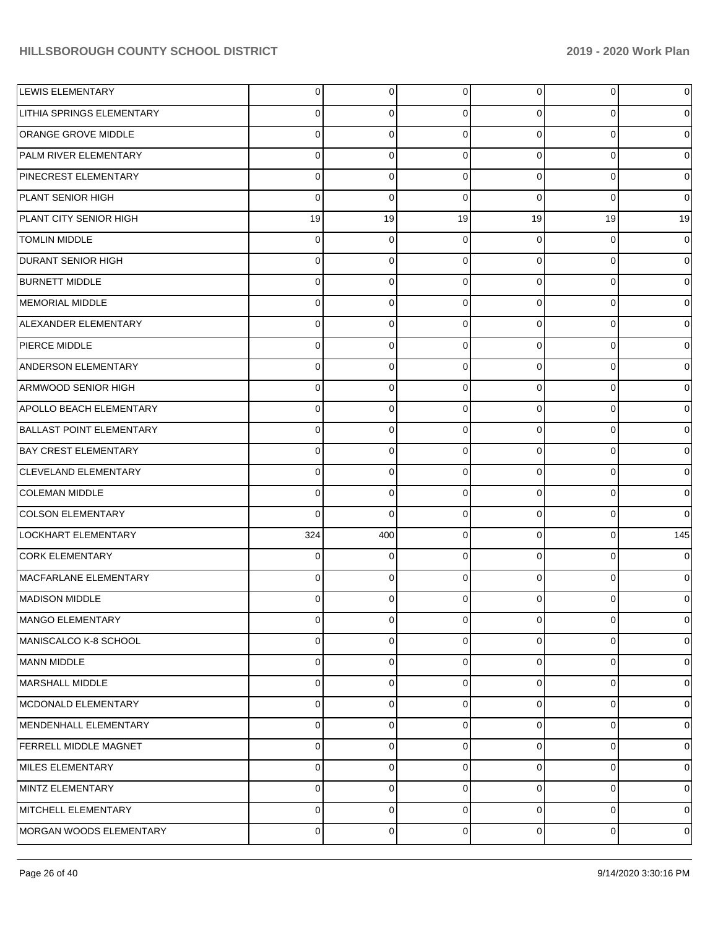| <b>LEWIS ELEMENTARY</b>          | $\overline{0}$ | 0        | $\Omega$    | $\overline{0}$ | $\overline{0}$ | $\overline{0}$ |
|----------------------------------|----------------|----------|-------------|----------------|----------------|----------------|
| <b>LITHIA SPRINGS ELEMENTARY</b> | 0              | 0        | $\Omega$    | 0              | 0              | $\overline{0}$ |
| <b>ORANGE GROVE MIDDLE</b>       | $\Omega$       | $\Omega$ | $\Omega$    | $\overline{0}$ | $\mathbf 0$    | $\overline{0}$ |
| <b>PALM RIVER ELEMENTARY</b>     | $\mathbf 0$    | $\Omega$ | $\Omega$    | $\overline{0}$ | 0              | $\overline{0}$ |
| PINECREST ELEMENTARY             | $\mathbf 0$    | $\Omega$ | $\Omega$    | $\overline{0}$ | $\mathbf 0$    | $\overline{0}$ |
| <b>PLANT SENIOR HIGH</b>         | $\mathbf 0$    | $\Omega$ | $\Omega$    | $\mathbf 0$    | 0              | $\overline{0}$ |
| PLANT CITY SENIOR HIGH           | 19             | 19       | 19          | 19             | 19             | 19             |
| <b>TOMLIN MIDDLE</b>             | $\mathbf 0$    | 0        | $\Omega$    | 0              | 0              | $\overline{0}$ |
| <b>DURANT SENIOR HIGH</b>        | 0              | $\Omega$ | $\Omega$    | $\overline{0}$ | $\mathbf 0$    | $\overline{0}$ |
| <b>BURNETT MIDDLE</b>            | $\mathbf 0$    | $\Omega$ | $\Omega$    | 0              | 0              | $\overline{0}$ |
| MEMORIAL MIDDLE                  | $\Omega$       | $\Omega$ | $\Omega$    | $\overline{0}$ | $\mathbf 0$    | $\overline{0}$ |
| ALEXANDER ELEMENTARY             | $\mathbf 0$    | $\Omega$ | $\Omega$    | $\overline{0}$ | 0              | $\overline{0}$ |
| <b>PIERCE MIDDLE</b>             | $\Omega$       | 0        | $\Omega$    | $\overline{0}$ | 0              | $\overline{0}$ |
| ANDERSON ELEMENTARY              | $\mathbf 0$    | $\Omega$ | $\Omega$    | 0              | 0              | $\overline{0}$ |
| ARMWOOD SENIOR HIGH              | $\Omega$       | $\Omega$ | $\Omega$    | $\mathbf 0$    | $\mathbf 0$    | $\overline{0}$ |
| APOLLO BEACH ELEMENTARY          | $\mathbf 0$    | $\Omega$ | $\Omega$    | $\overline{0}$ | $\mathbf 0$    | $\overline{0}$ |
| <b>BALLAST POINT ELEMENTARY</b>  | $\Omega$       | 0        | $\Omega$    | $\overline{0}$ | 0              | $\overline{0}$ |
| <b>BAY CREST ELEMENTARY</b>      | $\mathbf 0$    | $\Omega$ | $\Omega$    | $\overline{0}$ | $\mathbf 0$    | $\overline{0}$ |
| <b>CLEVELAND ELEMENTARY</b>      | $\Omega$       | $\Omega$ | $\Omega$    | 0              | $\mathbf 0$    | $\overline{0}$ |
| <b>COLEMAN MIDDLE</b>            | $\mathbf 0$    | $\Omega$ | $\Omega$    | $\overline{0}$ | $\mathbf 0$    | $\overline{0}$ |
| COLSON ELEMENTARY                | $\Omega$       | $\Omega$ | $\Omega$    | $\overline{0}$ | 0              | $\overline{0}$ |
| LOCKHART ELEMENTARY              | 324            | 400      | $\Omega$    | $\overline{0}$ | 0              | 145            |
| <b>CORK ELEMENTARY</b>           | $\Omega$       | $\Omega$ | $\Omega$    | $\Omega$       | $\mathbf 0$    | $\overline{0}$ |
| MACFARLANE ELEMENTARY            | $\Omega$       | 0        | $\Omega$    | $\overline{0}$ | 0              | $\overline{0}$ |
| MADISON MIDDLE                   | $\Omega$       | 0        | 0           | 0              | 0              | $\overline{0}$ |
| MANGO ELEMENTARY                 | 0              | 0        | $\mathbf 0$ | $\mathbf 0$    | 0              | $\mathbf 0$    |
| MANISCALCO K-8 SCHOOL            | 0              | 0        | $\Omega$    | 0              | 0              | $\overline{0}$ |
| MANN MIDDLE                      | $\mathbf 0$    | $\Omega$ | $\Omega$    | 0              | 0              | $\overline{0}$ |
| MARSHALL MIDDLE                  | $\mathbf 0$    | 0        | $\Omega$    | $\mathbf 0$    | 0              | $\overline{0}$ |
| MCDONALD ELEMENTARY              | $\mathbf 0$    | $\Omega$ | $\Omega$    | 0              | 0              | $\overline{0}$ |
| MENDENHALL ELEMENTARY            | $\mathbf 0$    | 0        | $\Omega$    | 0              | 0              | $\overline{0}$ |
| <b>FERRELL MIDDLE MAGNET</b>     | $\mathbf 0$    | $\Omega$ | $\Omega$    | 0              | 0              | $\overline{0}$ |
| MILES ELEMENTARY                 | $\mathbf 0$    | 0        | $\Omega$    | $\mathbf 0$    | 0              | $\overline{0}$ |
| MINTZ ELEMENTARY                 | $\mathbf 0$    | $\Omega$ | $\Omega$    | 0              | 0              | $\overline{0}$ |
| MITCHELL ELEMENTARY              | 0              | 0        | $\Omega$    | 0              | 0              | $\overline{0}$ |
| MORGAN WOODS ELEMENTARY          | 0              | 0        | $\mathbf 0$ | $\mathbf 0$    | $\mathbf 0$    | $\overline{0}$ |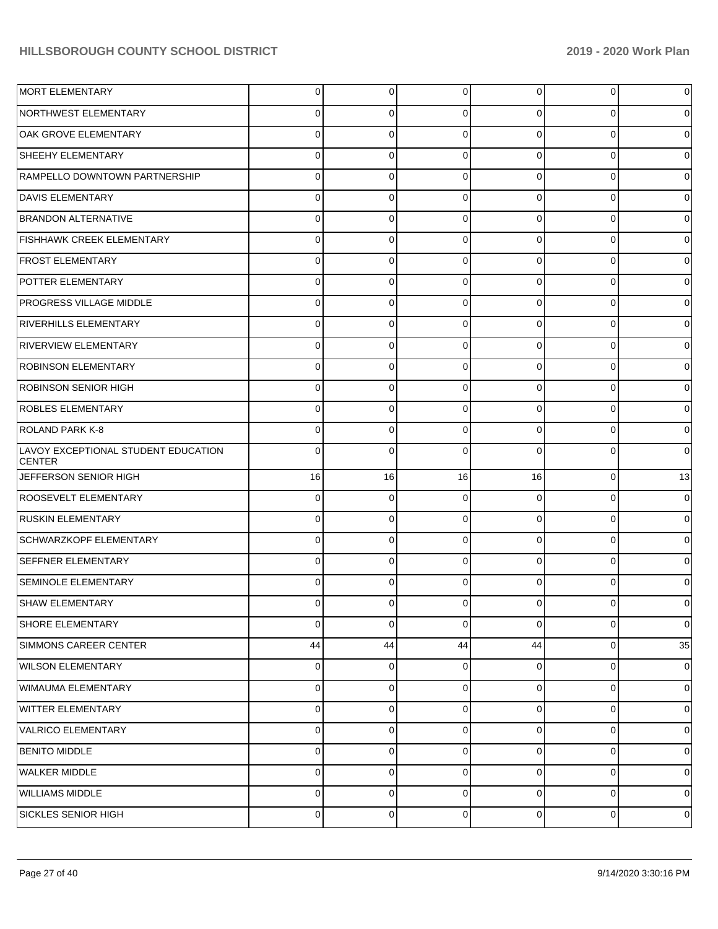| <b>MORT ELEMENTARY</b>                               | $\overline{0}$ | 0           | $\mathbf 0$    | 0              | $\mathbf 0$ | 0           |
|------------------------------------------------------|----------------|-------------|----------------|----------------|-------------|-------------|
| NORTHWEST ELEMENTARY                                 | 0              | 0           | 0              | 0              | 0           |             |
| OAK GROVE ELEMENTARY                                 | $\Omega$       | 0           | $\Omega$       | 0              | 0           |             |
| <b>SHEEHY ELEMENTARY</b>                             | 0              | 0           | 0              | 0              | 0           |             |
| RAMPELLO DOWNTOWN PARTNERSHIP                        | 0              | 0           | 0              | 0              | 0           |             |
| <b>DAVIS ELEMENTARY</b>                              | 0              | 0           | 0              | 0              | 0           |             |
| <b>BRANDON ALTERNATIVE</b>                           | 0              | 0           | $\Omega$       | 0              | 0           |             |
| <b>FISHHAWK CREEK ELEMENTARY</b>                     | 0              | 0           | 0              | 0              | 0           |             |
| <b>FROST ELEMENTARY</b>                              | $\Omega$       | 0           | $\Omega$       | 0              | 0           |             |
| POTTER ELEMENTARY                                    | 0              | 0           | 0              | 0              | 0           |             |
| <b>PROGRESS VILLAGE MIDDLE</b>                       | 0              | 0           | 0              | 0              | 0           |             |
| <b>RIVERHILLS ELEMENTARY</b>                         | 0              | 0           | 0              | 0              | 0           |             |
| <b>RIVERVIEW ELEMENTARY</b>                          | $\Omega$       | 0           | $\Omega$       | 0              | $\Omega$    |             |
| <b>ROBINSON ELEMENTARY</b>                           | 0              | 0           | 0              | 0              | 0           |             |
| <b>ROBINSON SENIOR HIGH</b>                          | 0              | 0           | 0              | 0              | 0           |             |
| <b>ROBLES ELEMENTARY</b>                             | 0              | 0           | 0              | 0              | 0           |             |
| <b>ROLAND PARK K-8</b>                               | 0              | 0           | 0              | 0              | $\Omega$    | 0           |
| LAVOY EXCEPTIONAL STUDENT EDUCATION<br><b>CENTER</b> | $\Omega$       | 0           | 0              | O              | $\Omega$    | 0           |
| JEFFERSON SENIOR HIGH                                | 16             | 16          | 16             | 16             | 0           | 13          |
| ROOSEVELT ELEMENTARY                                 | 0              | 0           | 0              | 0              | 0           | 0           |
| <b>RUSKIN ELEMENTARY</b>                             | 0              | 0           | 0              | $\mathbf 0$    | 0           | 0           |
| <b>SCHWARZKOPF ELEMENTARY</b>                        | 0              | $\mathbf 0$ | 0              | 0              | $\Omega$    | 0           |
| <b>SEFFNER ELEMENTARY</b>                            | 0              | 0           | 0              | 0              | 0           | 0           |
| SEMINOLE ELEMENTARY                                  | 0              | 0           | 0              | 0              | $\Omega$    | 0           |
| <b>SHAW ELEMENTARY</b>                               | $\overline{0}$ | 0           | $\mathbf 0$    | $\overline{0}$ | 0           | 0           |
| <b>SHORE ELEMENTARY</b>                              | $\Omega$       | 0           | $\mathbf 0$    | $\Omega$       | $\Omega$    | $\mathbf 0$ |
| SIMMONS CAREER CENTER                                | 44             | 44          | 44             | 44             | $\mathbf 0$ | 35          |
| <b>WILSON ELEMENTARY</b>                             | $\overline{0}$ | 0           | $\overline{0}$ | $\overline{0}$ | $\mathbf 0$ | 0           |
| WIMAUMA ELEMENTARY                                   | $\Omega$       | 0           | $\overline{0}$ | $\Omega$       | $\mathbf 0$ | 0           |
| <b>WITTER ELEMENTARY</b>                             | $\Omega$       | 0           | $\mathbf 0$    | $\overline{0}$ | $\mathbf 0$ | 0           |
| VALRICO ELEMENTARY                                   | $\Omega$       | 0           | $\mathbf 0$    | $\Omega$       | $\mathbf 0$ | 0           |
| BENITO MIDDLE                                        | $\Omega$       | 0           | $\mathbf 0$    | $\Omega$       | $\mathbf 0$ | $\mathbf 0$ |
| WALKER MIDDLE                                        | $\Omega$       | $\mathbf 0$ | $\overline{0}$ | $\Omega$       | $\mathbf 0$ | 0           |
| <b>WILLIAMS MIDDLE</b>                               | $\overline{0}$ | 0           | $\mathbf 0$    | $\overline{0}$ | $\mathbf 0$ | 0           |
| SICKLES SENIOR HIGH                                  | 0              | 0           | 0              | $\overline{0}$ | $\pmb{0}$   | $\mathbf 0$ |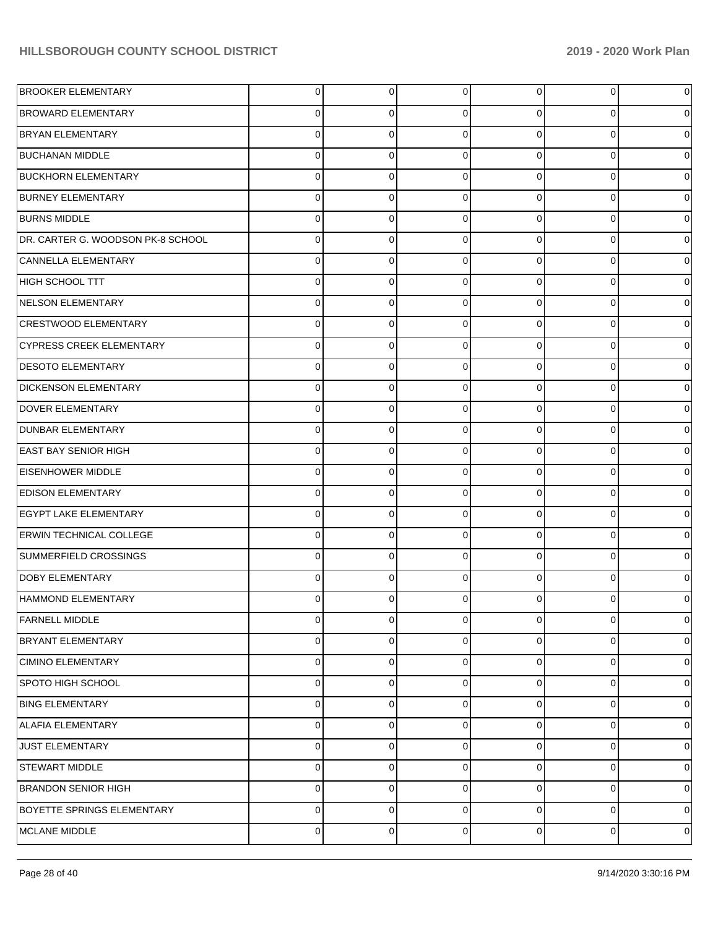| <b>BROOKER ELEMENTARY</b>         | 0 | 0 | 0        | 0 | $\overline{0}$ | $\overline{0}$ |
|-----------------------------------|---|---|----------|---|----------------|----------------|
| <b>BROWARD ELEMENTARY</b>         | 0 | 0 | $\Omega$ | 0 | 0              | $\overline{0}$ |
| <b>BRYAN ELEMENTARY</b>           | 0 | 0 | $\Omega$ | 0 | 0              | $\overline{0}$ |
| <b>BUCHANAN MIDDLE</b>            | 0 | 0 | $\Omega$ | 0 | 0              | $\overline{0}$ |
| <b>BUCKHORN ELEMENTARY</b>        | 0 | 0 | $\Omega$ | 0 | 0              | $\overline{0}$ |
| <b>BURNEY ELEMENTARY</b>          | 0 | 0 | $\Omega$ | 0 | 0              | $\overline{0}$ |
| <b>BURNS MIDDLE</b>               | 0 | 0 | $\Omega$ | 0 | 0              | $\overline{0}$ |
| DR. CARTER G. WOODSON PK-8 SCHOOL | 0 | 0 | $\Omega$ | 0 | 0              | $\overline{0}$ |
| CANNELLA ELEMENTARY               | 0 | 0 | $\Omega$ | 0 | 0              | $\overline{0}$ |
| HIGH SCHOOL TTT                   | 0 | 0 | $\Omega$ | 0 | 0              | $\overline{0}$ |
| NELSON ELEMENTARY                 | 0 | 0 | $\Omega$ | 0 | 0              | $\overline{0}$ |
| <b>CRESTWOOD ELEMENTARY</b>       | 0 | 0 | $\Omega$ | 0 | 0              | $\overline{0}$ |
| <b>CYPRESS CREEK ELEMENTARY</b>   | 0 | 0 | $\Omega$ | 0 | 0              | $\overline{0}$ |
| <b>DESOTO ELEMENTARY</b>          | 0 | 0 | $\Omega$ | 0 | 0              | $\overline{0}$ |
| <b>DICKENSON ELEMENTARY</b>       | 0 | 0 | $\Omega$ | 0 | 0              | $\overline{0}$ |
| <b>DOVER ELEMENTARY</b>           | 0 | 0 | $\Omega$ | 0 | 0              | $\overline{0}$ |
| <b>DUNBAR ELEMENTARY</b>          | 0 | 0 | $\Omega$ | 0 | 0              | $\overline{0}$ |
| <b>EAST BAY SENIOR HIGH</b>       | 0 | 0 | $\Omega$ | 0 | 0              | $\overline{0}$ |
| <b>EISENHOWER MIDDLE</b>          | 0 | 0 | $\Omega$ | 0 | 0              | $\overline{0}$ |
| <b>EDISON ELEMENTARY</b>          | 0 | 0 | $\Omega$ | 0 | 0              | $\overline{0}$ |
| <b>EGYPT LAKE ELEMENTARY</b>      | 0 | 0 | $\Omega$ | 0 | 0              | $\overline{0}$ |
| <b>ERWIN TECHNICAL COLLEGE</b>    | 0 | 0 | $\Omega$ | 0 | $\overline{0}$ | $\overline{0}$ |
| SUMMERFIELD CROSSINGS             | 0 | 0 | $\Omega$ | 0 | 0              | $\overline{0}$ |
| <b>DOBY ELEMENTARY</b>            | 0 | 0 | $\Omega$ | 0 | 0              | $\overline{0}$ |
| HAMMOND ELEMENTARY                | 0 | 0 | $\Omega$ | 0 | 0              | $\overline{0}$ |
| <b>FARNELL MIDDLE</b>             | 0 | 0 | $\Omega$ | 0 | $\overline{0}$ | $\overline{0}$ |
| <b>BRYANT ELEMENTARY</b>          | 0 | 0 | 0        | 0 | $\overline{0}$ | $\overline{0}$ |
| <b>CIMINO ELEMENTARY</b>          | 0 | 0 | $\Omega$ | 0 | $\overline{0}$ | $\overline{0}$ |
| <b>SPOTO HIGH SCHOOL</b>          | 0 | 0 | 0        | 0 | $\overline{0}$ | $\overline{0}$ |
| <b>BING ELEMENTARY</b>            | 0 | 0 | $\Omega$ | 0 | $\overline{0}$ | $\overline{0}$ |
| <b>ALAFIA ELEMENTARY</b>          | 0 | 0 | 0        | 0 | $\overline{0}$ | $\overline{0}$ |
| <b>JUST ELEMENTARY</b>            | 0 | 0 | $\Omega$ | 0 | $\overline{0}$ | $\overline{0}$ |
| <b>STEWART MIDDLE</b>             | 0 | 0 | 0        | 0 | $\overline{0}$ | $\overline{0}$ |
| <b>BRANDON SENIOR HIGH</b>        | 0 | 0 | $\Omega$ | 0 | $\mathbf{O}$   | $\overline{0}$ |
| <b>BOYETTE SPRINGS ELEMENTARY</b> | 0 | 0 | 0        | 0 | $\mathbf{O}$   | $\mathbf 0$    |
| MCLANE MIDDLE                     | 0 | 0 | 0        | 0 | $\mathbf 0$    | $\pmb{0}$      |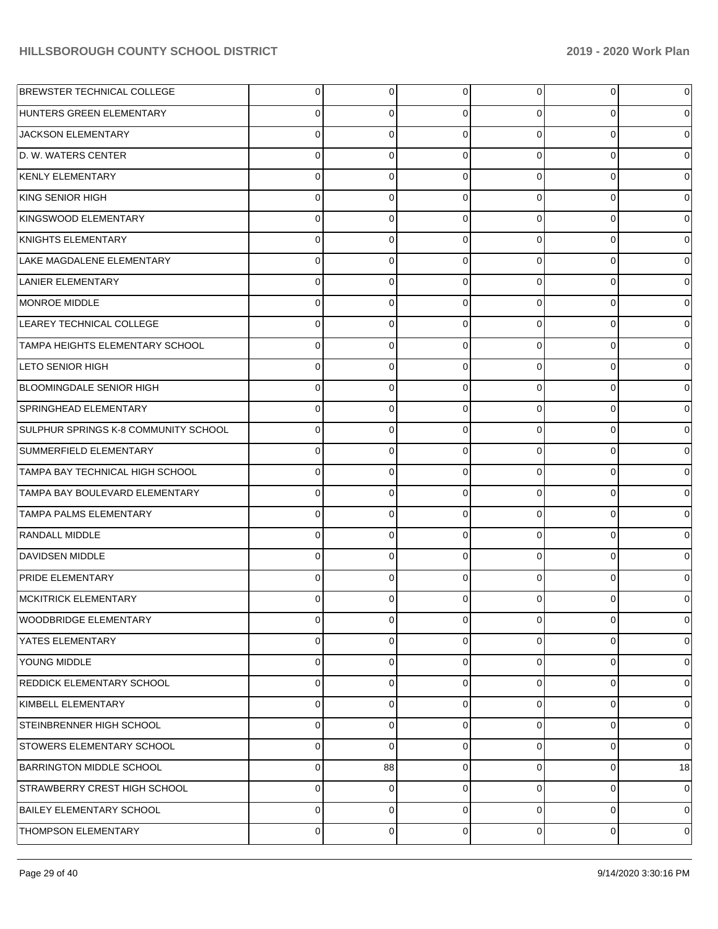| <b>BREWSTER TECHNICAL COLLEGE</b>      | 0 | 0              | 0           | $\Omega$    | $\overline{0}$ | $\overline{0}$ |
|----------------------------------------|---|----------------|-------------|-------------|----------------|----------------|
| HUNTERS GREEN ELEMENTARY               | 0 | 0              | $\Omega$    | 0           | $\overline{0}$ | $\overline{0}$ |
| JACKSON ELEMENTARY                     | 0 | 0              | $\Omega$    | $\Omega$    | $\overline{0}$ | $\overline{0}$ |
| D. W. WATERS CENTER                    | 0 | 0              | $\Omega$    | 0           | $\overline{0}$ | $\overline{0}$ |
| <b>KENLY ELEMENTARY</b>                | 0 | $\Omega$       | $\Omega$    | $\Omega$    | $\overline{0}$ | $\overline{0}$ |
| KING SENIOR HIGH                       | 0 | 0              | $\Omega$    | 0           | $\overline{0}$ | $\overline{0}$ |
| KINGSWOOD ELEMENTARY                   | 0 | 0              | $\Omega$    | $\Omega$    | $\overline{0}$ | $\overline{0}$ |
| KNIGHTS ELEMENTARY                     | 0 | 0              | $\Omega$    | 0           | $\overline{0}$ | $\overline{0}$ |
| LAKE MAGDALENE ELEMENTARY              | 0 | 0              | $\Omega$    | $\Omega$    | $\overline{0}$ | $\overline{0}$ |
| <b>LANIER ELEMENTARY</b>               | 0 | 0              | $\Omega$    | 0           | $\overline{0}$ | $\overline{0}$ |
| MONROE MIDDLE                          | 0 | 0              | $\Omega$    | $\Omega$    | $\overline{0}$ | $\overline{0}$ |
| LEAREY TECHNICAL COLLEGE               | 0 | 0              | $\Omega$    | 0           | $\overline{0}$ | $\overline{0}$ |
| <b>TAMPA HEIGHTS ELEMENTARY SCHOOL</b> | 0 | 0              | $\Omega$    | $\Omega$    | $\overline{0}$ | $\overline{0}$ |
| <b>LETO SENIOR HIGH</b>                | 0 | 0              | $\Omega$    | 0           | $\overline{0}$ | $\overline{0}$ |
| <b>BLOOMINGDALE SENIOR HIGH</b>        | 0 | 0              | $\Omega$    | $\Omega$    | $\overline{0}$ | $\overline{0}$ |
| <b>SPRINGHEAD ELEMENTARY</b>           | 0 | 0              | $\Omega$    | 0           | $\overline{0}$ | $\overline{0}$ |
| SULPHUR SPRINGS K-8 COMMUNITY SCHOOL   | 0 | 0              | $\Omega$    | 0           | $\overline{0}$ | $\overline{0}$ |
| SUMMERFIELD ELEMENTARY                 | 0 | 0              | $\Omega$    | 0           | $\overline{0}$ | $\overline{0}$ |
| TAMPA BAY TECHNICAL HIGH SCHOOL        | 0 | 0              | $\Omega$    | 0           | $\overline{0}$ | $\overline{0}$ |
| TAMPA BAY BOULEVARD ELEMENTARY         | 0 | 0              | $\Omega$    | 0           | $\overline{0}$ | $\overline{0}$ |
| <b>TAMPA PALMS ELEMENTARY</b>          | 0 | 0              | $\Omega$    | 0           | $\overline{0}$ | $\overline{0}$ |
| <b>RANDALL MIDDLE</b>                  | 0 | 0              | $\Omega$    | 0           | $\overline{0}$ | $\overline{0}$ |
| <b>DAVIDSEN MIDDLE</b>                 | 0 | 0              | $\Omega$    | 0           | $\overline{0}$ | $\overline{0}$ |
| <b>PRIDE ELEMENTARY</b>                | 0 | 0              | $\Omega$    | 0           | $\overline{0}$ | $\overline{0}$ |
| <b>MCKITRICK ELEMENTARY</b>            | 0 | 0              |             |             | 0              | $\overline{0}$ |
| WOODBRIDGE ELEMENTARY                  | 0 | $\overline{0}$ | $\mathbf 0$ | $\mathbf 0$ | $\overline{0}$ | $\overline{0}$ |
| YATES ELEMENTARY                       | 0 | 0              | 0           | 0           | $\mathbf{O}$   | $\overline{0}$ |
| <b>YOUNG MIDDLE</b>                    | 0 | 0              | $\mathbf 0$ | $\mathbf 0$ | $\mathbf{O}$   | $\overline{0}$ |
| <b>REDDICK ELEMENTARY SCHOOL</b>       | 0 | 0              | 0           | 0           | $\overline{0}$ | $\overline{0}$ |
| KIMBELL ELEMENTARY                     | 0 | 0              | $\Omega$    | $\Omega$    | $\mathbf{O}$   | $\overline{0}$ |
| STEINBRENNER HIGH SCHOOL               | 0 | 0              | 0           | 0           | $\overline{0}$ | $\overline{0}$ |
| <b>STOWERS ELEMENTARY SCHOOL</b>       | 0 | 0              | 0           | 0           | $\mathbf{O}$   | $\overline{0}$ |
| <b>BARRINGTON MIDDLE SCHOOL</b>        | 0 | 88             | $\mathbf 0$ | 0           | $\overline{0}$ | 18             |
| STRAWBERRY CREST HIGH SCHOOL           | 0 | 0              | 0           | 0           | $\mathbf{O}$   | $\overline{0}$ |
| <b>BAILEY ELEMENTARY SCHOOL</b>        | 0 | 0              | $\mathbf 0$ | 0           | $\overline{0}$ | $\overline{0}$ |
| THOMPSON ELEMENTARY                    | 0 | 0              | 0           | 0           | $\overline{0}$ | $\overline{0}$ |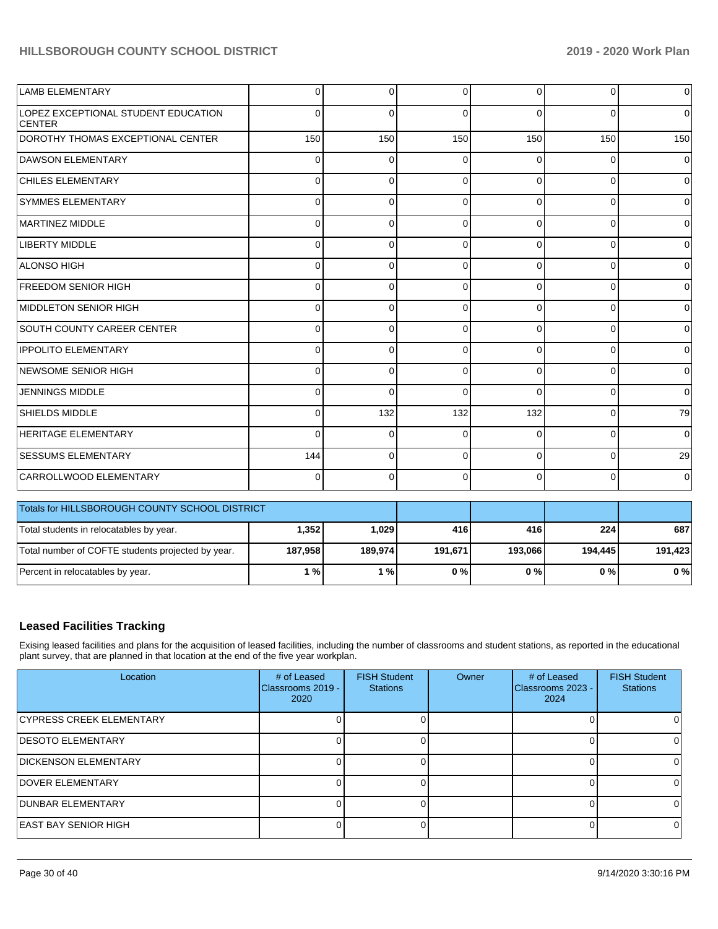| <b>LAMB ELEMENTARY</b>                               | $\Omega$ | $\Omega$ | $\Omega$ | $\Omega$    | $\overline{0}$ | $\overline{0}$      |
|------------------------------------------------------|----------|----------|----------|-------------|----------------|---------------------|
| LOPEZ EXCEPTIONAL STUDENT EDUCATION<br><b>CENTER</b> | $\Omega$ | 0        | $\Omega$ | $\Omega$    | 0              | $\overline{0}$      |
| DOROTHY THOMAS EXCEPTIONAL CENTER                    | 150      | 150      | 150      | 150         | 150            | 150                 |
| <b>DAWSON ELEMENTARY</b>                             | $\Omega$ | $\Omega$ | $\Omega$ | $\Omega$    | 0              | $\overline{0}$      |
| <b>CHILES ELEMENTARY</b>                             | $\Omega$ | $\Omega$ | $\Omega$ | 0           | $\Omega$       | $\overline{0}$      |
| <b>SYMMES ELEMENTARY</b>                             | $\Omega$ | $\Omega$ | $\Omega$ | 0           | $\Omega$       | $\overline{0}$      |
| <b>MARTINEZ MIDDLE</b>                               | $\Omega$ | 0        | $\Omega$ | 0           | $\Omega$       | $\overline{0}$      |
| LIBERTY MIDDLE                                       | 0        | 0        | $\Omega$ | $\Omega$    | $\overline{0}$ | $\overline{0}$      |
| <b>ALONSO HIGH</b>                                   | $\Omega$ | 0        | $\Omega$ | 0           | $\Omega$       | $\overline{0}$      |
| <b>FREEDOM SENIOR HIGH</b>                           | 0        | 0        | $\Omega$ | $\mathbf 0$ | $\overline{0}$ | $\mathbf 0$         |
| MIDDLETON SENIOR HIGH                                | $\Omega$ | $\Omega$ | $\Omega$ | $\Omega$    | $\overline{0}$ | $\overline{0}$      |
| <b>SOUTH COUNTY CAREER CENTER</b>                    | $\Omega$ | $\Omega$ | $\Omega$ | 0           | 0              | $\overline{0}$      |
| <b>IPPOLITO ELEMENTARY</b>                           | $\Omega$ | $\Omega$ | $\Omega$ | $\Omega$    | 0              | $\overline{0}$      |
| NEWSOME SENIOR HIGH                                  | $\Omega$ | $\Omega$ | $\Omega$ | $\Omega$    | $\Omega$       | $\overline{0}$      |
| <b>JENNINGS MIDDLE</b>                               | 0        | $\Omega$ | $\Omega$ | $\Omega$    | $\overline{0}$ | $\overline{0}$      |
| <b>SHIELDS MIDDLE</b>                                | $\Omega$ | 132      | 132      | 132         | $\overline{0}$ | 79                  |
| <b>HERITAGE ELEMENTARY</b>                           | $\Omega$ | 0        | $\Omega$ | 0           | 0              | $\mathsf{O}\xspace$ |
| <b>SESSUMS ELEMENTARY</b>                            | 144      | $\Omega$ | $\Omega$ | $\Omega$    | $\Omega$       | 29                  |
| CARROLLWOOD ELEMENTARY                               | 0        | 0        | $\Omega$ | $\mathbf 0$ | $\overline{0}$ | $\overline{0}$      |
| Totals for HILLSBOROUGH COUNTY SCHOOL DISTRICT       |          |          |          |             |                |                     |
| Total students in relocatables by year.              | 1,352    | 1,029    | 416      | 416         | 224            | 687                 |
| Total number of COFTE students projected by year.    | 187,958  | 189,974  | 191,671  | 193,066     | 194,445        | 191,423             |
| Percent in relocatables by year.                     | 1%       | 1%       | 0%       | 0%          | 0%             | 0%                  |

### **Leased Facilities Tracking**

Exising leased facilities and plans for the acquisition of leased facilities, including the number of classrooms and student stations, as reported in the educational plant survey, that are planned in that location at the end of the five year workplan.

| Location                     | # of Leased<br>IClassrooms 2019 -<br>2020 | <b>FISH Student</b><br><b>Stations</b> | Owner | # of Leased<br>Classrooms 2023 -<br>2024 | <b>FISH Student</b><br><b>Stations</b> |
|------------------------------|-------------------------------------------|----------------------------------------|-------|------------------------------------------|----------------------------------------|
| CYPRESS CREEK ELEMENTARY     |                                           |                                        |       |                                          |                                        |
| <b>IDESOTO ELEMENTARY</b>    |                                           |                                        |       |                                          |                                        |
| <b>IDICKENSON ELEMENTARY</b> |                                           |                                        |       |                                          |                                        |
| <b>DOVER ELEMENTARY</b>      |                                           |                                        |       |                                          | 0.                                     |
| <b>DUNBAR ELEMENTARY</b>     |                                           |                                        |       |                                          |                                        |
| <b>IEAST BAY SENIOR HIGH</b> |                                           |                                        |       |                                          |                                        |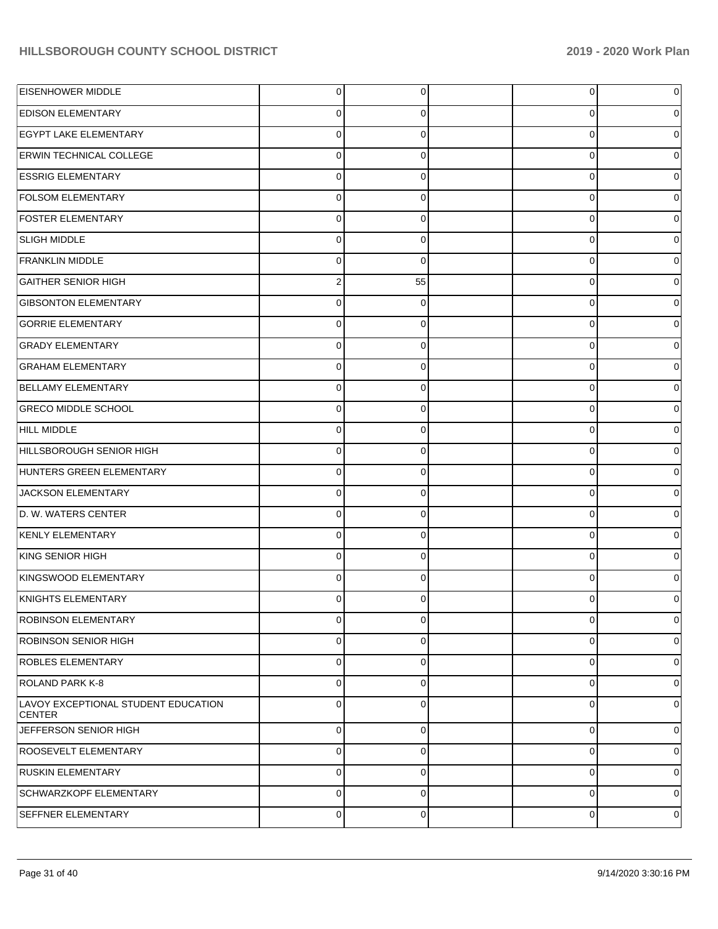| EISENHOWER MIDDLE                                    | $\overline{0}$ | $\Omega$       | $\overline{0}$ | $\overline{0}$ |
|------------------------------------------------------|----------------|----------------|----------------|----------------|
| <b>EDISON ELEMENTARY</b>                             | $\overline{0}$ | $\Omega$       | 0              | 0              |
| <b>EGYPT LAKE ELEMENTARY</b>                         | $\overline{0}$ | $\Omega$       | $\Omega$       | 0              |
| <b>ERWIN TECHNICAL COLLEGE</b>                       | $\overline{0}$ | $\Omega$       | 0              | 0              |
| <b>ESSRIG ELEMENTARY</b>                             | $\overline{0}$ | $\Omega$       | $\Omega$       | 0              |
| <b>FOLSOM ELEMENTARY</b>                             | $\overline{0}$ | $\Omega$       | $\Omega$       | 0              |
| <b>FOSTER ELEMENTARY</b>                             | $\overline{0}$ | $\Omega$       | $\Omega$       | 0              |
| SLIGH MIDDLE                                         | $\overline{0}$ | $\Omega$       | 0              | 0              |
| <b>FRANKLIN MIDDLE</b>                               | $\overline{0}$ | $\Omega$       | $\Omega$       | 0              |
| <b>GAITHER SENIOR HIGH</b>                           | 2 <sub>1</sub> | 55             | 0              | 0              |
| <b>GIBSONTON ELEMENTARY</b>                          | $\Omega$       | $\Omega$       | $\Omega$       | 0              |
| <b>GORRIE ELEMENTARY</b>                             | $\overline{0}$ | $\Omega$       | $\Omega$       | 0              |
| <b>GRADY ELEMENTARY</b>                              | $\overline{0}$ | $\Omega$       | $\Omega$       | 0              |
| <b>GRAHAM ELEMENTARY</b>                             | $\overline{0}$ | $\Omega$       | 0              | 0              |
| <b>BELLAMY ELEMENTARY</b>                            | $\overline{0}$ | $\Omega$       | $\Omega$       | 0              |
| <b>GRECO MIDDLE SCHOOL</b>                           | $\overline{0}$ | $\Omega$       | $\Omega$       | 0              |
| HILL MIDDLE                                          | $\Omega$       | $\Omega$       | $\Omega$       | 0              |
| HILLSBOROUGH SENIOR HIGH                             | $\overline{0}$ | $\Omega$       | 0              | 0              |
| HUNTERS GREEN ELEMENTARY                             | $\overline{0}$ | $\Omega$       | $\Omega$       | 0              |
| JACKSON ELEMENTARY                                   | $\overline{0}$ | $\Omega$       | 0              | 0              |
| D. W. WATERS CENTER                                  | $\Omega$       | $\Omega$       | $\Omega$       | 0              |
| KENLY ELEMENTARY                                     | $\overline{0}$ | $\Omega$       | $\Omega$       | 0              |
| KING SENIOR HIGH                                     | $\overline{0}$ | $\Omega$       | $\Omega$       | 0              |
| KINGSWOOD ELEMENTARY                                 | $\overline{0}$ | $\Omega$       | $\Omega$       | 0              |
| KNIGHTS ELEMENTARY                                   | 0              | $\Omega$       | 0              | 0              |
| ROBINSON ELEMENTARY                                  | $\overline{0}$ | $\overline{0}$ | 0              | 0              |
| <b>ROBINSON SENIOR HIGH</b>                          | $\overline{0}$ | $\Omega$       | 0              | $\overline{0}$ |
| <b>ROBLES ELEMENTARY</b>                             | $\overline{0}$ | $\Omega$       | 0              | $\overline{0}$ |
| <b>ROLAND PARK K-8</b>                               | $\overline{0}$ | $\Omega$       | 0              | $\overline{0}$ |
| LAVOY EXCEPTIONAL STUDENT EDUCATION<br><b>CENTER</b> | $\Omega$       | $\Omega$       | 0              | $\overline{0}$ |
| JEFFERSON SENIOR HIGH                                | $\overline{0}$ | $\mathbf 0$    | $\mathbf 0$    | $\overline{0}$ |
| ROOSEVELT ELEMENTARY                                 | $\overline{0}$ | $\Omega$       | 0              | $\overline{0}$ |
| <b>RUSKIN ELEMENTARY</b>                             | $\overline{0}$ | 0              | 0              | $\overline{0}$ |
| SCHWARZKOPF ELEMENTARY                               | $\overline{0}$ | $\Omega$       | 0              | $\overline{0}$ |
| SEFFNER ELEMENTARY                                   | $\overline{0}$ | 0              | 0              | 0              |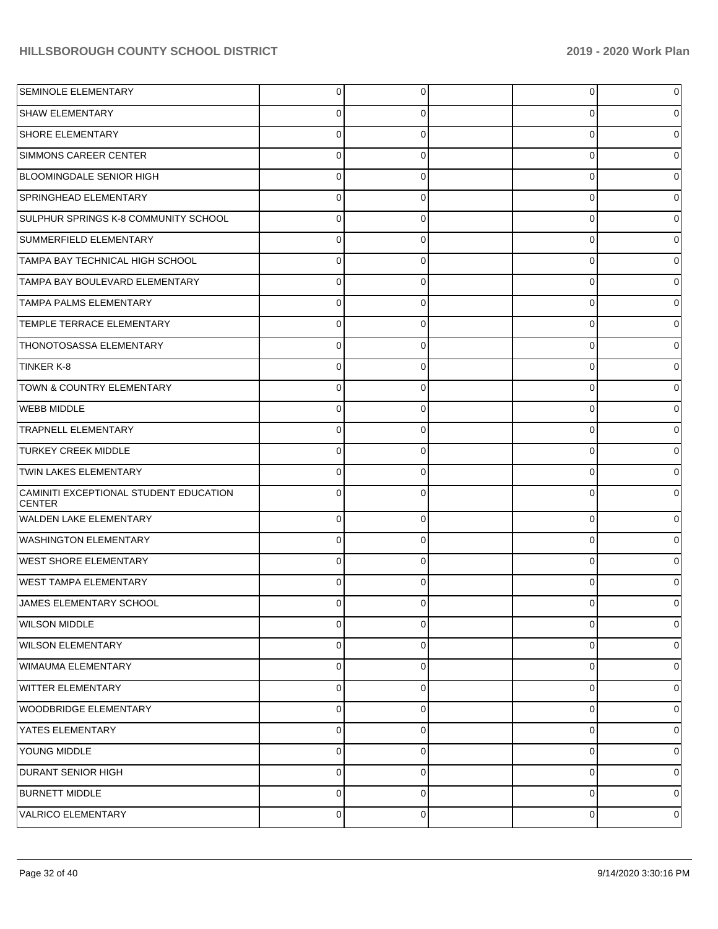| SEMINOLE ELEMENTARY                                     | $\mathbf 0$ | 0        | 0           | 0 |
|---------------------------------------------------------|-------------|----------|-------------|---|
| <b>SHAW ELEMENTARY</b>                                  | 0           | 0        | 0           | 0 |
| <b>SHORE ELEMENTARY</b>                                 | 0           | 0        | 0           | 0 |
| SIMMONS CAREER CENTER                                   | 0           | 0        | 0           | 0 |
| <b>BLOOMINGDALE SENIOR HIGH</b>                         | 0           | O        | 0           | O |
| SPRINGHEAD ELEMENTARY                                   | 0           | 0        | 0           | 0 |
| SULPHUR SPRINGS K-8 COMMUNITY SCHOOL                    | 0           | ∩        | 0           | 0 |
| SUMMERFIELD ELEMENTARY                                  | 0           | 0        | 0           | 0 |
| TAMPA BAY TECHNICAL HIGH SCHOOL                         | $\Omega$    | 0        | 0           | O |
| TAMPA BAY BOULEVARD ELEMENTARY                          | 0           | 0        | 0           | 0 |
| <b>TAMPA PALMS ELEMENTARY</b>                           | 0           |          | 0           | O |
| <b>TEMPLE TERRACE ELEMENTARY</b>                        | $\mathbf 0$ | 0        | 0           | 0 |
| <b>THONOTOSASSA ELEMENTARY</b>                          | 0           | 0        | 0           | 0 |
| <b>TINKER K-8</b>                                       | 0           | 0        | 0           | 0 |
| <b>TOWN &amp; COUNTRY ELEMENTARY</b>                    | 0           | 0        | 0           | 0 |
| <b>WEBB MIDDLE</b>                                      | $\mathbf 0$ | 0        | 0           | 0 |
| <b>TRAPNELL ELEMENTARY</b>                              | 0           |          | 0           | O |
| <b>TURKEY CREEK MIDDLE</b>                              | $\mathbf 0$ | 0        | 0           | 0 |
| <b>TWIN LAKES ELEMENTARY</b>                            | 0           |          | 0           | 0 |
| CAMINITI EXCEPTIONAL STUDENT EDUCATION<br><b>CENTER</b> | $\mathbf 0$ | 0        | 0           | 0 |
| <b>WALDEN LAKE ELEMENTARY</b>                           | $\mathbf 0$ | 0        | 0           | 0 |
| <b>WASHINGTON ELEMENTARY</b>                            | $\Omega$    | $\Omega$ | 0           | 0 |
| WEST SHORE ELEMENTARY                                   | $\Omega$    | $\Omega$ | $\Omega$    | 0 |
| <b>WEST TAMPA ELEMENTARY</b>                            | $\Omega$    | $\Omega$ | 0           | 0 |
| JAMES ELEMENTARY SCHOOL                                 | 0           | 0        | 0           | 0 |
| <b>WILSON MIDDLE</b>                                    | $\mathbf 0$ | $\Omega$ | 0           | 0 |
| <b>WILSON ELEMENTARY</b>                                | $\mathbf 0$ | 0        | $\mathbf 0$ | 0 |
| WIMAUMA ELEMENTARY                                      | $\mathbf 0$ | $\Omega$ | $\mathbf 0$ | 0 |
| <b>WITTER ELEMENTARY</b>                                | $\mathbf 0$ | $\Omega$ | 0           | 0 |
| WOODBRIDGE ELEMENTARY                                   | $\mathbf 0$ | $\Omega$ | $\Omega$    | 0 |
| YATES ELEMENTARY                                        | $\mathbf 0$ | $\Omega$ | $\Omega$    | 0 |
| YOUNG MIDDLE                                            | $\mathbf 0$ | $\Omega$ | $\mathbf 0$ | 0 |
| <b>DURANT SENIOR HIGH</b>                               | $\mathbf 0$ | 0        | $\mathbf 0$ | 0 |
| <b>BURNETT MIDDLE</b>                                   | $\mathbf 0$ | $\Omega$ | $\mathbf 0$ | 0 |
| VALRICO ELEMENTARY                                      | 0           | 0        | 0           | 0 |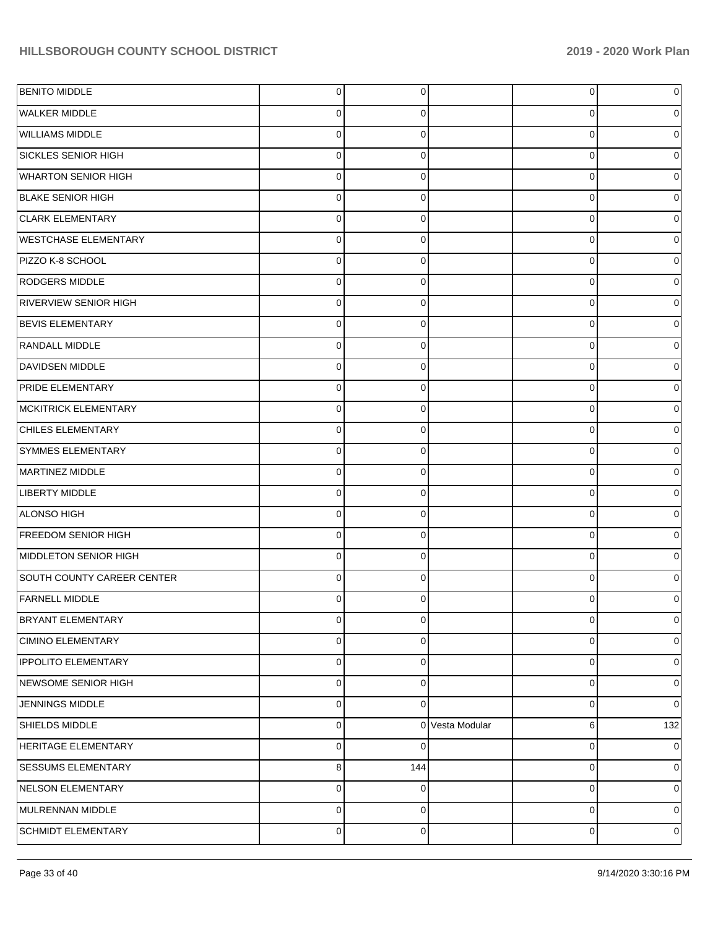| <b>BENITO MIDDLE</b>         | $\overline{0}$ | 0           |                 | $\overline{0}$ | 0   |
|------------------------------|----------------|-------------|-----------------|----------------|-----|
| <b>WALKER MIDDLE</b>         | $\Omega$       | 0           |                 | 0              |     |
| <b>WILLIAMS MIDDLE</b>       | $\Omega$       | $\Omega$    |                 | 0              |     |
| <b>SICKLES SENIOR HIGH</b>   | $\Omega$       | $\Omega$    |                 | 0              |     |
| <b>WHARTON SENIOR HIGH</b>   | $\Omega$       | $\Omega$    |                 | 0              |     |
| <b>BLAKE SENIOR HIGH</b>     | $\Omega$       | $\Omega$    |                 | 0              |     |
| <b>CLARK ELEMENTARY</b>      | $\Omega$       | $\Omega$    |                 | 0              |     |
| <b>WESTCHASE ELEMENTARY</b>  | $\Omega$       | $\Omega$    |                 | 0              |     |
| PIZZO K-8 SCHOOL             | $\Omega$       | $\Omega$    |                 | 0              |     |
| <b>RODGERS MIDDLE</b>        | $\Omega$       | $\Omega$    |                 | 0              |     |
| <b>RIVERVIEW SENIOR HIGH</b> | $\Omega$       | $\Omega$    |                 | 0              |     |
| <b>BEVIS ELEMENTARY</b>      | $\Omega$       | $\Omega$    |                 | 0              |     |
| RANDALL MIDDLE               | $\Omega$       | $\Omega$    |                 | 0              |     |
| <b>DAVIDSEN MIDDLE</b>       | $\Omega$       | $\Omega$    |                 | 0              |     |
| PRIDE ELEMENTARY             | $\Omega$       | $\Omega$    |                 | 0              |     |
| MCKITRICK ELEMENTARY         | $\Omega$       | $\Omega$    |                 | 0              |     |
| <b>CHILES ELEMENTARY</b>     | $\Omega$       | $\Omega$    |                 | 0              |     |
| SYMMES ELEMENTARY            | $\Omega$       | $\Omega$    |                 | 0              |     |
| MARTINEZ MIDDLE              | $\Omega$       | $\Omega$    |                 | 0              |     |
| LIBERTY MIDDLE               | $\Omega$       | $\Omega$    |                 | 0              |     |
| ALONSO HIGH                  | $\Omega$       | $\Omega$    |                 | 0              |     |
| <b>FREEDOM SENIOR HIGH</b>   | $\Omega$       | $\Omega$    |                 | 0              |     |
| MIDDLETON SENIOR HIGH        | $\Omega$       | $\Omega$    |                 | 0              |     |
| SOUTH COUNTY CAREER CENTER   | $\Omega$       | $\Omega$    |                 | $\Omega$       |     |
| <b>FARNELL MIDDLE</b>        | $\Omega$       |             |                 | U              |     |
| BRYANT ELEMENTARY            | $\overline{0}$ | $\mathbf 0$ |                 | 0              | 0   |
| <b>CIMINO ELEMENTARY</b>     | $\mathbf 0$    | $\Omega$    |                 | 0              | 0   |
| <b>IPPOLITO ELEMENTARY</b>   | $\mathbf 0$    | $\Omega$    |                 | 0              | 0   |
| NEWSOME SENIOR HIGH          | $\mathbf 0$    | $\Omega$    |                 | 0              | 0   |
| <b>JENNINGS MIDDLE</b>       | $\mathbf 0$    | $\Omega$    |                 | 0              | 0   |
| SHIELDS MIDDLE               | $\mathbf 0$    |             | 0 Vesta Modular | 6              | 132 |
| <b>HERITAGE ELEMENTARY</b>   | $\mathbf 0$    | 0           |                 | 0              | 0   |
| SESSUMS ELEMENTARY           | 8              | 144         |                 | 0              | 0   |
| NELSON ELEMENTARY            | $\mathbf 0$    | $\Omega$    |                 | 0              | 0   |
| MULRENNAN MIDDLE             | $\mathbf 0$    | $\Omega$    |                 | 0              | 0   |
| SCHMIDT ELEMENTARY           | $\mathbf 0$    | 0           |                 | 0              | 0   |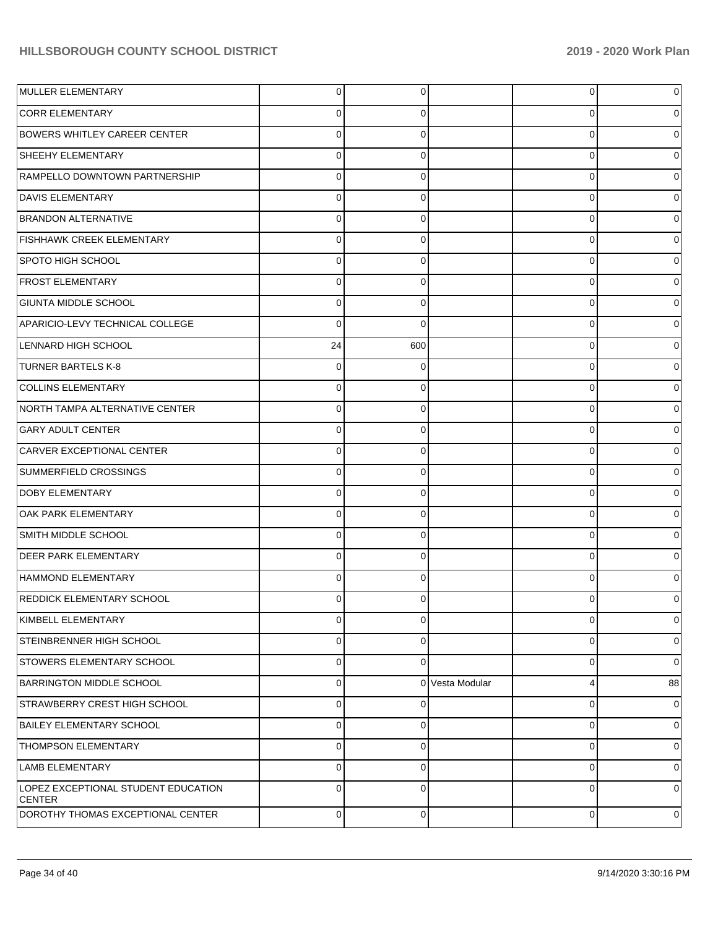| MULLER ELEMENTARY                                    | $\overline{0}$ | 0        |                 | 0 |             |
|------------------------------------------------------|----------------|----------|-----------------|---|-------------|
| <b>CORR ELEMENTARY</b>                               | 0              | 0        |                 | 0 |             |
| <b>BOWERS WHITLEY CAREER CENTER</b>                  | $\mathbf 0$    | 0        |                 | 0 |             |
| SHEEHY ELEMENTARY                                    | $\mathbf 0$    | 0        |                 | 0 |             |
| RAMPELLO DOWNTOWN PARTNERSHIP                        | $\mathbf 0$    | 0        |                 | 0 |             |
| <b>DAVIS ELEMENTARY</b>                              | $\mathbf 0$    | 0        |                 | 0 |             |
| <b>BRANDON ALTERNATIVE</b>                           | $\mathbf 0$    | 0        |                 | 0 |             |
| <b>FISHHAWK CREEK ELEMENTARY</b>                     | $\mathbf 0$    | 0        |                 | 0 |             |
| SPOTO HIGH SCHOOL                                    | $\mathbf 0$    | 0        |                 | 0 |             |
| <b>FROST ELEMENTARY</b>                              | $\mathbf 0$    | 0        |                 | 0 |             |
| GIUNTA MIDDLE SCHOOL                                 | $\mathbf 0$    | 0        |                 | 0 |             |
| APARICIO-LEVY TECHNICAL COLLEGE                      | $\Omega$       | $\Omega$ |                 | 0 |             |
| LENNARD HIGH SCHOOL                                  | 24             | 600      |                 | 0 |             |
| <b>TURNER BARTELS K-8</b>                            | $\mathbf 0$    | 0        |                 | 0 |             |
| <b>COLLINS ELEMENTARY</b>                            | $\mathbf 0$    | 0        |                 | 0 |             |
| NORTH TAMPA ALTERNATIVE CENTER                       | $\mathbf 0$    | 0        |                 | 0 |             |
| <b>GARY ADULT CENTER</b>                             | $\mathbf 0$    | 0        |                 | 0 |             |
| <b>CARVER EXCEPTIONAL CENTER</b>                     | $\mathbf 0$    | 0        |                 | 0 |             |
| SUMMERFIELD CROSSINGS                                | $\mathbf 0$    | 0        |                 | 0 |             |
| <b>DOBY ELEMENTARY</b>                               | $\mathbf 0$    | 0        |                 | 0 |             |
| <b>OAK PARK ELEMENTARY</b>                           | $\Omega$       | 0        |                 | 0 |             |
| SMITH MIDDLE SCHOOL                                  | $\mathbf 0$    | 0        |                 | 0 |             |
| <b>DEER PARK ELEMENTARY</b>                          | $\mathbf 0$    | 0        |                 | 0 |             |
| HAMMOND ELEMENTARY                                   | $\mathbf 0$    | 0        |                 | 0 |             |
| <b>REDDICK ELEMENTARY SCHOOL</b>                     | $\Omega$       |          |                 | 0 |             |
| KIMBELL ELEMENTARY                                   | $\mathbf 0$    | 0        |                 | 0 | 0           |
| STEINBRENNER HIGH SCHOOL                             | 0              | 0        |                 | 0 | 0           |
| <b>STOWERS ELEMENTARY SCHOOL</b>                     | $\pmb{0}$      | $\Omega$ |                 | 0 | $\mathbf 0$ |
| <b>BARRINGTON MIDDLE SCHOOL</b>                      | $\pmb{0}$      |          | 0 Vesta Modular | 4 | 88          |
| STRAWBERRY CREST HIGH SCHOOL                         | $\pmb{0}$      | 0        |                 | 0 | 0           |
| <b>BAILEY ELEMENTARY SCHOOL</b>                      | $\pmb{0}$      | 0        |                 | 0 | 0           |
| THOMPSON ELEMENTARY                                  | $\pmb{0}$      | 0        |                 | 0 | 0           |
| <b>LAMB ELEMENTARY</b>                               | $\mathbf 0$    | 0        |                 | 0 | $\mathbf 0$ |
| LOPEZ EXCEPTIONAL STUDENT EDUCATION<br><b>CENTER</b> | $\mathbf 0$    | $\Omega$ |                 | 0 | $\Omega$    |
| DOROTHY THOMAS EXCEPTIONAL CENTER                    | $\mathbf 0$    | 0        |                 | 0 | 0           |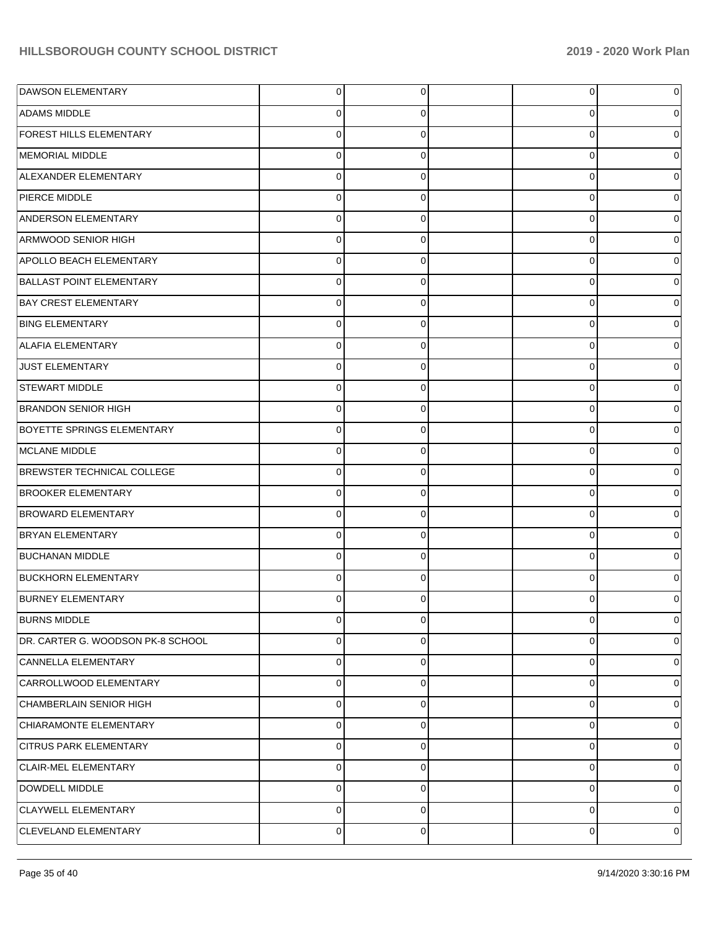| DAWSON ELEMENTARY                 | $\overline{0}$ | 0              | 0        | 0 |
|-----------------------------------|----------------|----------------|----------|---|
| ADAMS MIDDLE                      | 0              | 0              | 0        | 0 |
| FOREST HILLS ELEMENTARY           | $\mathbf 0$    | $\Omega$       | $\Omega$ | 0 |
| MEMORIAL MIDDLE                   | $\Omega$       | $\Omega$       | 0        | 0 |
| ALEXANDER ELEMENTARY              | $\mathbf 0$    | $\Omega$       | 0        | 0 |
| PIERCE MIDDLE                     | $\Omega$       | $\Omega$       | 0        | 0 |
| ANDERSON ELEMENTARY               | $\Omega$       | $\Omega$       | 0        |   |
| ARMWOOD SENIOR HIGH               | $\Omega$       | $\Omega$       | 0        | 0 |
| APOLLO BEACH ELEMENTARY           | $\mathbf 0$    | $\Omega$       | 0        | 0 |
| <b>BALLAST POINT ELEMENTARY</b>   | $\mathbf 0$    | $\Omega$       | 0        | 0 |
| <b>BAY CREST ELEMENTARY</b>       | $\Omega$       | $\Omega$       | 0        |   |
| <b>BING ELEMENTARY</b>            | $\Omega$       | $\Omega$       | 0        | 0 |
| <b>ALAFIA ELEMENTARY</b>          | $\Omega$       | $\Omega$       | $\Omega$ | 0 |
| <b>JUST ELEMENTARY</b>            | $\mathbf 0$    | $\Omega$       | 0        | 0 |
| <b>STEWART MIDDLE</b>             | $\Omega$       | $\Omega$       | 0        |   |
| <b>BRANDON SENIOR HIGH</b>        | $\Omega$       | $\Omega$       | 0        | 0 |
| <b>BOYETTE SPRINGS ELEMENTARY</b> | $\Omega$       | $\Omega$       | 0        | 0 |
| MCLANE MIDDLE                     | $\mathbf 0$    | $\Omega$       | 0        | 0 |
| <b>BREWSTER TECHNICAL COLLEGE</b> | $\Omega$       | $\Omega$       | 0        |   |
| <b>BROOKER ELEMENTARY</b>         | $\Omega$       | $\Omega$       | 0        | 0 |
| <b>BROWARD ELEMENTARY</b>         | $\Omega$       | $\Omega$       | 0        | 0 |
| <b>BRYAN ELEMENTARY</b>           | $\mathbf 0$    | $\Omega$       | 0        | 0 |
| <b>BUCHANAN MIDDLE</b>            | $\Omega$       | $\Omega$       | 0        |   |
| <b>BUCKHORN ELEMENTARY</b>        | $\Omega$       | $\Omega$       | 0        | 0 |
| <b>BURNEY ELEMENTARY</b>          | $\Omega$       | $\Omega$       | ი        |   |
| <b>BURNS MIDDLE</b>               | $\overline{0}$ | $\overline{0}$ | 0        | 0 |
| DR. CARTER G. WOODSON PK-8 SCHOOL | $\mathbf 0$    | 0              | 0        | 0 |
| CANNELLA ELEMENTARY               | $\mathbf 0$    | $\Omega$       | 0        | 0 |
| CARROLLWOOD ELEMENTARY            | $\mathbf 0$    | $\Omega$       | 0        | 0 |
| CHAMBERLAIN SENIOR HIGH           | $\mathbf 0$    | $\Omega$       | 0        | 0 |
| CHIARAMONTE ELEMENTARY            | $\mathbf 0$    | $\Omega$       | 0        | 0 |
| <b>CITRUS PARK ELEMENTARY</b>     | $\Omega$       | $\Omega$       | 0        | 0 |
| CLAIR-MEL ELEMENTARY              | $\mathbf 0$    | $\Omega$       | 0        | 0 |
| DOWDELL MIDDLE                    | $\mathbf 0$    | $\Omega$       | 0        | 0 |
| CLAYWELL ELEMENTARY               | $\mathbf 0$    | $\Omega$       | 0        | 0 |
| CLEVELAND ELEMENTARY              | $\mathbf 0$    | 0              | 0        | 0 |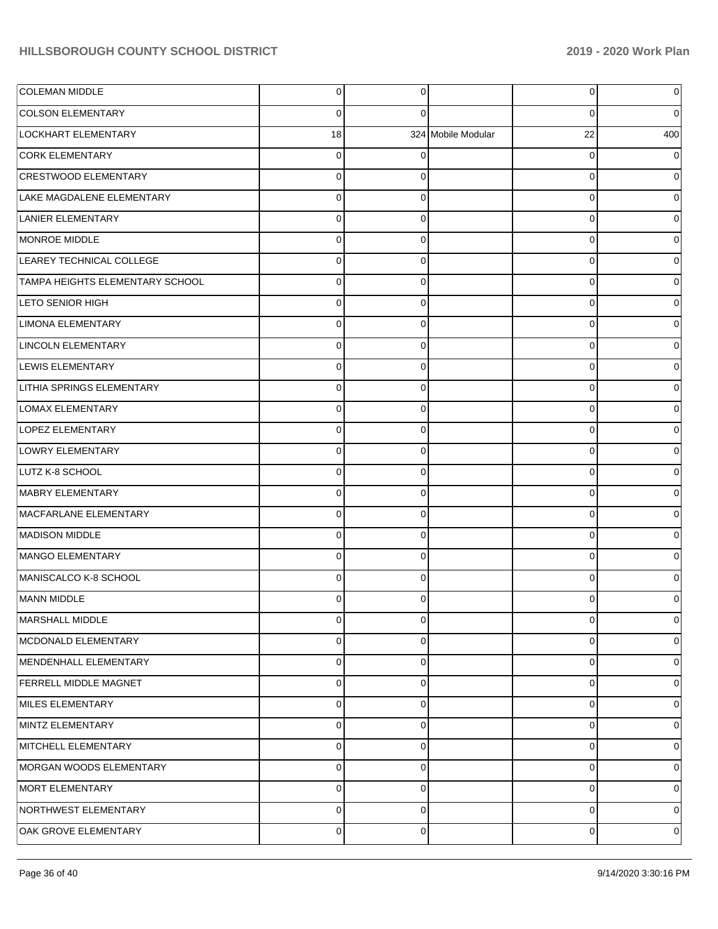| <b>COLEMAN MIDDLE</b>           | 0           | $\Omega$ |                    | 0  | 0   |
|---------------------------------|-------------|----------|--------------------|----|-----|
| <b>COLSON ELEMENTARY</b>        | 0           | ſ        |                    | 0  | 0   |
| LOCKHART ELEMENTARY             | 18          |          | 324 Mobile Modular | 22 | 400 |
| <b>CORK ELEMENTARY</b>          | 0           |          |                    | 0  |     |
| CRESTWOOD ELEMENTARY            | 0           |          |                    | 0  |     |
| LAKE MAGDALENE ELEMENTARY       | 0           | 0        |                    | 0  |     |
| LANIER ELEMENTARY               | 0           | $\Omega$ |                    | 0  |     |
| MONROE MIDDLE                   | 0           | 0        |                    | 0  |     |
| LEAREY TECHNICAL COLLEGE        | 0           | 0        |                    | 0  |     |
| TAMPA HEIGHTS ELEMENTARY SCHOOL | 0           | 0        |                    | 0  |     |
| <b>LETO SENIOR HIGH</b>         | 0           | ∩        |                    | 0  |     |
| <b>LIMONA ELEMENTARY</b>        | 0           | 0        |                    | 0  |     |
| LINCOLN ELEMENTARY              | 0           | 0        |                    | 0  |     |
| LEWIS ELEMENTARY                | 0           | 0        |                    | 0  |     |
| LITHIA SPRINGS ELEMENTARY       | 0           | ∩        |                    | 0  |     |
| <b>LOMAX ELEMENTARY</b>         | 0           | 0        |                    | 0  |     |
| LOPEZ ELEMENTARY                | 0           | 0        |                    | 0  |     |
| LOWRY ELEMENTARY                | 0           | 0        |                    | 0  |     |
| LUTZ K-8 SCHOOL                 | 0           | ∩        |                    | 0  |     |
| MABRY ELEMENTARY                | 0           | 0        |                    | 0  |     |
| MACFARLANE ELEMENTARY           | 0           | 0        |                    | 0  |     |
| MADISON MIDDLE                  | 0           | 0        |                    | 0  |     |
| MANGO ELEMENTARY                | 0           | ∩        |                    | 0  |     |
| MANISCALCO K-8 SCHOOL           | 0           | 0        |                    | 0  |     |
| MANN MIDDLE                     | 0           | 0        |                    | 0  |     |
| MARSHALL MIDDLE                 | 0           | $\Omega$ |                    | 0  | 0   |
| MCDONALD ELEMENTARY             | 0           | 0        |                    | 0  | 0   |
| MENDENHALL ELEMENTARY           | $\mathbf 0$ | $\Omega$ |                    | 0  | 0   |
| <b>FERRELL MIDDLE MAGNET</b>    | 0           | 0        |                    | 0  | 0   |
| MILES ELEMENTARY                | 0           | 0        |                    | 0  | 0   |
| MINTZ ELEMENTARY                | 0           | 0        |                    | 0  | 0   |
| MITCHELL ELEMENTARY             | $\mathbf 0$ | $\Omega$ |                    | 0  | 0   |
| MORGAN WOODS ELEMENTARY         | 0           | 0        |                    | 0  | 0   |
| MORT ELEMENTARY                 | 0           | 0        |                    | 0  | 0   |
| NORTHWEST ELEMENTARY            | $\mathbf 0$ | 0        |                    | 0  | 0   |
| OAK GROVE ELEMENTARY            | $\mathbf 0$ | 0        |                    | 0  | 0   |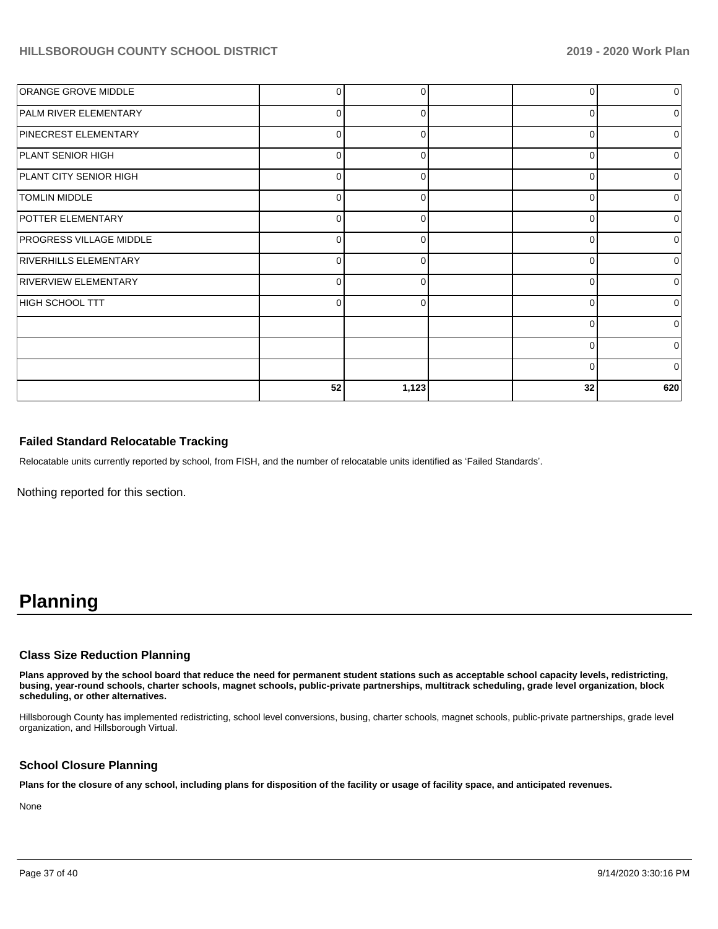| <b>ORANGE GROVE MIDDLE</b>     | 0        | O            | C        | 0        |
|--------------------------------|----------|--------------|----------|----------|
| <b>PALM RIVER ELEMENTARY</b>   | $\Omega$ | 0            | 0        | 0        |
| <b>PINECREST ELEMENTARY</b>    | $\Omega$ | $\Omega$     | 0        | 0        |
| <b>PLANT SENIOR HIGH</b>       | $\Omega$ | O            | 0        | $\Omega$ |
| <b>PLANT CITY SENIOR HIGH</b>  | 0        | ∩            | 0        | 0        |
| <b>TOMLIN MIDDLE</b>           | 0        | <sup>0</sup> | 0        | $\Omega$ |
| POTTER ELEMENTARY              | 0        | C            | $\Omega$ | 01       |
| <b>PROGRESS VILLAGE MIDDLE</b> | 0        | <sup>0</sup> | 0        | $\Omega$ |
| <b>RIVERHILLS ELEMENTARY</b>   | $\Omega$ |              | $\Omega$ | 0        |
| <b>RIVERVIEW ELEMENTARY</b>    | $\Omega$ | ∩            | $\Omega$ | 0        |
| HIGH SCHOOL TTT                | $\Omega$ |              | C        | 0        |
|                                |          |              | $\Omega$ | $\Omega$ |
|                                |          |              | C        | 0        |
|                                |          |              | 0        | $\Omega$ |
|                                | 52       | 1,123        | 32       | 620      |

## **Failed Standard Relocatable Tracking**

Relocatable units currently reported by school, from FISH, and the number of relocatable units identified as 'Failed Standards'.

Nothing reported for this section.

# **Planning**

### **Class Size Reduction Planning**

**Plans approved by the school board that reduce the need for permanent student stations such as acceptable school capacity levels, redistricting, busing, year-round schools, charter schools, magnet schools, public-private partnerships, multitrack scheduling, grade level organization, block scheduling, or other alternatives.**

Hillsborough County has implemented redistricting, school level conversions, busing, charter schools, magnet schools, public-private partnerships, grade level organization, and Hillsborough Virtual.

### **School Closure Planning**

**Plans for the closure of any school, including plans for disposition of the facility or usage of facility space, and anticipated revenues.** 

None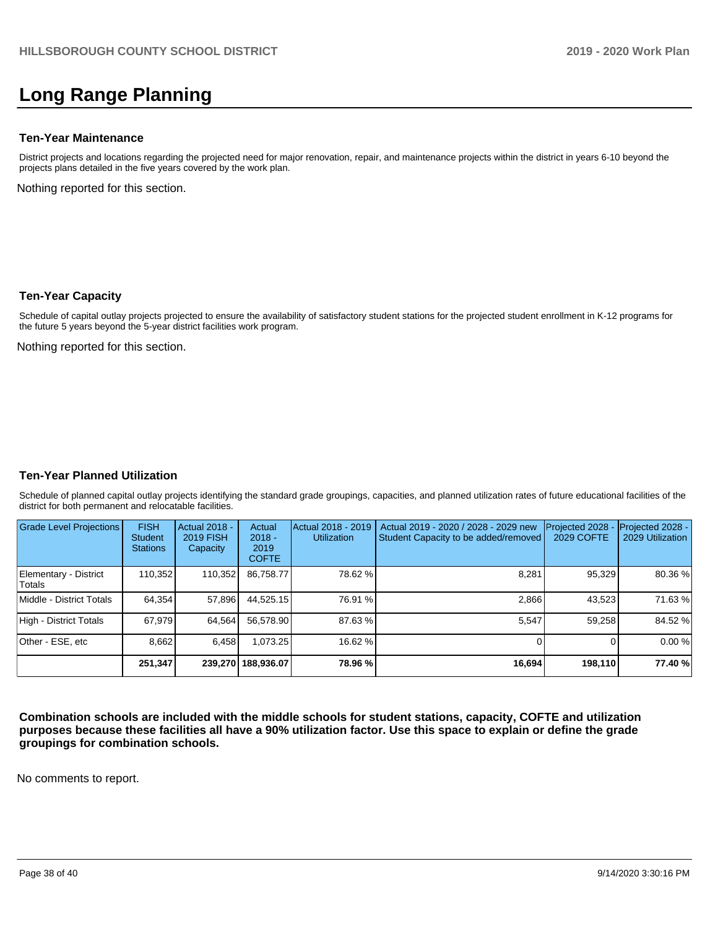# **Long Range Planning**

### **Ten-Year Maintenance**

District projects and locations regarding the projected need for major renovation, repair, and maintenance projects within the district in years 6-10 beyond the projects plans detailed in the five years covered by the work plan.

Nothing reported for this section.

### **Ten-Year Capacity**

Schedule of capital outlay projects projected to ensure the availability of satisfactory student stations for the projected student enrollment in K-12 programs for the future 5 years beyond the 5-year district facilities work program.

Nothing reported for this section.

### **Ten-Year Planned Utilization**

Schedule of planned capital outlay projects identifying the standard grade groupings, capacities, and planned utilization rates of future educational facilities of the district for both permanent and relocatable facilities.

| <b>Grade Level Projections</b>   | <b>FISH</b><br><b>Student</b><br><b>Stations</b> | Actual 2018 -<br><b>2019 FISH</b><br>Capacity | Actual<br>$2018 -$<br>2019<br><b>COFTE</b> | Actual 2018 - 2019<br><b>Utilization</b> | Actual 2019 - 2020 / 2028 - 2029 new<br>Student Capacity to be added/removed | Projected 2028<br>2029 COFTE | Projected 2028 -<br>2029 Utilization |
|----------------------------------|--------------------------------------------------|-----------------------------------------------|--------------------------------------------|------------------------------------------|------------------------------------------------------------------------------|------------------------------|--------------------------------------|
| Elementary - District<br>lTotals | 110,352                                          | 110,352                                       | 86.758.77                                  | 78.62 %                                  | 8,281                                                                        | 95,329                       | 80.36 %                              |
| Middle - District Totals         | 64.354                                           | 57,896                                        | 44,525.15                                  | 76.91 %                                  | 2.866                                                                        | 43,523                       | 71.63%                               |
| High - District Totals           | 67.979                                           | 64.564                                        | 56.578.90                                  | 87.63 %                                  | 5,547                                                                        | 59,258                       | 84.52 %                              |
| Other - ESE, etc                 | 8.662                                            | 6.458                                         | 1.073.25                                   | 16.62 %                                  |                                                                              |                              | 0.00%                                |
|                                  | 251,347                                          |                                               | 239.270 188.936.07                         | 78.96 %                                  | 16,694                                                                       | 198,110                      | 77.40 %                              |

**Combination schools are included with the middle schools for student stations, capacity, COFTE and utilization purposes because these facilities all have a 90% utilization factor. Use this space to explain or define the grade groupings for combination schools.** 

No comments to report.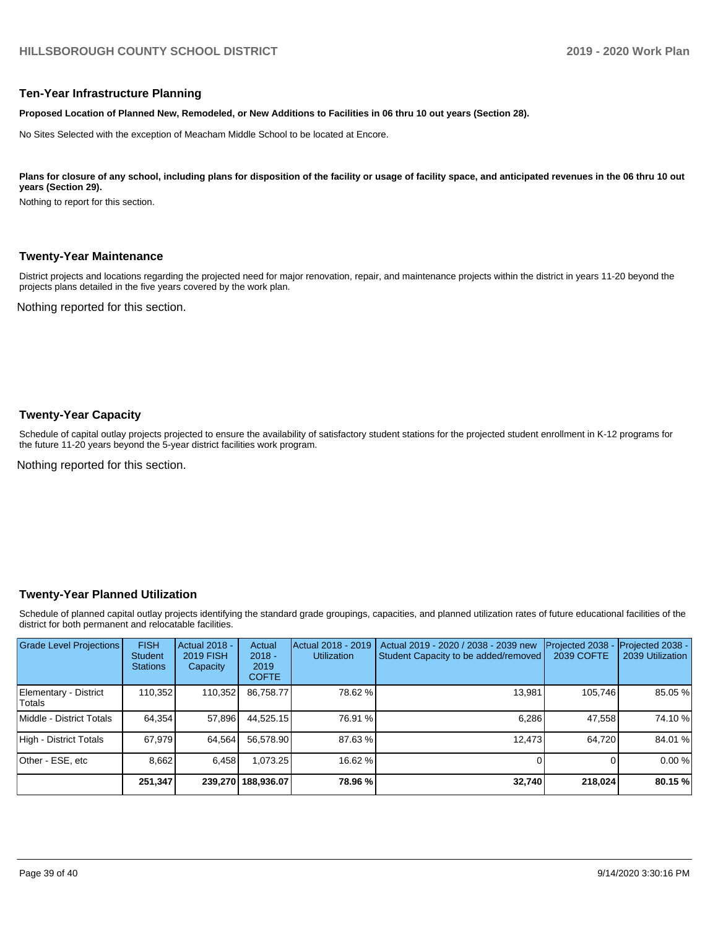### **Ten-Year Infrastructure Planning**

**Proposed Location of Planned New, Remodeled, or New Additions to Facilities in 06 thru 10 out years (Section 28).**

No Sites Selected with the exception of Meacham Middle School to be located at Encore.

#### Plans for closure of any school, including plans for disposition of the facility or usage of facility space, and anticipated revenues in the 06 thru 10 out **years (Section 29).**

Nothing to report for this section.

#### **Twenty-Year Maintenance**

District projects and locations regarding the projected need for major renovation, repair, and maintenance projects within the district in years 11-20 beyond the projects plans detailed in the five years covered by the work plan.

Nothing reported for this section.

### **Twenty-Year Capacity**

Schedule of capital outlay projects projected to ensure the availability of satisfactory student stations for the projected student enrollment in K-12 programs for the future 11-20 years beyond the 5-year district facilities work program.

Nothing reported for this section.

### **Twenty-Year Planned Utilization**

Schedule of planned capital outlay projects identifying the standard grade groupings, capacities, and planned utilization rates of future educational facilities of the district for both permanent and relocatable facilities.

| Grade Level Projections         | <b>FISH</b><br><b>Student</b><br><b>Stations</b> | <b>Actual 2018 -</b><br><b>2019 FISH</b><br>Capacity | Actual<br>$2018 -$<br>2019<br><b>COFTE</b> | Actual 2018 - 2019<br><b>Utilization</b> | Actual 2019 - 2020 / 2038 - 2039 new<br>Student Capacity to be added/removed | Projected 2038<br>2039 COFTE | Projected 2038 -<br>2039 Utilization |
|---------------------------------|--------------------------------------------------|------------------------------------------------------|--------------------------------------------|------------------------------------------|------------------------------------------------------------------------------|------------------------------|--------------------------------------|
| Elementary - District<br>Totals | 110,352                                          | 110,352                                              | 86,758.77                                  | 78.62 %                                  | 13,981                                                                       | 105,746                      | 85.05 %                              |
| Middle - District Totals        | 64.354                                           | 57,896                                               | 44.525.15                                  | 76.91 %                                  | 6.286                                                                        | 47,558                       | 74.10 %                              |
| High - District Totals          | 67.979                                           | 64,564                                               | 56.578.90                                  | 87.63%                                   | 12.473                                                                       | 64.720                       | 84.01 %                              |
| Other - ESE, etc                | 8.662                                            | 6.458                                                | .073.25                                    | 16.62 %                                  |                                                                              | 0                            | 0.00%                                |
|                                 | 251,347                                          |                                                      | 239.270 188.936.07                         | 78.96 %                                  | 32,740                                                                       | 218,024                      | 80.15 %                              |